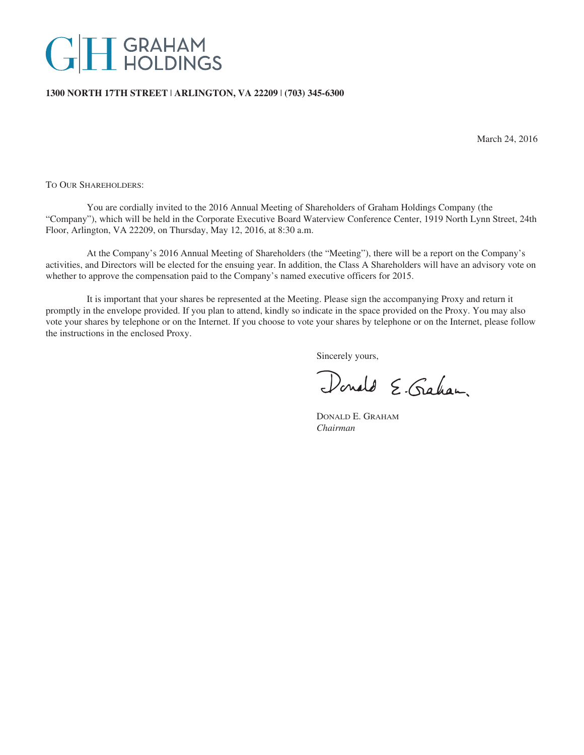# **GH** GRAHAM

## **1300 NORTH 17TH STREET** | **ARLINGTON, VA 22209** | **(703) 345-6300**

March 24, 2016

TO OUR SHAREHOLDERS:

You are cordially invited to the 2016 Annual Meeting of Shareholders of Graham Holdings Company (the "Company"), which will be held in the Corporate Executive Board Waterview Conference Center, 1919 North Lynn Street, 24th Floor, Arlington, VA 22209, on Thursday, May 12, 2016, at 8:30 a.m.

At the Company's 2016 Annual Meeting of Shareholders (the "Meeting"), there will be a report on the Company's activities, and Directors will be elected for the ensuing year. In addition, the Class A Shareholders will have an advisory vote on whether to approve the compensation paid to the Company's named executive officers for 2015.

It is important that your shares be represented at the Meeting. Please sign the accompanying Proxy and return it promptly in the envelope provided. If you plan to attend, kindly so indicate in the space provided on the Proxy. You may also vote your shares by telephone or on the Internet. If you choose to vote your shares by telephone or on the Internet, please follow the instructions in the enclosed Proxy.

Sincerely yours,

Donald E. Graham.

DONALD E. GRAHAM *Chairman*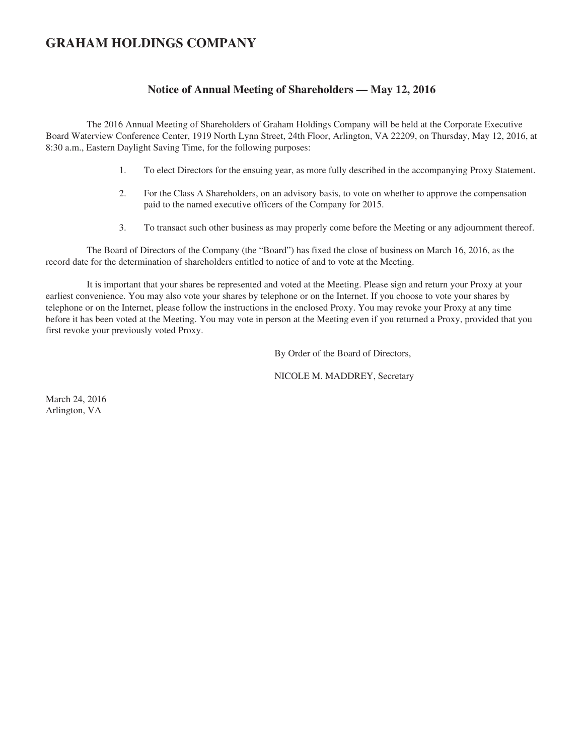## **GRAHAM HOLDINGS COMPANY**

## **Notice of Annual Meeting of Shareholders — May 12, 2016**

The 2016 Annual Meeting of Shareholders of Graham Holdings Company will be held at the Corporate Executive Board Waterview Conference Center, 1919 North Lynn Street, 24th Floor, Arlington, VA 22209, on Thursday, May 12, 2016, at 8:30 a.m., Eastern Daylight Saving Time, for the following purposes:

- 1. To elect Directors for the ensuing year, as more fully described in the accompanying Proxy Statement.
- 2. For the Class A Shareholders, on an advisory basis, to vote on whether to approve the compensation paid to the named executive officers of the Company for 2015.
- 3. To transact such other business as may properly come before the Meeting or any adjournment thereof.

The Board of Directors of the Company (the "Board") has fixed the close of business on March 16, 2016, as the record date for the determination of shareholders entitled to notice of and to vote at the Meeting.

It is important that your shares be represented and voted at the Meeting. Please sign and return your Proxy at your earliest convenience. You may also vote your shares by telephone or on the Internet. If you choose to vote your shares by telephone or on the Internet, please follow the instructions in the enclosed Proxy. You may revoke your Proxy at any time before it has been voted at the Meeting. You may vote in person at the Meeting even if you returned a Proxy, provided that you first revoke your previously voted Proxy.

By Order of the Board of Directors,

NICOLE M. MADDREY, Secretary

March 24, 2016 Arlington, VA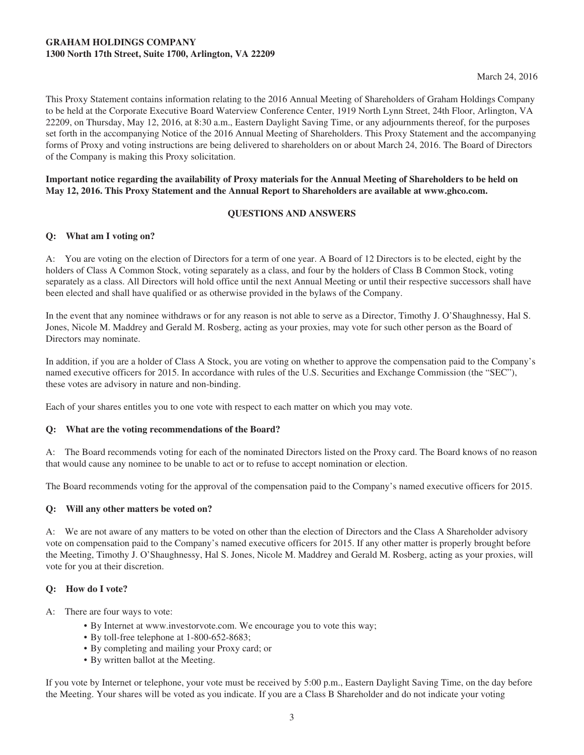## **GRAHAM HOLDINGS COMPANY 1300 North 17th Street, Suite 1700, Arlington, VA 22209**

This Proxy Statement contains information relating to the 2016 Annual Meeting of Shareholders of Graham Holdings Company to be held at the Corporate Executive Board Waterview Conference Center, 1919 North Lynn Street, 24th Floor, Arlington, VA 22209, on Thursday, May 12, 2016, at 8:30 a.m., Eastern Daylight Saving Time, or any adjournments thereof, for the purposes set forth in the accompanying Notice of the 2016 Annual Meeting of Shareholders. This Proxy Statement and the accompanying forms of Proxy and voting instructions are being delivered to shareholders on or about March 24, 2016. The Board of Directors of the Company is making this Proxy solicitation.

## **Important notice regarding the availability of Proxy materials for the Annual Meeting of Shareholders to be held on May 12, 2016. This Proxy Statement and the Annual Report to Shareholders are available at www.ghco.com.**

## **QUESTIONS AND ANSWERS**

## **Q: What am I voting on?**

A: You are voting on the election of Directors for a term of one year. A Board of 12 Directors is to be elected, eight by the holders of Class A Common Stock, voting separately as a class, and four by the holders of Class B Common Stock, voting separately as a class. All Directors will hold office until the next Annual Meeting or until their respective successors shall have been elected and shall have qualified or as otherwise provided in the bylaws of the Company.

In the event that any nominee withdraws or for any reason is not able to serve as a Director, Timothy J. O'Shaughnessy, Hal S. Jones, Nicole M. Maddrey and Gerald M. Rosberg, acting as your proxies, may vote for such other person as the Board of Directors may nominate.

In addition, if you are a holder of Class A Stock, you are voting on whether to approve the compensation paid to the Company's named executive officers for 2015. In accordance with rules of the U.S. Securities and Exchange Commission (the "SEC"), these votes are advisory in nature and non-binding.

Each of your shares entitles you to one vote with respect to each matter on which you may vote.

## **Q: What are the voting recommendations of the Board?**

A: The Board recommends voting for each of the nominated Directors listed on the Proxy card. The Board knows of no reason that would cause any nominee to be unable to act or to refuse to accept nomination or election.

The Board recommends voting for the approval of the compensation paid to the Company's named executive officers for 2015.

## **Q: Will any other matters be voted on?**

A: We are not aware of any matters to be voted on other than the election of Directors and the Class A Shareholder advisory vote on compensation paid to the Company's named executive officers for 2015. If any other matter is properly brought before the Meeting, Timothy J. O'Shaughnessy, Hal S. Jones, Nicole M. Maddrey and Gerald M. Rosberg, acting as your proxies, will vote for you at their discretion.

## **Q: How do I vote?**

A: There are four ways to vote:

- By Internet at www.investorvote.com. We encourage you to vote this way;
- By toll-free telephone at 1-800-652-8683;
- By completing and mailing your Proxy card; or
- By written ballot at the Meeting.

If you vote by Internet or telephone, your vote must be received by 5:00 p.m., Eastern Daylight Saving Time, on the day before the Meeting. Your shares will be voted as you indicate. If you are a Class B Shareholder and do not indicate your voting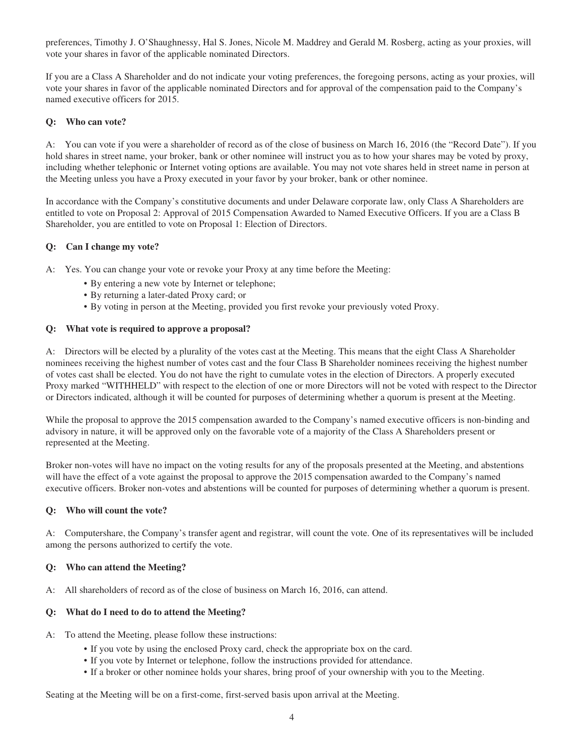preferences, Timothy J. O'Shaughnessy, Hal S. Jones, Nicole M. Maddrey and Gerald M. Rosberg, acting as your proxies, will vote your shares in favor of the applicable nominated Directors.

If you are a Class A Shareholder and do not indicate your voting preferences, the foregoing persons, acting as your proxies, will vote your shares in favor of the applicable nominated Directors and for approval of the compensation paid to the Company's named executive officers for 2015.

## **Q: Who can vote?**

A: You can vote if you were a shareholder of record as of the close of business on March 16, 2016 (the "Record Date"). If you hold shares in street name, your broker, bank or other nominee will instruct you as to how your shares may be voted by proxy, including whether telephonic or Internet voting options are available. You may not vote shares held in street name in person at the Meeting unless you have a Proxy executed in your favor by your broker, bank or other nominee.

In accordance with the Company's constitutive documents and under Delaware corporate law, only Class A Shareholders are entitled to vote on Proposal 2: Approval of 2015 Compensation Awarded to Named Executive Officers. If you are a Class B Shareholder, you are entitled to vote on Proposal 1: Election of Directors.

#### **Q: Can I change my vote?**

A: Yes. You can change your vote or revoke your Proxy at any time before the Meeting:

- By entering a new vote by Internet or telephone;
- By returning a later-dated Proxy card; or
- By voting in person at the Meeting, provided you first revoke your previously voted Proxy.

#### **Q: What vote is required to approve a proposal?**

A: Directors will be elected by a plurality of the votes cast at the Meeting. This means that the eight Class A Shareholder nominees receiving the highest number of votes cast and the four Class B Shareholder nominees receiving the highest number of votes cast shall be elected. You do not have the right to cumulate votes in the election of Directors. A properly executed Proxy marked "WITHHELD" with respect to the election of one or more Directors will not be voted with respect to the Director or Directors indicated, although it will be counted for purposes of determining whether a quorum is present at the Meeting.

While the proposal to approve the 2015 compensation awarded to the Company's named executive officers is non-binding and advisory in nature, it will be approved only on the favorable vote of a majority of the Class A Shareholders present or represented at the Meeting.

Broker non-votes will have no impact on the voting results for any of the proposals presented at the Meeting, and abstentions will have the effect of a vote against the proposal to approve the 2015 compensation awarded to the Company's named executive officers. Broker non-votes and abstentions will be counted for purposes of determining whether a quorum is present.

#### **Q: Who will count the vote?**

A: Computershare, the Company's transfer agent and registrar, will count the vote. One of its representatives will be included among the persons authorized to certify the vote.

#### **Q: Who can attend the Meeting?**

A: All shareholders of record as of the close of business on March 16, 2016, can attend.

## **Q: What do I need to do to attend the Meeting?**

- A: To attend the Meeting, please follow these instructions:
	- If you vote by using the enclosed Proxy card, check the appropriate box on the card.
	- If you vote by Internet or telephone, follow the instructions provided for attendance.
	- If a broker or other nominee holds your shares, bring proof of your ownership with you to the Meeting.

Seating at the Meeting will be on a first-come, first-served basis upon arrival at the Meeting.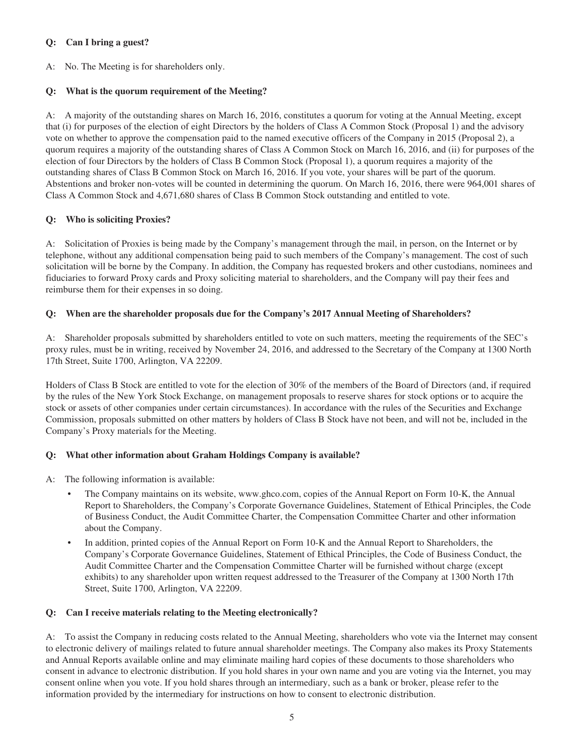## **Q: Can I bring a guest?**

A: No. The Meeting is for shareholders only.

## **Q: What is the quorum requirement of the Meeting?**

A: A majority of the outstanding shares on March 16, 2016, constitutes a quorum for voting at the Annual Meeting, except that (i) for purposes of the election of eight Directors by the holders of Class A Common Stock (Proposal 1) and the advisory vote on whether to approve the compensation paid to the named executive officers of the Company in 2015 (Proposal 2), a quorum requires a majority of the outstanding shares of Class A Common Stock on March 16, 2016, and (ii) for purposes of the election of four Directors by the holders of Class B Common Stock (Proposal 1), a quorum requires a majority of the outstanding shares of Class B Common Stock on March 16, 2016. If you vote, your shares will be part of the quorum. Abstentions and broker non-votes will be counted in determining the quorum. On March 16, 2016, there were 964,001 shares of Class A Common Stock and 4,671,680 shares of Class B Common Stock outstanding and entitled to vote.

## **Q: Who is soliciting Proxies?**

A: Solicitation of Proxies is being made by the Company's management through the mail, in person, on the Internet or by telephone, without any additional compensation being paid to such members of the Company's management. The cost of such solicitation will be borne by the Company. In addition, the Company has requested brokers and other custodians, nominees and fiduciaries to forward Proxy cards and Proxy soliciting material to shareholders, and the Company will pay their fees and reimburse them for their expenses in so doing.

## **Q: When are the shareholder proposals due for the Company's 2017 Annual Meeting of Shareholders?**

A: Shareholder proposals submitted by shareholders entitled to vote on such matters, meeting the requirements of the SEC's proxy rules, must be in writing, received by November 24, 2016, and addressed to the Secretary of the Company at 1300 North 17th Street, Suite 1700, Arlington, VA 22209.

Holders of Class B Stock are entitled to vote for the election of 30% of the members of the Board of Directors (and, if required by the rules of the New York Stock Exchange, on management proposals to reserve shares for stock options or to acquire the stock or assets of other companies under certain circumstances). In accordance with the rules of the Securities and Exchange Commission, proposals submitted on other matters by holders of Class B Stock have not been, and will not be, included in the Company's Proxy materials for the Meeting.

## **Q: What other information about Graham Holdings Company is available?**

A: The following information is available:

- The Company maintains on its website, www.ghco.com, copies of the Annual Report on Form 10-K, the Annual Report to Shareholders, the Company's Corporate Governance Guidelines, Statement of Ethical Principles, the Code of Business Conduct, the Audit Committee Charter, the Compensation Committee Charter and other information about the Company.
- In addition, printed copies of the Annual Report on Form 10-K and the Annual Report to Shareholders, the Company's Corporate Governance Guidelines, Statement of Ethical Principles, the Code of Business Conduct, the Audit Committee Charter and the Compensation Committee Charter will be furnished without charge (except exhibits) to any shareholder upon written request addressed to the Treasurer of the Company at 1300 North 17th Street, Suite 1700, Arlington, VA 22209.

## **Q: Can I receive materials relating to the Meeting electronically?**

A: To assist the Company in reducing costs related to the Annual Meeting, shareholders who vote via the Internet may consent to electronic delivery of mailings related to future annual shareholder meetings. The Company also makes its Proxy Statements and Annual Reports available online and may eliminate mailing hard copies of these documents to those shareholders who consent in advance to electronic distribution. If you hold shares in your own name and you are voting via the Internet, you may consent online when you vote. If you hold shares through an intermediary, such as a bank or broker, please refer to the information provided by the intermediary for instructions on how to consent to electronic distribution.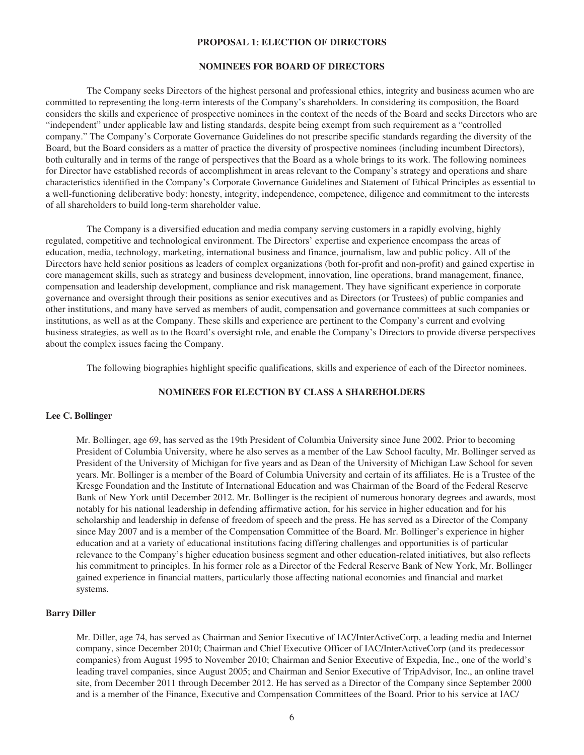#### **PROPOSAL 1: ELECTION OF DIRECTORS**

#### **NOMINEES FOR BOARD OF DIRECTORS**

The Company seeks Directors of the highest personal and professional ethics, integrity and business acumen who are committed to representing the long-term interests of the Company's shareholders. In considering its composition, the Board considers the skills and experience of prospective nominees in the context of the needs of the Board and seeks Directors who are "independent" under applicable law and listing standards, despite being exempt from such requirement as a "controlled company." The Company's Corporate Governance Guidelines do not prescribe specific standards regarding the diversity of the Board, but the Board considers as a matter of practice the diversity of prospective nominees (including incumbent Directors), both culturally and in terms of the range of perspectives that the Board as a whole brings to its work. The following nominees for Director have established records of accomplishment in areas relevant to the Company's strategy and operations and share characteristics identified in the Company's Corporate Governance Guidelines and Statement of Ethical Principles as essential to a well-functioning deliberative body: honesty, integrity, independence, competence, diligence and commitment to the interests of all shareholders to build long-term shareholder value.

The Company is a diversified education and media company serving customers in a rapidly evolving, highly regulated, competitive and technological environment. The Directors' expertise and experience encompass the areas of education, media, technology, marketing, international business and finance, journalism, law and public policy. All of the Directors have held senior positions as leaders of complex organizations (both for-profit and non-profit) and gained expertise in core management skills, such as strategy and business development, innovation, line operations, brand management, finance, compensation and leadership development, compliance and risk management. They have significant experience in corporate governance and oversight through their positions as senior executives and as Directors (or Trustees) of public companies and other institutions, and many have served as members of audit, compensation and governance committees at such companies or institutions, as well as at the Company. These skills and experience are pertinent to the Company's current and evolving business strategies, as well as to the Board's oversight role, and enable the Company's Directors to provide diverse perspectives about the complex issues facing the Company.

The following biographies highlight specific qualifications, skills and experience of each of the Director nominees.

## **NOMINEES FOR ELECTION BY CLASS A SHAREHOLDERS**

#### **Lee C. Bollinger**

Mr. Bollinger, age 69, has served as the 19th President of Columbia University since June 2002. Prior to becoming President of Columbia University, where he also serves as a member of the Law School faculty, Mr. Bollinger served as President of the University of Michigan for five years and as Dean of the University of Michigan Law School for seven years. Mr. Bollinger is a member of the Board of Columbia University and certain of its affiliates. He is a Trustee of the Kresge Foundation and the Institute of International Education and was Chairman of the Board of the Federal Reserve Bank of New York until December 2012. Mr. Bollinger is the recipient of numerous honorary degrees and awards, most notably for his national leadership in defending affirmative action, for his service in higher education and for his scholarship and leadership in defense of freedom of speech and the press. He has served as a Director of the Company since May 2007 and is a member of the Compensation Committee of the Board. Mr. Bollinger's experience in higher education and at a variety of educational institutions facing differing challenges and opportunities is of particular relevance to the Company's higher education business segment and other education-related initiatives, but also reflects his commitment to principles. In his former role as a Director of the Federal Reserve Bank of New York, Mr. Bollinger gained experience in financial matters, particularly those affecting national economies and financial and market systems.

## **Barry Diller**

Mr. Diller, age 74, has served as Chairman and Senior Executive of IAC/InterActiveCorp, a leading media and Internet company, since December 2010; Chairman and Chief Executive Officer of IAC/InterActiveCorp (and its predecessor companies) from August 1995 to November 2010; Chairman and Senior Executive of Expedia, Inc., one of the world's leading travel companies, since August 2005; and Chairman and Senior Executive of TripAdvisor, Inc., an online travel site, from December 2011 through December 2012. He has served as a Director of the Company since September 2000 and is a member of the Finance, Executive and Compensation Committees of the Board. Prior to his service at IAC/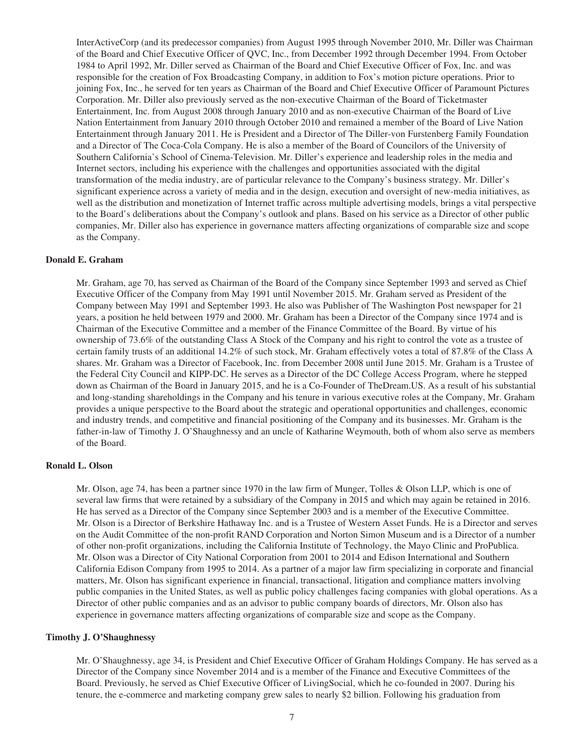InterActiveCorp (and its predecessor companies) from August 1995 through November 2010, Mr. Diller was Chairman of the Board and Chief Executive Officer of QVC, Inc., from December 1992 through December 1994. From October 1984 to April 1992, Mr. Diller served as Chairman of the Board and Chief Executive Officer of Fox, Inc. and was responsible for the creation of Fox Broadcasting Company, in addition to Fox's motion picture operations. Prior to joining Fox, Inc., he served for ten years as Chairman of the Board and Chief Executive Officer of Paramount Pictures Corporation. Mr. Diller also previously served as the non-executive Chairman of the Board of Ticketmaster Entertainment, Inc. from August 2008 through January 2010 and as non-executive Chairman of the Board of Live Nation Entertainment from January 2010 through October 2010 and remained a member of the Board of Live Nation Entertainment through January 2011. He is President and a Director of The Diller-von Furstenberg Family Foundation and a Director of The Coca-Cola Company. He is also a member of the Board of Councilors of the University of Southern California's School of Cinema-Television. Mr. Diller's experience and leadership roles in the media and Internet sectors, including his experience with the challenges and opportunities associated with the digital transformation of the media industry, are of particular relevance to the Company's business strategy. Mr. Diller's significant experience across a variety of media and in the design, execution and oversight of new-media initiatives, as well as the distribution and monetization of Internet traffic across multiple advertising models, brings a vital perspective to the Board's deliberations about the Company's outlook and plans. Based on his service as a Director of other public companies, Mr. Diller also has experience in governance matters affecting organizations of comparable size and scope as the Company.

#### **Donald E. Graham**

Mr. Graham, age 70, has served as Chairman of the Board of the Company since September 1993 and served as Chief Executive Officer of the Company from May 1991 until November 2015. Mr. Graham served as President of the Company between May 1991 and September 1993. He also was Publisher of The Washington Post newspaper for 21 years, a position he held between 1979 and 2000. Mr. Graham has been a Director of the Company since 1974 and is Chairman of the Executive Committee and a member of the Finance Committee of the Board. By virtue of his ownership of 73.6% of the outstanding Class A Stock of the Company and his right to control the vote as a trustee of certain family trusts of an additional 14.2% of such stock, Mr. Graham effectively votes a total of 87.8% of the Class A shares. Mr. Graham was a Director of Facebook, Inc. from December 2008 until June 2015. Mr. Graham is a Trustee of the Federal City Council and KIPP-DC. He serves as a Director of the DC College Access Program, where he stepped down as Chairman of the Board in January 2015, and he is a Co-Founder of TheDream.US. As a result of his substantial and long-standing shareholdings in the Company and his tenure in various executive roles at the Company, Mr. Graham provides a unique perspective to the Board about the strategic and operational opportunities and challenges, economic and industry trends, and competitive and financial positioning of the Company and its businesses. Mr. Graham is the father-in-law of Timothy J. O'Shaughnessy and an uncle of Katharine Weymouth, both of whom also serve as members of the Board.

#### **Ronald L. Olson**

Mr. Olson, age 74, has been a partner since 1970 in the law firm of Munger, Tolles & Olson LLP, which is one of several law firms that were retained by a subsidiary of the Company in 2015 and which may again be retained in 2016. He has served as a Director of the Company since September 2003 and is a member of the Executive Committee. Mr. Olson is a Director of Berkshire Hathaway Inc. and is a Trustee of Western Asset Funds. He is a Director and serves on the Audit Committee of the non-profit RAND Corporation and Norton Simon Museum and is a Director of a number of other non-profit organizations, including the California Institute of Technology, the Mayo Clinic and ProPublica. Mr. Olson was a Director of City National Corporation from 2001 to 2014 and Edison International and Southern California Edison Company from 1995 to 2014. As a partner of a major law firm specializing in corporate and financial matters, Mr. Olson has significant experience in financial, transactional, litigation and compliance matters involving public companies in the United States, as well as public policy challenges facing companies with global operations. As a Director of other public companies and as an advisor to public company boards of directors, Mr. Olson also has experience in governance matters affecting organizations of comparable size and scope as the Company.

#### **Timothy J. O'Shaughnessy**

Mr. O'Shaughnessy, age 34, is President and Chief Executive Officer of Graham Holdings Company. He has served as a Director of the Company since November 2014 and is a member of the Finance and Executive Committees of the Board. Previously, he served as Chief Executive Officer of LivingSocial, which he co-founded in 2007. During his tenure, the e-commerce and marketing company grew sales to nearly \$2 billion. Following his graduation from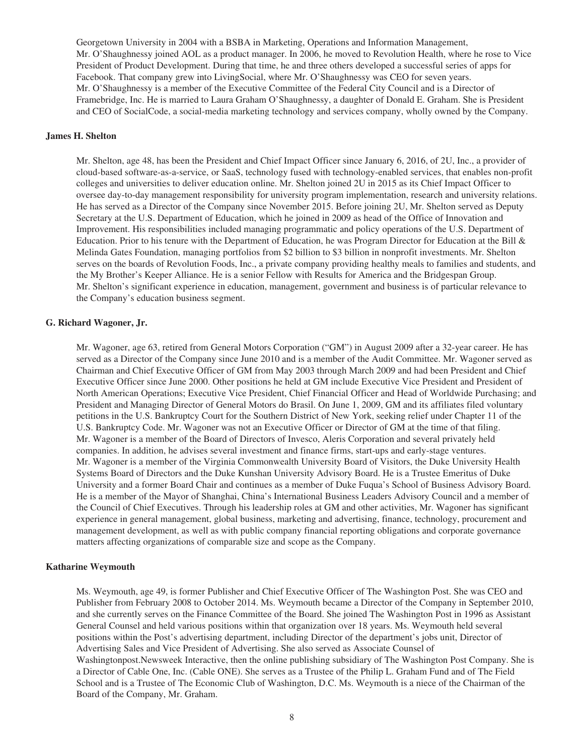Georgetown University in 2004 with a BSBA in Marketing, Operations and Information Management, Mr. O'Shaughnessy joined AOL as a product manager. In 2006, he moved to Revolution Health, where he rose to Vice President of Product Development. During that time, he and three others developed a successful series of apps for Facebook. That company grew into LivingSocial, where Mr. O'Shaughnessy was CEO for seven years. Mr. O'Shaughnessy is a member of the Executive Committee of the Federal City Council and is a Director of Framebridge, Inc. He is married to Laura Graham O'Shaughnessy, a daughter of Donald E. Graham. She is President and CEO of SocialCode, a social-media marketing technology and services company, wholly owned by the Company.

## **James H. Shelton**

Mr. Shelton, age 48, has been the President and Chief Impact Officer since January 6, 2016, of 2U, Inc., a provider of cloud-based software-as-a-service, or SaaS, technology fused with technology-enabled services, that enables non-profit colleges and universities to deliver education online. Mr. Shelton joined 2U in 2015 as its Chief Impact Officer to oversee day-to-day management responsibility for university program implementation, research and university relations. He has served as a Director of the Company since November 2015. Before joining 2U, Mr. Shelton served as Deputy Secretary at the U.S. Department of Education, which he joined in 2009 as head of the Office of Innovation and Improvement. His responsibilities included managing programmatic and policy operations of the U.S. Department of Education. Prior to his tenure with the Department of Education, he was Program Director for Education at the Bill & Melinda Gates Foundation, managing portfolios from \$2 billion to \$3 billion in nonprofit investments. Mr. Shelton serves on the boards of Revolution Foods, Inc., a private company providing healthy meals to families and students, and the My Brother's Keeper Alliance. He is a senior Fellow with Results for America and the Bridgespan Group. Mr. Shelton's significant experience in education, management, government and business is of particular relevance to the Company's education business segment.

#### **G. Richard Wagoner, Jr.**

Mr. Wagoner, age 63, retired from General Motors Corporation ("GM") in August 2009 after a 32-year career. He has served as a Director of the Company since June 2010 and is a member of the Audit Committee. Mr. Wagoner served as Chairman and Chief Executive Officer of GM from May 2003 through March 2009 and had been President and Chief Executive Officer since June 2000. Other positions he held at GM include Executive Vice President and President of North American Operations; Executive Vice President, Chief Financial Officer and Head of Worldwide Purchasing; and President and Managing Director of General Motors do Brasil. On June 1, 2009, GM and its affiliates filed voluntary petitions in the U.S. Bankruptcy Court for the Southern District of New York, seeking relief under Chapter 11 of the U.S. Bankruptcy Code. Mr. Wagoner was not an Executive Officer or Director of GM at the time of that filing. Mr. Wagoner is a member of the Board of Directors of Invesco, Aleris Corporation and several privately held companies. In addition, he advises several investment and finance firms, start-ups and early-stage ventures. Mr. Wagoner is a member of the Virginia Commonwealth University Board of Visitors, the Duke University Health Systems Board of Directors and the Duke Kunshan University Advisory Board. He is a Trustee Emeritus of Duke University and a former Board Chair and continues as a member of Duke Fuqua's School of Business Advisory Board. He is a member of the Mayor of Shanghai, China's International Business Leaders Advisory Council and a member of the Council of Chief Executives. Through his leadership roles at GM and other activities, Mr. Wagoner has significant experience in general management, global business, marketing and advertising, finance, technology, procurement and management development, as well as with public company financial reporting obligations and corporate governance matters affecting organizations of comparable size and scope as the Company.

#### **Katharine Weymouth**

Ms. Weymouth, age 49, is former Publisher and Chief Executive Officer of The Washington Post. She was CEO and Publisher from February 2008 to October 2014. Ms. Weymouth became a Director of the Company in September 2010, and she currently serves on the Finance Committee of the Board. She joined The Washington Post in 1996 as Assistant General Counsel and held various positions within that organization over 18 years. Ms. Weymouth held several positions within the Post's advertising department, including Director of the department's jobs unit, Director of Advertising Sales and Vice President of Advertising. She also served as Associate Counsel of Washingtonpost.Newsweek Interactive, then the online publishing subsidiary of The Washington Post Company. She is a Director of Cable One, Inc. (Cable ONE). She serves as a Trustee of the Philip L. Graham Fund and of The Field School and is a Trustee of The Economic Club of Washington, D.C. Ms. Weymouth is a niece of the Chairman of the Board of the Company, Mr. Graham.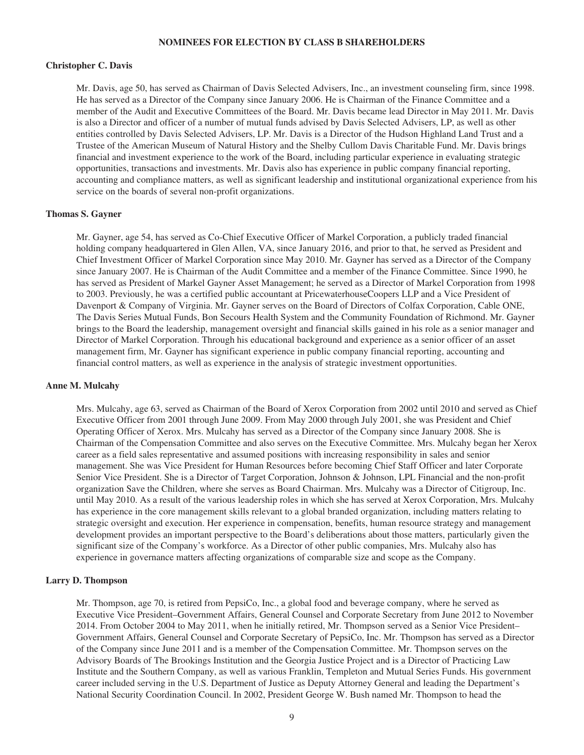#### **NOMINEES FOR ELECTION BY CLASS B SHAREHOLDERS**

#### **Christopher C. Davis**

Mr. Davis, age 50, has served as Chairman of Davis Selected Advisers, Inc., an investment counseling firm, since 1998. He has served as a Director of the Company since January 2006. He is Chairman of the Finance Committee and a member of the Audit and Executive Committees of the Board. Mr. Davis became lead Director in May 2011. Mr. Davis is also a Director and officer of a number of mutual funds advised by Davis Selected Advisers, LP, as well as other entities controlled by Davis Selected Advisers, LP. Mr. Davis is a Director of the Hudson Highland Land Trust and a Trustee of the American Museum of Natural History and the Shelby Cullom Davis Charitable Fund. Mr. Davis brings financial and investment experience to the work of the Board, including particular experience in evaluating strategic opportunities, transactions and investments. Mr. Davis also has experience in public company financial reporting, accounting and compliance matters, as well as significant leadership and institutional organizational experience from his service on the boards of several non-profit organizations.

#### **Thomas S. Gayner**

Mr. Gayner, age 54, has served as Co-Chief Executive Officer of Markel Corporation, a publicly traded financial holding company headquartered in Glen Allen, VA, since January 2016, and prior to that, he served as President and Chief Investment Officer of Markel Corporation since May 2010. Mr. Gayner has served as a Director of the Company since January 2007. He is Chairman of the Audit Committee and a member of the Finance Committee. Since 1990, he has served as President of Markel Gayner Asset Management; he served as a Director of Markel Corporation from 1998 to 2003. Previously, he was a certified public accountant at PricewaterhouseCoopers LLP and a Vice President of Davenport & Company of Virginia. Mr. Gayner serves on the Board of Directors of Colfax Corporation, Cable ONE, The Davis Series Mutual Funds, Bon Secours Health System and the Community Foundation of Richmond. Mr. Gayner brings to the Board the leadership, management oversight and financial skills gained in his role as a senior manager and Director of Markel Corporation. Through his educational background and experience as a senior officer of an asset management firm, Mr. Gayner has significant experience in public company financial reporting, accounting and financial control matters, as well as experience in the analysis of strategic investment opportunities.

#### **Anne M. Mulcahy**

Mrs. Mulcahy, age 63, served as Chairman of the Board of Xerox Corporation from 2002 until 2010 and served as Chief Executive Officer from 2001 through June 2009. From May 2000 through July 2001, she was President and Chief Operating Officer of Xerox. Mrs. Mulcahy has served as a Director of the Company since January 2008. She is Chairman of the Compensation Committee and also serves on the Executive Committee. Mrs. Mulcahy began her Xerox career as a field sales representative and assumed positions with increasing responsibility in sales and senior management. She was Vice President for Human Resources before becoming Chief Staff Officer and later Corporate Senior Vice President. She is a Director of Target Corporation, Johnson & Johnson, LPL Financial and the non-profit organization Save the Children, where she serves as Board Chairman. Mrs. Mulcahy was a Director of Citigroup, Inc. until May 2010. As a result of the various leadership roles in which she has served at Xerox Corporation, Mrs. Mulcahy has experience in the core management skills relevant to a global branded organization, including matters relating to strategic oversight and execution. Her experience in compensation, benefits, human resource strategy and management development provides an important perspective to the Board's deliberations about those matters, particularly given the significant size of the Company's workforce. As a Director of other public companies, Mrs. Mulcahy also has experience in governance matters affecting organizations of comparable size and scope as the Company.

#### **Larry D. Thompson**

Mr. Thompson, age 70, is retired from PepsiCo, Inc., a global food and beverage company, where he served as Executive Vice President–Government Affairs, General Counsel and Corporate Secretary from June 2012 to November 2014. From October 2004 to May 2011, when he initially retired, Mr. Thompson served as a Senior Vice President– Government Affairs, General Counsel and Corporate Secretary of PepsiCo, Inc. Mr. Thompson has served as a Director of the Company since June 2011 and is a member of the Compensation Committee. Mr. Thompson serves on the Advisory Boards of The Brookings Institution and the Georgia Justice Project and is a Director of Practicing Law Institute and the Southern Company, as well as various Franklin, Templeton and Mutual Series Funds. His government career included serving in the U.S. Department of Justice as Deputy Attorney General and leading the Department's National Security Coordination Council. In 2002, President George W. Bush named Mr. Thompson to head the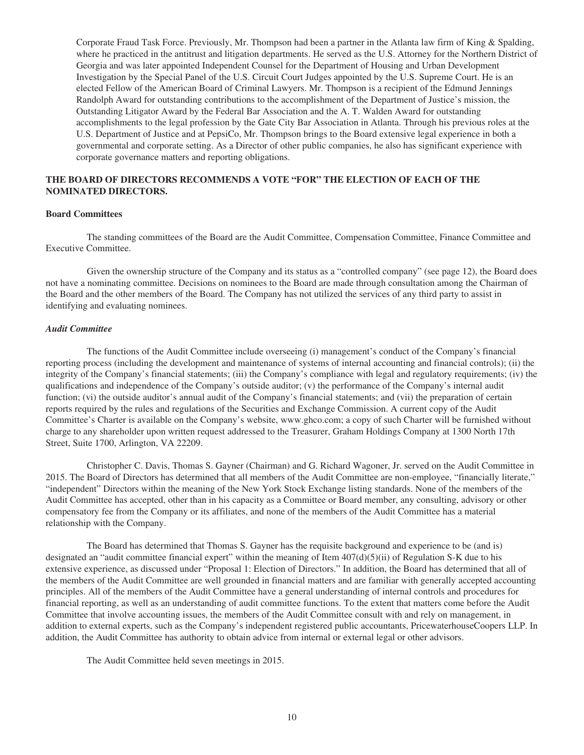Corporate Fraud Task Force. Previously, Mr. Thompson had been a partner in the Atlanta law firm of King & Spalding, where he practiced in the antitrust and litigation departments. He served as the U.S. Attorney for the Northern District of Georgia and was later appointed Independent Counsel for the Department of Housing and Urban Development Investigation by the Special Panel of the U.S. Circuit Court Judges appointed by the U.S. Supreme Court. He is an elected Fellow of the American Board of Criminal Lawyers. Mr. Thompson is a recipient of the Edmund Jennings Randolph Award for outstanding contributions to the accomplishment of the Department of Justice's mission, the Outstanding Litigator Award by the Federal Bar Association and the A. T. Walden Award for outstanding accomplishments to the legal profession by the Gate City Bar Association in Atlanta. Through his previous roles at the U.S. Department of Justice and at PepsiCo, Mr. Thompson brings to the Board extensive legal experience in both a governmental and corporate setting. As a Director of other public companies, he also has significant experience with corporate governance matters and reporting obligations.

## **THE BOARD OF DIRECTORS RECOMMENDS A VOTE "FOR" THE ELECTION OF EACH OF THE NOMINATED DIRECTORS.**

#### **Board Committees**

The standing committees of the Board are the Audit Committee, Compensation Committee, Finance Committee and Executive Committee.

Given the ownership structure of the Company and its status as a "controlled company" (see page 12), the Board does not have a nominating committee. Decisions on nominees to the Board are made through consultation among the Chairman of the Board and the other members of the Board. The Company has not utilized the services of any third party to assist in identifying and evaluating nominees.

#### *Audit Committee*

The functions of the Audit Committee include overseeing (i) management's conduct of the Company's financial reporting process (including the development and maintenance of systems of internal accounting and financial controls); (ii) the integrity of the Company's financial statements; (iii) the Company's compliance with legal and regulatory requirements; (iv) the qualifications and independence of the Company's outside auditor; (v) the performance of the Company's internal audit function; (vi) the outside auditor's annual audit of the Company's financial statements; and (vii) the preparation of certain reports required by the rules and regulations of the Securities and Exchange Commission. A current copy of the Audit Committee's Charter is available on the Company's website, www.ghco.com; a copy of such Charter will be furnished without charge to any shareholder upon written request addressed to the Treasurer, Graham Holdings Company at 1300 North 17th Street, Suite 1700, Arlington, VA 22209.

Christopher C. Davis, Thomas S. Gayner (Chairman) and G. Richard Wagoner, Jr. served on the Audit Committee in 2015. The Board of Directors has determined that all members of the Audit Committee are non-employee, "financially literate," "independent" Directors within the meaning of the New York Stock Exchange listing standards. None of the members of the Audit Committee has accepted, other than in his capacity as a Committee or Board member, any consulting, advisory or other compensatory fee from the Company or its affiliates, and none of the members of the Audit Committee has a material relationship with the Company.

The Board has determined that Thomas S. Gayner has the requisite background and experience to be (and is) designated an "audit committee financial expert" within the meaning of Item  $407(d)(5)(ii)$  of Regulation S-K due to his extensive experience, as discussed under "Proposal 1: Election of Directors." In addition, the Board has determined that all of the members of the Audit Committee are well grounded in financial matters and are familiar with generally accepted accounting principles. All of the members of the Audit Committee have a general understanding of internal controls and procedures for financial reporting, as well as an understanding of audit committee functions. To the extent that matters come before the Audit Committee that involve accounting issues, the members of the Audit Committee consult with and rely on management, in addition to external experts, such as the Company's independent registered public accountants, PricewaterhouseCoopers LLP. In addition, the Audit Committee has authority to obtain advice from internal or external legal or other advisors.

The Audit Committee held seven meetings in 2015.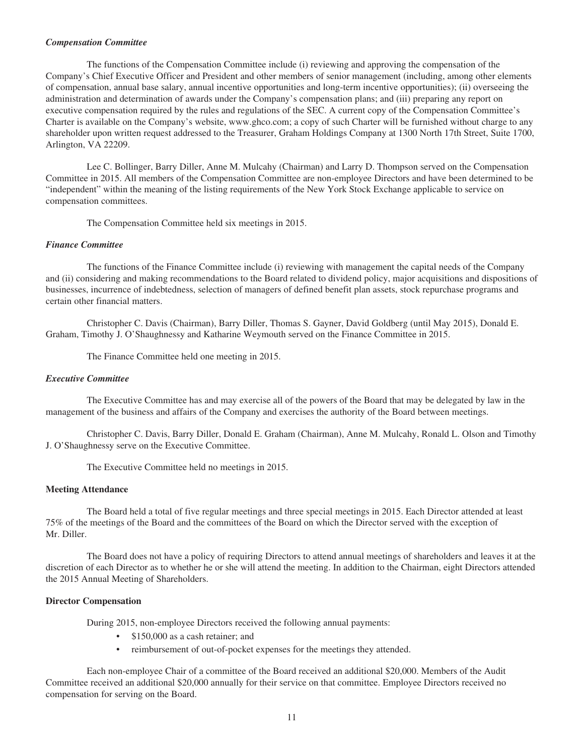#### *Compensation Committee*

The functions of the Compensation Committee include (i) reviewing and approving the compensation of the Company's Chief Executive Officer and President and other members of senior management (including, among other elements of compensation, annual base salary, annual incentive opportunities and long-term incentive opportunities); (ii) overseeing the administration and determination of awards under the Company's compensation plans; and (iii) preparing any report on executive compensation required by the rules and regulations of the SEC. A current copy of the Compensation Committee's Charter is available on the Company's website, www.ghco.com; a copy of such Charter will be furnished without charge to any shareholder upon written request addressed to the Treasurer, Graham Holdings Company at 1300 North 17th Street, Suite 1700, Arlington, VA 22209.

Lee C. Bollinger, Barry Diller, Anne M. Mulcahy (Chairman) and Larry D. Thompson served on the Compensation Committee in 2015. All members of the Compensation Committee are non-employee Directors and have been determined to be "independent" within the meaning of the listing requirements of the New York Stock Exchange applicable to service on compensation committees.

The Compensation Committee held six meetings in 2015.

#### *Finance Committee*

The functions of the Finance Committee include (i) reviewing with management the capital needs of the Company and (ii) considering and making recommendations to the Board related to dividend policy, major acquisitions and dispositions of businesses, incurrence of indebtedness, selection of managers of defined benefit plan assets, stock repurchase programs and certain other financial matters.

Christopher C. Davis (Chairman), Barry Diller, Thomas S. Gayner, David Goldberg (until May 2015), Donald E. Graham, Timothy J. O'Shaughnessy and Katharine Weymouth served on the Finance Committee in 2015.

The Finance Committee held one meeting in 2015.

#### *Executive Committee*

The Executive Committee has and may exercise all of the powers of the Board that may be delegated by law in the management of the business and affairs of the Company and exercises the authority of the Board between meetings.

Christopher C. Davis, Barry Diller, Donald E. Graham (Chairman), Anne M. Mulcahy, Ronald L. Olson and Timothy J. O'Shaughnessy serve on the Executive Committee.

The Executive Committee held no meetings in 2015.

#### **Meeting Attendance**

The Board held a total of five regular meetings and three special meetings in 2015. Each Director attended at least 75% of the meetings of the Board and the committees of the Board on which the Director served with the exception of Mr. Diller.

The Board does not have a policy of requiring Directors to attend annual meetings of shareholders and leaves it at the discretion of each Director as to whether he or she will attend the meeting. In addition to the Chairman, eight Directors attended the 2015 Annual Meeting of Shareholders.

#### **Director Compensation**

During 2015, non-employee Directors received the following annual payments:

- \$150,000 as a cash retainer; and
- reimbursement of out-of-pocket expenses for the meetings they attended.

Each non-employee Chair of a committee of the Board received an additional \$20,000. Members of the Audit Committee received an additional \$20,000 annually for their service on that committee. Employee Directors received no compensation for serving on the Board.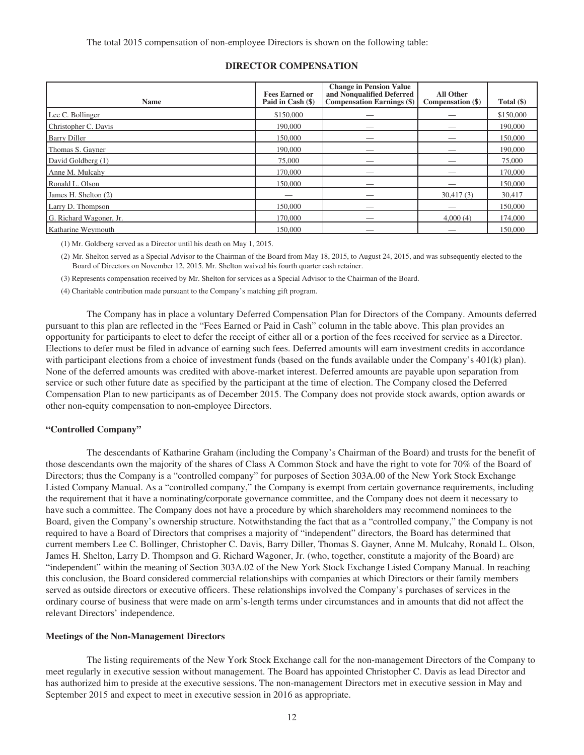The total 2015 compensation of non-employee Directors is shown on the following table:

| Name                    | <b>Fees Earned or</b><br>Paid in Cash (\$) | <b>Change in Pension Value</b><br>and Nonqualified Deferred<br><b>Compensation Earnings (\$)</b> | All Other<br>Compensation (\$) | Total $(\$)$ |
|-------------------------|--------------------------------------------|--------------------------------------------------------------------------------------------------|--------------------------------|--------------|
| Lee C. Bollinger        | \$150,000                                  |                                                                                                  |                                | \$150,000    |
| Christopher C. Davis    | 190,000                                    |                                                                                                  |                                | 190,000      |
| <b>Barry Diller</b>     | 150,000                                    | __                                                                                               |                                | 150,000      |
| Thomas S. Gayner        | 190,000                                    |                                                                                                  |                                | 190,000      |
| David Goldberg (1)      | 75,000                                     |                                                                                                  |                                | 75,000       |
| Anne M. Mulcahy         | 170,000                                    |                                                                                                  |                                | 170,000      |
| Ronald L. Olson         | 150,000                                    | __                                                                                               |                                | 150,000      |
| James H. Shelton (2)    |                                            |                                                                                                  | 30,417(3)                      | 30,417       |
| Larry D. Thompson       | 150,000                                    |                                                                                                  |                                | 150,000      |
| G. Richard Wagoner, Jr. | 170,000                                    |                                                                                                  | 4,000(4)                       | 174,000      |
| Katharine Weymouth      | 150,000                                    | __                                                                                               |                                | 150,000      |

## **DIRECTOR COMPENSATION**

(1) Mr. Goldberg served as a Director until his death on May 1, 2015.

(2) Mr. Shelton served as a Special Advisor to the Chairman of the Board from May 18, 2015, to August 24, 2015, and was subsequently elected to the Board of Directors on November 12, 2015. Mr. Shelton waived his fourth quarter cash retainer.

(3) Represents compensation received by Mr. Shelton for services as a Special Advisor to the Chairman of the Board.

(4) Charitable contribution made pursuant to the Company's matching gift program.

The Company has in place a voluntary Deferred Compensation Plan for Directors of the Company. Amounts deferred pursuant to this plan are reflected in the "Fees Earned or Paid in Cash" column in the table above. This plan provides an opportunity for participants to elect to defer the receipt of either all or a portion of the fees received for service as a Director. Elections to defer must be filed in advance of earning such fees. Deferred amounts will earn investment credits in accordance with participant elections from a choice of investment funds (based on the funds available under the Company's 401(k) plan). None of the deferred amounts was credited with above-market interest. Deferred amounts are payable upon separation from service or such other future date as specified by the participant at the time of election. The Company closed the Deferred Compensation Plan to new participants as of December 2015. The Company does not provide stock awards, option awards or other non-equity compensation to non-employee Directors.

#### **"Controlled Company"**

The descendants of Katharine Graham (including the Company's Chairman of the Board) and trusts for the benefit of those descendants own the majority of the shares of Class A Common Stock and have the right to vote for 70% of the Board of Directors; thus the Company is a "controlled company" for purposes of Section 303A.00 of the New York Stock Exchange Listed Company Manual. As a "controlled company," the Company is exempt from certain governance requirements, including the requirement that it have a nominating/corporate governance committee, and the Company does not deem it necessary to have such a committee. The Company does not have a procedure by which shareholders may recommend nominees to the Board, given the Company's ownership structure. Notwithstanding the fact that as a "controlled company," the Company is not required to have a Board of Directors that comprises a majority of "independent" directors, the Board has determined that current members Lee C. Bollinger, Christopher C. Davis, Barry Diller, Thomas S. Gayner, Anne M. Mulcahy, Ronald L. Olson, James H. Shelton, Larry D. Thompson and G. Richard Wagoner, Jr. (who, together, constitute a majority of the Board) are "independent" within the meaning of Section 303A.02 of the New York Stock Exchange Listed Company Manual. In reaching this conclusion, the Board considered commercial relationships with companies at which Directors or their family members served as outside directors or executive officers. These relationships involved the Company's purchases of services in the ordinary course of business that were made on arm's-length terms under circumstances and in amounts that did not affect the relevant Directors' independence.

#### **Meetings of the Non-Management Directors**

The listing requirements of the New York Stock Exchange call for the non-management Directors of the Company to meet regularly in executive session without management. The Board has appointed Christopher C. Davis as lead Director and has authorized him to preside at the executive sessions. The non-management Directors met in executive session in May and September 2015 and expect to meet in executive session in 2016 as appropriate.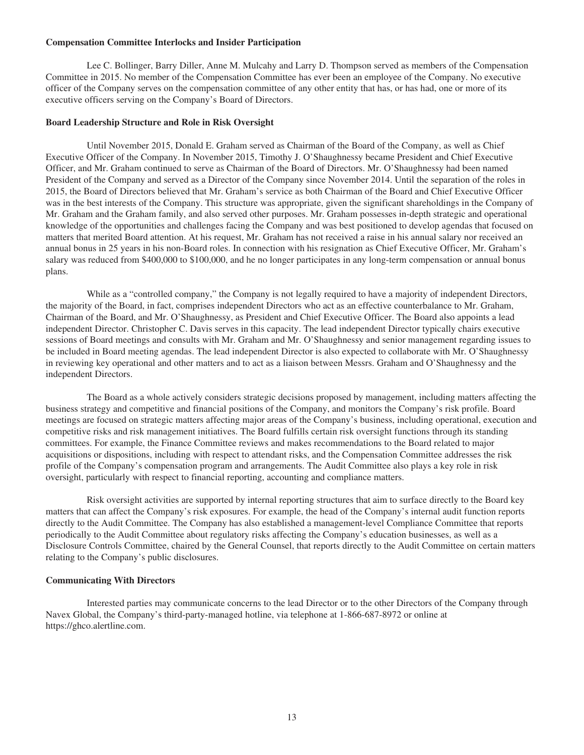#### **Compensation Committee Interlocks and Insider Participation**

Lee C. Bollinger, Barry Diller, Anne M. Mulcahy and Larry D. Thompson served as members of the Compensation Committee in 2015. No member of the Compensation Committee has ever been an employee of the Company. No executive officer of the Company serves on the compensation committee of any other entity that has, or has had, one or more of its executive officers serving on the Company's Board of Directors.

#### **Board Leadership Structure and Role in Risk Oversight**

Until November 2015, Donald E. Graham served as Chairman of the Board of the Company, as well as Chief Executive Officer of the Company. In November 2015, Timothy J. O'Shaughnessy became President and Chief Executive Officer, and Mr. Graham continued to serve as Chairman of the Board of Directors. Mr. O'Shaughnessy had been named President of the Company and served as a Director of the Company since November 2014. Until the separation of the roles in 2015, the Board of Directors believed that Mr. Graham's service as both Chairman of the Board and Chief Executive Officer was in the best interests of the Company. This structure was appropriate, given the significant shareholdings in the Company of Mr. Graham and the Graham family, and also served other purposes. Mr. Graham possesses in-depth strategic and operational knowledge of the opportunities and challenges facing the Company and was best positioned to develop agendas that focused on matters that merited Board attention. At his request, Mr. Graham has not received a raise in his annual salary nor received an annual bonus in 25 years in his non-Board roles. In connection with his resignation as Chief Executive Officer, Mr. Graham's salary was reduced from \$400,000 to \$100,000, and he no longer participates in any long-term compensation or annual bonus plans.

While as a "controlled company," the Company is not legally required to have a majority of independent Directors, the majority of the Board, in fact, comprises independent Directors who act as an effective counterbalance to Mr. Graham, Chairman of the Board, and Mr. O'Shaughnessy, as President and Chief Executive Officer. The Board also appoints a lead independent Director. Christopher C. Davis serves in this capacity. The lead independent Director typically chairs executive sessions of Board meetings and consults with Mr. Graham and Mr. O'Shaughnessy and senior management regarding issues to be included in Board meeting agendas. The lead independent Director is also expected to collaborate with Mr. O'Shaughnessy in reviewing key operational and other matters and to act as a liaison between Messrs. Graham and O'Shaughnessy and the independent Directors.

The Board as a whole actively considers strategic decisions proposed by management, including matters affecting the business strategy and competitive and financial positions of the Company, and monitors the Company's risk profile. Board meetings are focused on strategic matters affecting major areas of the Company's business, including operational, execution and competitive risks and risk management initiatives. The Board fulfills certain risk oversight functions through its standing committees. For example, the Finance Committee reviews and makes recommendations to the Board related to major acquisitions or dispositions, including with respect to attendant risks, and the Compensation Committee addresses the risk profile of the Company's compensation program and arrangements. The Audit Committee also plays a key role in risk oversight, particularly with respect to financial reporting, accounting and compliance matters.

Risk oversight activities are supported by internal reporting structures that aim to surface directly to the Board key matters that can affect the Company's risk exposures. For example, the head of the Company's internal audit function reports directly to the Audit Committee. The Company has also established a management-level Compliance Committee that reports periodically to the Audit Committee about regulatory risks affecting the Company's education businesses, as well as a Disclosure Controls Committee, chaired by the General Counsel, that reports directly to the Audit Committee on certain matters relating to the Company's public disclosures.

#### **Communicating With Directors**

Interested parties may communicate concerns to the lead Director or to the other Directors of the Company through Navex Global, the Company's third-party-managed hotline, via telephone at 1-866-687-8972 or online at https://ghco.alertline.com.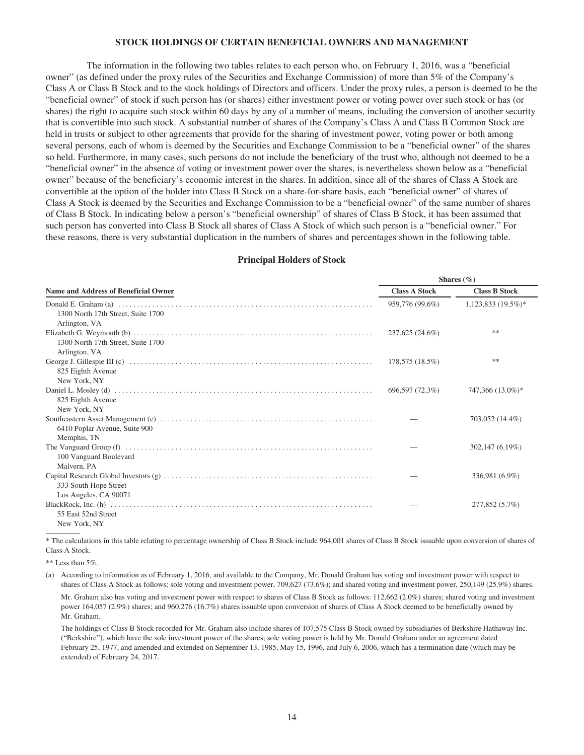#### **STOCK HOLDINGS OF CERTAIN BENEFICIAL OWNERS AND MANAGEMENT**

The information in the following two tables relates to each person who, on February 1, 2016, was a "beneficial owner" (as defined under the proxy rules of the Securities and Exchange Commission) of more than 5% of the Company's Class A or Class B Stock and to the stock holdings of Directors and officers. Under the proxy rules, a person is deemed to be the "beneficial owner" of stock if such person has (or shares) either investment power or voting power over such stock or has (or shares) the right to acquire such stock within 60 days by any of a number of means, including the conversion of another security that is convertible into such stock. A substantial number of shares of the Company's Class A and Class B Common Stock are held in trusts or subject to other agreements that provide for the sharing of investment power, voting power or both among several persons, each of whom is deemed by the Securities and Exchange Commission to be a "beneficial owner" of the shares so held. Furthermore, in many cases, such persons do not include the beneficiary of the trust who, although not deemed to be a "beneficial owner" in the absence of voting or investment power over the shares, is nevertheless shown below as a "beneficial owner" because of the beneficiary's economic interest in the shares. In addition, since all of the shares of Class A Stock are convertible at the option of the holder into Class B Stock on a share-for-share basis, each "beneficial owner" of shares of Class A Stock is deemed by the Securities and Exchange Commission to be a "beneficial owner" of the same number of shares of Class B Stock. In indicating below a person's "beneficial ownership" of shares of Class B Stock, it has been assumed that such person has converted into Class B Stock all shares of Class A Stock of which such person is a "beneficial owner." For these reasons, there is very substantial duplication in the numbers of shares and percentages shown in the following table.

#### **Principal Holders of Stock**

|                                                                                                                                                                                          | Shares $(\% )$       |                      |  |  |
|------------------------------------------------------------------------------------------------------------------------------------------------------------------------------------------|----------------------|----------------------|--|--|
| <b>Name and Address of Beneficial Owner</b>                                                                                                                                              | <b>Class A Stock</b> | <b>Class B Stock</b> |  |  |
| 1300 North 17th Street, Suite 1700                                                                                                                                                       | 959,776 (99.6%)      | $1,123,833(19.5\%)*$ |  |  |
| Arlington, VA<br>1300 North 17th Street, Suite 1700                                                                                                                                      | 237,625 (24.6%)      | **                   |  |  |
| Arlington, VA<br>825 Eighth Avenue                                                                                                                                                       | 178,575 (18.5%)      | 冰冰                   |  |  |
| New York, NY<br>825 Eighth Avenue                                                                                                                                                        | 696,597 (72.3%)      | 747,366 (13.0%)*     |  |  |
| New York, NY<br>6410 Poplar Avenue, Suite 900                                                                                                                                            |                      | 703,052 (14.4%)      |  |  |
| Memphis, TN<br>100 Vanguard Boulevard                                                                                                                                                    |                      | 302,147 (6.19%)      |  |  |
| Malvern, PA<br>333 South Hope Street                                                                                                                                                     |                      | 336,981 (6.9%)       |  |  |
| Los Angeles, CA 90071<br>BlackRock, Inc. (h) $\ldots$ $\ldots$ $\ldots$ $\ldots$ $\ldots$ $\ldots$ $\ldots$ $\ldots$ $\ldots$ $\ldots$ $\ldots$ $\ldots$ $\ldots$<br>55 East 52nd Street |                      | 277,852 (5.7%)       |  |  |
| New York, NY                                                                                                                                                                             |                      |                      |  |  |

\* The calculations in this table relating to percentage ownership of Class B Stock include 964,001 shares of Class B Stock issuable upon conversion of shares of Class A Stock.

 $**$  Less than 5%.

(a) According to information as of February 1, 2016, and available to the Company, Mr. Donald Graham has voting and investment power with respect to shares of Class A Stock as follows: sole voting and investment power, 709,627 (73.6%); and shared voting and investment power, 250,149 (25.9%) shares.

Mr. Graham also has voting and investment power with respect to shares of Class B Stock as follows: 112,662 (2.0%) shares; shared voting and investment power 164,057 (2.9%) shares; and 960,276 (16.7%) shares issuable upon conversion of shares of Class A Stock deemed to be beneficially owned by Mr. Graham.

The holdings of Class B Stock recorded for Mr. Graham also include shares of 107,575 Class B Stock owned by subsidiaries of Berkshire Hathaway Inc. ("Berkshire"), which have the sole investment power of the shares; sole voting power is held by Mr. Donald Graham under an agreement dated February 25, 1977, and amended and extended on September 13, 1985, May 15, 1996, and July 6, 2006, which has a termination date (which may be extended) of February 24, 2017.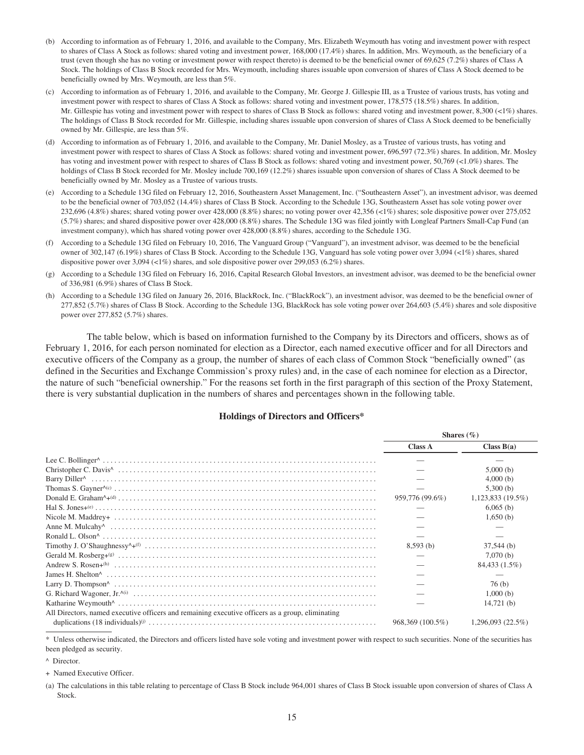- (b) According to information as of February 1, 2016, and available to the Company, Mrs. Elizabeth Weymouth has voting and investment power with respect to shares of Class A Stock as follows: shared voting and investment power, 168,000 (17.4%) shares. In addition, Mrs. Weymouth, as the beneficiary of a trust (even though she has no voting or investment power with respect thereto) is deemed to be the beneficial owner of 69,625 (7.2%) shares of Class A Stock. The holdings of Class B Stock recorded for Mrs. Weymouth, including shares issuable upon conversion of shares of Class A Stock deemed to be beneficially owned by Mrs. Weymouth, are less than 5%.
- (c) According to information as of February 1, 2016, and available to the Company, Mr. George J. Gillespie III, as a Trustee of various trusts, has voting and investment power with respect to shares of Class A Stock as follows: shared voting and investment power, 178,575 (18.5%) shares. In addition, Mr. Gillespie has voting and investment power with respect to shares of Class B Stock as follows: shared voting and investment power, 8,300 (<1%) shares. The holdings of Class B Stock recorded for Mr. Gillespie, including shares issuable upon conversion of shares of Class A Stock deemed to be beneficially owned by Mr. Gillespie, are less than 5%.
- (d) According to information as of February 1, 2016, and available to the Company, Mr. Daniel Mosley, as a Trustee of various trusts, has voting and investment power with respect to shares of Class A Stock as follows: shared voting and investment power, 696,597 (72.3%) shares. In addition, Mr. Mosley has voting and investment power with respect to shares of Class B Stock as follows: shared voting and investment power, 50,769 (<1.0%) shares. The holdings of Class B Stock recorded for Mr. Mosley include 700,169 (12.2%) shares issuable upon conversion of shares of Class A Stock deemed to be beneficially owned by Mr. Mosley as a Trustee of various trusts.
- (e) According to a Schedule 13G filed on February 12, 2016, Southeastern Asset Management, Inc. ("Southeastern Asset"), an investment advisor, was deemed to be the beneficial owner of 703,052 (14.4%) shares of Class B Stock. According to the Schedule 13G, Southeastern Asset has sole voting power over 232,696 (4.8%) shares; shared voting power over 428,000 (8.8%) shares; no voting power over 42,356 (<1%) shares; sole dispositive power over 275,052 (5.7%) shares; and shared dispositive power over 428,000 (8.8%) shares. The Schedule 13G was filed jointly with Longleaf Partners Small-Cap Fund (an investment company), which has shared voting power over 428,000 (8.8%) shares, according to the Schedule 13G.
- (f) According to a Schedule 13G filed on February 10, 2016, The Vanguard Group ("Vanguard"), an investment advisor, was deemed to be the beneficial owner of 302,147 (6.19%) shares of Class B Stock. According to the Schedule 13G, Vanguard has sole voting power over 3,094 (<1%) shares, shared dispositive power over 3,094 (<1%) shares, and sole dispositive power over 299,053 (6.2%) shares.
- (g) According to a Schedule 13G filed on February 16, 2016, Capital Research Global Investors, an investment advisor, was deemed to be the beneficial owner of 336,981 (6.9%) shares of Class B Stock.
- (h) According to a Schedule 13G filed on January 26, 2016, BlackRock, Inc. ("BlackRock"), an investment advisor, was deemed to be the beneficial owner of 277,852 (5.7%) shares of Class B Stock. According to the Schedule 13G, BlackRock has sole voting power over 264,603 (5.4%) shares and sole dispositive power over 277,852 (5.7%) shares.

The table below, which is based on information furnished to the Company by its Directors and officers, shows as of February 1, 2016, for each person nominated for election as a Director, each named executive officer and for all Directors and executive officers of the Company as a group, the number of shares of each class of Common Stock "beneficially owned" (as defined in the Securities and Exchange Commission's proxy rules) and, in the case of each nominee for election as a Director, the nature of such "beneficial ownership." For the reasons set forth in the first paragraph of this section of the Proxy Statement, there is very substantial duplication in the numbers of shares and percentages shown in the following table.

#### **Holdings of Directors and Officers\***

|                                                                                                  |                  | Shares $(\%)$       |
|--------------------------------------------------------------------------------------------------|------------------|---------------------|
|                                                                                                  | <b>Class A</b>   | Class $B(a)$        |
|                                                                                                  |                  |                     |
|                                                                                                  |                  | 5,000(b)            |
|                                                                                                  |                  | 4,000(b)            |
|                                                                                                  |                  | 5,300(b)            |
|                                                                                                  | 959,776 (99.6%)  | $1,123,833(19.5\%)$ |
|                                                                                                  |                  | $6,065$ (b)         |
|                                                                                                  |                  | 1,650(b)            |
|                                                                                                  |                  |                     |
|                                                                                                  |                  |                     |
|                                                                                                  | 8,593(b)         | $37,544$ (b)        |
|                                                                                                  |                  | 7,070(b)            |
|                                                                                                  |                  | 84,433 (1.5%)       |
|                                                                                                  |                  |                     |
|                                                                                                  |                  | 76(b)               |
|                                                                                                  |                  | 1,000(b)            |
|                                                                                                  |                  | 14,721(b)           |
| All Directors, named executive officers and remaining executive officers as a group, eliminating |                  |                     |
|                                                                                                  | 968.369 (100.5%) | 1.296.093(22.5%)    |

\* Unless otherwise indicated, the Directors and officers listed have sole voting and investment power with respect to such securities. None of the securities has been pledged as security.

<sup>^</sup> Director.

<sup>+</sup> Named Executive Officer.

<sup>(</sup>a) The calculations in this table relating to percentage of Class B Stock include 964,001 shares of Class B Stock issuable upon conversion of shares of Class A Stock.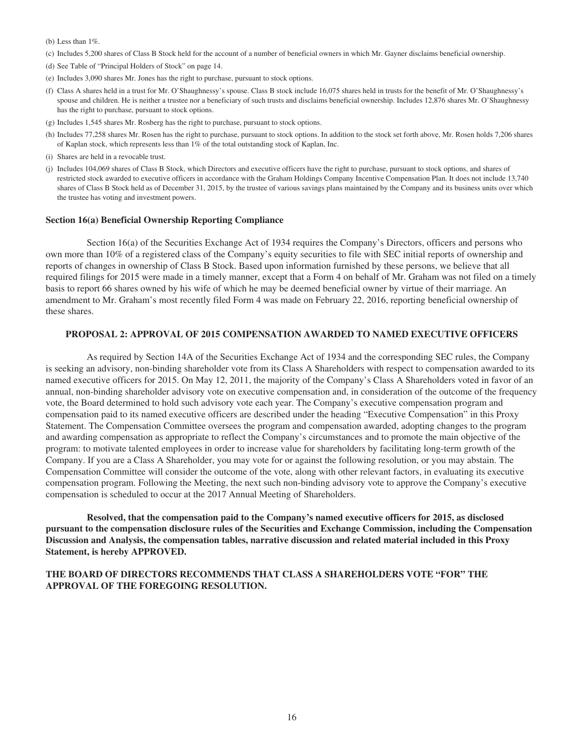(b) Less than 1%.

- (c) Includes 5,200 shares of Class B Stock held for the account of a number of beneficial owners in which Mr. Gayner disclaims beneficial ownership.
- (d) See Table of "Principal Holders of Stock" on page 14.
- (e) Includes 3,090 shares Mr. Jones has the right to purchase, pursuant to stock options.
- (f) Class A shares held in a trust for Mr. O'Shaughnessy's spouse. Class B stock include 16,075 shares held in trusts for the benefit of Mr. O'Shaughnessy's spouse and children. He is neither a trustee nor a beneficiary of such trusts and disclaims beneficial ownership. Includes 12,876 shares Mr. O'Shaughnessy has the right to purchase, pursuant to stock options.
- (g) Includes 1,545 shares Mr. Rosberg has the right to purchase, pursuant to stock options.
- (h) Includes 77,258 shares Mr. Rosen has the right to purchase, pursuant to stock options. In addition to the stock set forth above, Mr. Rosen holds 7,206 shares of Kaplan stock, which represents less than 1% of the total outstanding stock of Kaplan, Inc.
- (i) Shares are held in a revocable trust.
- (j) Includes 104,069 shares of Class B Stock, which Directors and executive officers have the right to purchase, pursuant to stock options, and shares of restricted stock awarded to executive officers in accordance with the Graham Holdings Company Incentive Compensation Plan. It does not include 13,740 shares of Class B Stock held as of December 31, 2015, by the trustee of various savings plans maintained by the Company and its business units over which the trustee has voting and investment powers.

#### **Section 16(a) Beneficial Ownership Reporting Compliance**

Section 16(a) of the Securities Exchange Act of 1934 requires the Company's Directors, officers and persons who own more than 10% of a registered class of the Company's equity securities to file with SEC initial reports of ownership and reports of changes in ownership of Class B Stock. Based upon information furnished by these persons, we believe that all required filings for 2015 were made in a timely manner, except that a Form 4 on behalf of Mr. Graham was not filed on a timely basis to report 66 shares owned by his wife of which he may be deemed beneficial owner by virtue of their marriage. An amendment to Mr. Graham's most recently filed Form 4 was made on February 22, 2016, reporting beneficial ownership of these shares.

#### **PROPOSAL 2: APPROVAL OF 2015 COMPENSATION AWARDED TO NAMED EXECUTIVE OFFICERS**

As required by Section 14A of the Securities Exchange Act of 1934 and the corresponding SEC rules, the Company is seeking an advisory, non-binding shareholder vote from its Class A Shareholders with respect to compensation awarded to its named executive officers for 2015. On May 12, 2011, the majority of the Company's Class A Shareholders voted in favor of an annual, non-binding shareholder advisory vote on executive compensation and, in consideration of the outcome of the frequency vote, the Board determined to hold such advisory vote each year. The Company's executive compensation program and compensation paid to its named executive officers are described under the heading "Executive Compensation" in this Proxy Statement. The Compensation Committee oversees the program and compensation awarded, adopting changes to the program and awarding compensation as appropriate to reflect the Company's circumstances and to promote the main objective of the program: to motivate talented employees in order to increase value for shareholders by facilitating long-term growth of the Company. If you are a Class A Shareholder, you may vote for or against the following resolution, or you may abstain. The Compensation Committee will consider the outcome of the vote, along with other relevant factors, in evaluating its executive compensation program. Following the Meeting, the next such non-binding advisory vote to approve the Company's executive compensation is scheduled to occur at the 2017 Annual Meeting of Shareholders.

**Resolved, that the compensation paid to the Company's named executive officers for 2015, as disclosed pursuant to the compensation disclosure rules of the Securities and Exchange Commission, including the Compensation Discussion and Analysis, the compensation tables, narrative discussion and related material included in this Proxy Statement, is hereby APPROVED.**

## **THE BOARD OF DIRECTORS RECOMMENDS THAT CLASS A SHAREHOLDERS VOTE "FOR" THE APPROVAL OF THE FOREGOING RESOLUTION.**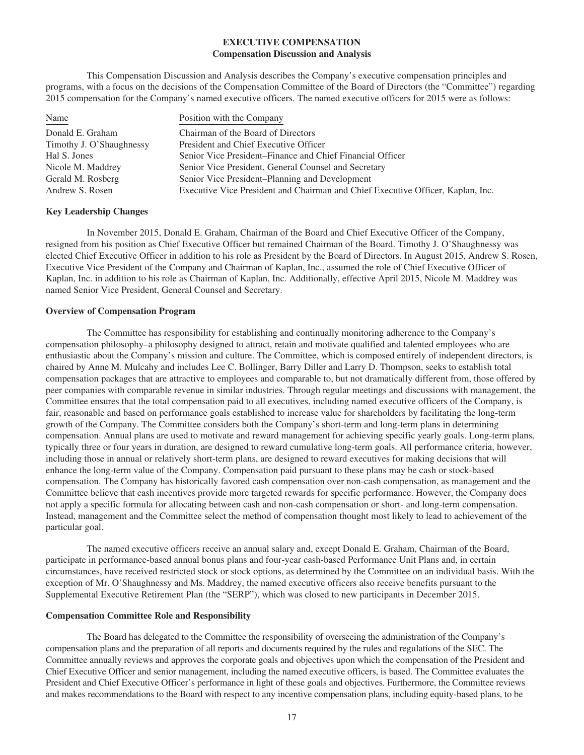## **EXECUTIVE COMPENSATION Compensation Discussion and Analysis**

This Compensation Discussion and Analysis describes the Company's executive compensation principles and programs, with a focus on the decisions of the Compensation Committee of the Board of Directors (the "Committee") regarding 2015 compensation for the Company's named executive officers. The named executive officers for 2015 were as follows:

| Name                     | Position with the Company                                                       |
|--------------------------|---------------------------------------------------------------------------------|
| Donald E. Graham         | Chairman of the Board of Directors                                              |
| Timothy J. O'Shaughnessy | President and Chief Executive Officer                                           |
| Hal S. Jones             | Senior Vice President–Finance and Chief Financial Officer                       |
| Nicole M. Maddrey        | Senior Vice President, General Counsel and Secretary                            |
| Gerald M. Rosberg        | Senior Vice President–Planning and Development                                  |
| Andrew S. Rosen          | Executive Vice President and Chairman and Chief Executive Officer, Kaplan, Inc. |

#### **Key Leadership Changes**

In November 2015, Donald E. Graham, Chairman of the Board and Chief Executive Officer of the Company, resigned from his position as Chief Executive Officer but remained Chairman of the Board. Timothy J. O'Shaughnessy was elected Chief Executive Officer in addition to his role as President by the Board of Directors. In August 2015, Andrew S. Rosen, Executive Vice President of the Company and Chairman of Kaplan, Inc., assumed the role of Chief Executive Officer of Kaplan, Inc. in addition to his role as Chairman of Kaplan, Inc. Additionally, effective April 2015, Nicole M. Maddrey was named Senior Vice President, General Counsel and Secretary.

#### **Overview of Compensation Program**

The Committee has responsibility for establishing and continually monitoring adherence to the Company's compensation philosophy–a philosophy designed to attract, retain and motivate qualified and talented employees who are enthusiastic about the Company's mission and culture. The Committee, which is composed entirely of independent directors, is chaired by Anne M. Mulcahy and includes Lee C. Bollinger, Barry Diller and Larry D. Thompson, seeks to establish total compensation packages that are attractive to employees and comparable to, but not dramatically different from, those offered by peer companies with comparable revenue in similar industries. Through regular meetings and discussions with management, the Committee ensures that the total compensation paid to all executives, including named executive officers of the Company, is fair, reasonable and based on performance goals established to increase value for shareholders by facilitating the long-term growth of the Company. The Committee considers both the Company's short-term and long-term plans in determining compensation. Annual plans are used to motivate and reward management for achieving specific yearly goals. Long-term plans, typically three or four years in duration, are designed to reward cumulative long-term goals. All performance criteria, however, including those in annual or relatively short-term plans, are designed to reward executives for making decisions that will enhance the long-term value of the Company. Compensation paid pursuant to these plans may be cash or stock-based compensation. The Company has historically favored cash compensation over non-cash compensation, as management and the Committee believe that cash incentives provide more targeted rewards for specific performance. However, the Company does not apply a specific formula for allocating between cash and non-cash compensation or short- and long-term compensation. Instead, management and the Committee select the method of compensation thought most likely to lead to achievement of the particular goal.

The named executive officers receive an annual salary and, except Donald E. Graham, Chairman of the Board, participate in performance-based annual bonus plans and four-year cash-based Performance Unit Plans and, in certain circumstances, have received restricted stock or stock options, as determined by the Committee on an individual basis. With the exception of Mr. O'Shaughnessy and Ms. Maddrey, the named executive officers also receive benefits pursuant to the Supplemental Executive Retirement Plan (the "SERP"), which was closed to new participants in December 2015.

#### **Compensation Committee Role and Responsibility**

The Board has delegated to the Committee the responsibility of overseeing the administration of the Company's compensation plans and the preparation of all reports and documents required by the rules and regulations of the SEC. The Committee annually reviews and approves the corporate goals and objectives upon which the compensation of the President and Chief Executive Officer and senior management, including the named executive officers, is based. The Committee evaluates the President and Chief Executive Officer's performance in light of these goals and objectives. Furthermore, the Committee reviews and makes recommendations to the Board with respect to any incentive compensation plans, including equity-based plans, to be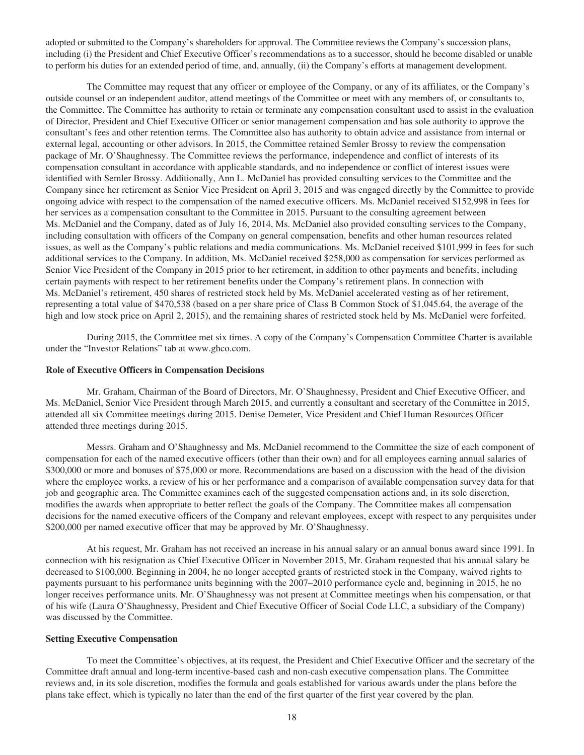adopted or submitted to the Company's shareholders for approval. The Committee reviews the Company's succession plans, including (i) the President and Chief Executive Officer's recommendations as to a successor, should he become disabled or unable to perform his duties for an extended period of time, and, annually, (ii) the Company's efforts at management development.

The Committee may request that any officer or employee of the Company, or any of its affiliates, or the Company's outside counsel or an independent auditor, attend meetings of the Committee or meet with any members of, or consultants to, the Committee. The Committee has authority to retain or terminate any compensation consultant used to assist in the evaluation of Director, President and Chief Executive Officer or senior management compensation and has sole authority to approve the consultant's fees and other retention terms. The Committee also has authority to obtain advice and assistance from internal or external legal, accounting or other advisors. In 2015, the Committee retained Semler Brossy to review the compensation package of Mr. O'Shaughnessy. The Committee reviews the performance, independence and conflict of interests of its compensation consultant in accordance with applicable standards, and no independence or conflict of interest issues were identified with Semler Brossy. Additionally, Ann L. McDaniel has provided consulting services to the Committee and the Company since her retirement as Senior Vice President on April 3, 2015 and was engaged directly by the Committee to provide ongoing advice with respect to the compensation of the named executive officers. Ms. McDaniel received \$152,998 in fees for her services as a compensation consultant to the Committee in 2015. Pursuant to the consulting agreement between Ms. McDaniel and the Company, dated as of July 16, 2014, Ms. McDaniel also provided consulting services to the Company, including consultation with officers of the Company on general compensation, benefits and other human resources related issues, as well as the Company's public relations and media communications. Ms. McDaniel received \$101,999 in fees for such additional services to the Company. In addition, Ms. McDaniel received \$258,000 as compensation for services performed as Senior Vice President of the Company in 2015 prior to her retirement, in addition to other payments and benefits, including certain payments with respect to her retirement benefits under the Company's retirement plans. In connection with Ms. McDaniel's retirement, 450 shares of restricted stock held by Ms. McDaniel accelerated vesting as of her retirement, representing a total value of \$470,538 (based on a per share price of Class B Common Stock of \$1,045.64, the average of the high and low stock price on April 2, 2015), and the remaining shares of restricted stock held by Ms. McDaniel were forfeited.

During 2015, the Committee met six times. A copy of the Company's Compensation Committee Charter is available under the "Investor Relations" tab at www.ghco.com.

#### **Role of Executive Officers in Compensation Decisions**

Mr. Graham, Chairman of the Board of Directors, Mr. O'Shaughnessy, President and Chief Executive Officer, and Ms. McDaniel, Senior Vice President through March 2015, and currently a consultant and secretary of the Committee in 2015, attended all six Committee meetings during 2015. Denise Demeter, Vice President and Chief Human Resources Officer attended three meetings during 2015.

Messrs. Graham and O'Shaughnessy and Ms. McDaniel recommend to the Committee the size of each component of compensation for each of the named executive officers (other than their own) and for all employees earning annual salaries of \$300,000 or more and bonuses of \$75,000 or more. Recommendations are based on a discussion with the head of the division where the employee works, a review of his or her performance and a comparison of available compensation survey data for that job and geographic area. The Committee examines each of the suggested compensation actions and, in its sole discretion, modifies the awards when appropriate to better reflect the goals of the Company. The Committee makes all compensation decisions for the named executive officers of the Company and relevant employees, except with respect to any perquisites under \$200,000 per named executive officer that may be approved by Mr. O'Shaughnessy.

At his request, Mr. Graham has not received an increase in his annual salary or an annual bonus award since 1991. In connection with his resignation as Chief Executive Officer in November 2015, Mr. Graham requested that his annual salary be decreased to \$100,000. Beginning in 2004, he no longer accepted grants of restricted stock in the Company, waived rights to payments pursuant to his performance units beginning with the 2007–2010 performance cycle and, beginning in 2015, he no longer receives performance units. Mr. O'Shaughnessy was not present at Committee meetings when his compensation, or that of his wife (Laura O'Shaughnessy, President and Chief Executive Officer of Social Code LLC, a subsidiary of the Company) was discussed by the Committee.

#### **Setting Executive Compensation**

To meet the Committee's objectives, at its request, the President and Chief Executive Officer and the secretary of the Committee draft annual and long-term incentive-based cash and non-cash executive compensation plans. The Committee reviews and, in its sole discretion, modifies the formula and goals established for various awards under the plans before the plans take effect, which is typically no later than the end of the first quarter of the first year covered by the plan.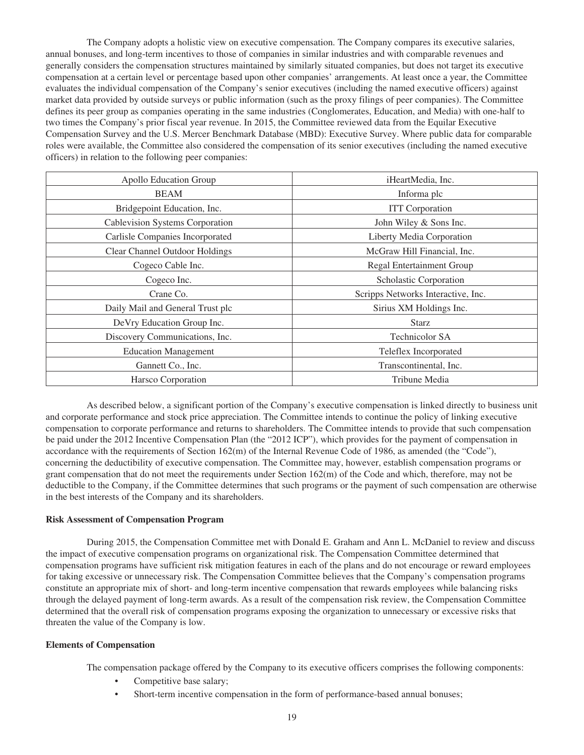The Company adopts a holistic view on executive compensation. The Company compares its executive salaries, annual bonuses, and long-term incentives to those of companies in similar industries and with comparable revenues and generally considers the compensation structures maintained by similarly situated companies, but does not target its executive compensation at a certain level or percentage based upon other companies' arrangements. At least once a year, the Committee evaluates the individual compensation of the Company's senior executives (including the named executive officers) against market data provided by outside surveys or public information (such as the proxy filings of peer companies). The Committee defines its peer group as companies operating in the same industries (Conglomerates, Education, and Media) with one-half to two times the Company's prior fiscal year revenue. In 2015, the Committee reviewed data from the Equilar Executive Compensation Survey and the U.S. Mercer Benchmark Database (MBD): Executive Survey. Where public data for comparable roles were available, the Committee also considered the compensation of its senior executives (including the named executive officers) in relation to the following peer companies:

| Apollo Education Group           | iHeartMedia, Inc.                  |  |  |  |  |
|----------------------------------|------------------------------------|--|--|--|--|
| <b>BEAM</b>                      | Informa plc                        |  |  |  |  |
| Bridgepoint Education, Inc.      | <b>ITT</b> Corporation             |  |  |  |  |
| Cablevision Systems Corporation  | John Wiley & Sons Inc.             |  |  |  |  |
| Carlisle Companies Incorporated  | Liberty Media Corporation          |  |  |  |  |
| Clear Channel Outdoor Holdings   | McGraw Hill Financial, Inc.        |  |  |  |  |
| Cogeco Cable Inc.                | <b>Regal Entertainment Group</b>   |  |  |  |  |
| Cogeco Inc.                      | Scholastic Corporation             |  |  |  |  |
| Crane Co.                        | Scripps Networks Interactive, Inc. |  |  |  |  |
| Daily Mail and General Trust plc | Sirius XM Holdings Inc.            |  |  |  |  |
| De Vry Education Group Inc.      | <b>Starz</b>                       |  |  |  |  |
| Discovery Communications, Inc.   | <b>Technicolor SA</b>              |  |  |  |  |
| <b>Education Management</b>      | Teleflex Incorporated              |  |  |  |  |
| Gannett Co., Inc.                | Transcontinental, Inc.             |  |  |  |  |
| Harsco Corporation               | Tribune Media                      |  |  |  |  |

As described below, a significant portion of the Company's executive compensation is linked directly to business unit and corporate performance and stock price appreciation. The Committee intends to continue the policy of linking executive compensation to corporate performance and returns to shareholders. The Committee intends to provide that such compensation be paid under the 2012 Incentive Compensation Plan (the "2012 ICP"), which provides for the payment of compensation in accordance with the requirements of Section 162(m) of the Internal Revenue Code of 1986, as amended (the "Code"), concerning the deductibility of executive compensation. The Committee may, however, establish compensation programs or grant compensation that do not meet the requirements under Section 162(m) of the Code and which, therefore, may not be deductible to the Company, if the Committee determines that such programs or the payment of such compensation are otherwise in the best interests of the Company and its shareholders.

## **Risk Assessment of Compensation Program**

During 2015, the Compensation Committee met with Donald E. Graham and Ann L. McDaniel to review and discuss the impact of executive compensation programs on organizational risk. The Compensation Committee determined that compensation programs have sufficient risk mitigation features in each of the plans and do not encourage or reward employees for taking excessive or unnecessary risk. The Compensation Committee believes that the Company's compensation programs constitute an appropriate mix of short- and long-term incentive compensation that rewards employees while balancing risks through the delayed payment of long-term awards. As a result of the compensation risk review, the Compensation Committee determined that the overall risk of compensation programs exposing the organization to unnecessary or excessive risks that threaten the value of the Company is low.

#### **Elements of Compensation**

The compensation package offered by the Company to its executive officers comprises the following components:

- Competitive base salary;
- Short-term incentive compensation in the form of performance-based annual bonuses;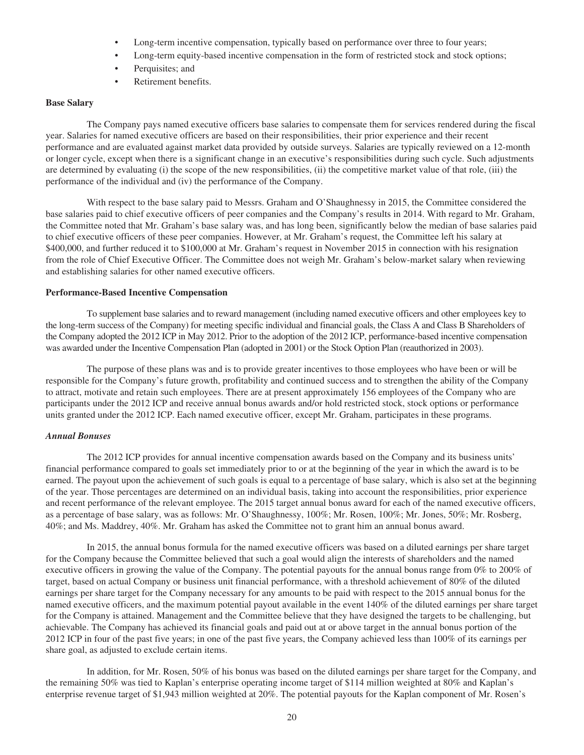- Long-term incentive compensation, typically based on performance over three to four years;
- Long-term equity-based incentive compensation in the form of restricted stock and stock options;
- Perquisites; and
- Retirement benefits.

#### **Base Salary**

The Company pays named executive officers base salaries to compensate them for services rendered during the fiscal year. Salaries for named executive officers are based on their responsibilities, their prior experience and their recent performance and are evaluated against market data provided by outside surveys. Salaries are typically reviewed on a 12-month or longer cycle, except when there is a significant change in an executive's responsibilities during such cycle. Such adjustments are determined by evaluating (i) the scope of the new responsibilities, (ii) the competitive market value of that role, (iii) the performance of the individual and (iv) the performance of the Company.

With respect to the base salary paid to Messrs. Graham and O'Shaughnessy in 2015, the Committee considered the base salaries paid to chief executive officers of peer companies and the Company's results in 2014. With regard to Mr. Graham, the Committee noted that Mr. Graham's base salary was, and has long been, significantly below the median of base salaries paid to chief executive officers of these peer companies. However, at Mr. Graham's request, the Committee left his salary at \$400,000, and further reduced it to \$100,000 at Mr. Graham's request in November 2015 in connection with his resignation from the role of Chief Executive Officer. The Committee does not weigh Mr. Graham's below-market salary when reviewing and establishing salaries for other named executive officers.

#### **Performance-Based Incentive Compensation**

To supplement base salaries and to reward management (including named executive officers and other employees key to the long-term success of the Company) for meeting specific individual and financial goals, the Class A and Class B Shareholders of the Company adopted the 2012 ICP in May 2012. Prior to the adoption of the 2012 ICP, performance-based incentive compensation was awarded under the Incentive Compensation Plan (adopted in 2001) or the Stock Option Plan (reauthorized in 2003).

The purpose of these plans was and is to provide greater incentives to those employees who have been or will be responsible for the Company's future growth, profitability and continued success and to strengthen the ability of the Company to attract, motivate and retain such employees. There are at present approximately 156 employees of the Company who are participants under the 2012 ICP and receive annual bonus awards and/or hold restricted stock, stock options or performance units granted under the 2012 ICP. Each named executive officer, except Mr. Graham, participates in these programs.

## *Annual Bonuses*

The 2012 ICP provides for annual incentive compensation awards based on the Company and its business units' financial performance compared to goals set immediately prior to or at the beginning of the year in which the award is to be earned. The payout upon the achievement of such goals is equal to a percentage of base salary, which is also set at the beginning of the year. Those percentages are determined on an individual basis, taking into account the responsibilities, prior experience and recent performance of the relevant employee. The 2015 target annual bonus award for each of the named executive officers, as a percentage of base salary, was as follows: Mr. O'Shaughnessy, 100%; Mr. Rosen, 100%; Mr. Jones, 50%; Mr. Rosberg, 40%; and Ms. Maddrey, 40%. Mr. Graham has asked the Committee not to grant him an annual bonus award.

In 2015, the annual bonus formula for the named executive officers was based on a diluted earnings per share target for the Company because the Committee believed that such a goal would align the interests of shareholders and the named executive officers in growing the value of the Company. The potential payouts for the annual bonus range from 0% to 200% of target, based on actual Company or business unit financial performance, with a threshold achievement of 80% of the diluted earnings per share target for the Company necessary for any amounts to be paid with respect to the 2015 annual bonus for the named executive officers, and the maximum potential payout available in the event 140% of the diluted earnings per share target for the Company is attained. Management and the Committee believe that they have designed the targets to be challenging, but achievable. The Company has achieved its financial goals and paid out at or above target in the annual bonus portion of the 2012 ICP in four of the past five years; in one of the past five years, the Company achieved less than 100% of its earnings per share goal, as adjusted to exclude certain items.

In addition, for Mr. Rosen, 50% of his bonus was based on the diluted earnings per share target for the Company, and the remaining 50% was tied to Kaplan's enterprise operating income target of \$114 million weighted at 80% and Kaplan's enterprise revenue target of \$1,943 million weighted at 20%. The potential payouts for the Kaplan component of Mr. Rosen's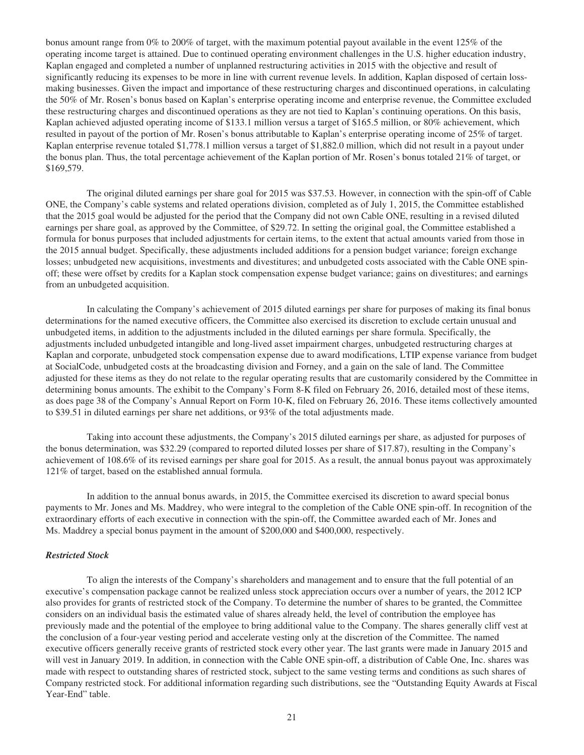bonus amount range from 0% to 200% of target, with the maximum potential payout available in the event 125% of the operating income target is attained. Due to continued operating environment challenges in the U.S. higher education industry, Kaplan engaged and completed a number of unplanned restructuring activities in 2015 with the objective and result of significantly reducing its expenses to be more in line with current revenue levels. In addition, Kaplan disposed of certain lossmaking businesses. Given the impact and importance of these restructuring charges and discontinued operations, in calculating the 50% of Mr. Rosen's bonus based on Kaplan's enterprise operating income and enterprise revenue, the Committee excluded these restructuring charges and discontinued operations as they are not tied to Kaplan's continuing operations. On this basis, Kaplan achieved adjusted operating income of \$133.1 million versus a target of \$165.5 million, or 80% achievement, which resulted in payout of the portion of Mr. Rosen's bonus attributable to Kaplan's enterprise operating income of 25% of target. Kaplan enterprise revenue totaled \$1,778.1 million versus a target of \$1,882.0 million, which did not result in a payout under the bonus plan. Thus, the total percentage achievement of the Kaplan portion of Mr. Rosen's bonus totaled 21% of target, or \$169,579.

The original diluted earnings per share goal for 2015 was \$37.53. However, in connection with the spin-off of Cable ONE, the Company's cable systems and related operations division, completed as of July 1, 2015, the Committee established that the 2015 goal would be adjusted for the period that the Company did not own Cable ONE, resulting in a revised diluted earnings per share goal, as approved by the Committee, of \$29.72. In setting the original goal, the Committee established a formula for bonus purposes that included adjustments for certain items, to the extent that actual amounts varied from those in the 2015 annual budget. Specifically, these adjustments included additions for a pension budget variance; foreign exchange losses; unbudgeted new acquisitions, investments and divestitures; and unbudgeted costs associated with the Cable ONE spinoff; these were offset by credits for a Kaplan stock compensation expense budget variance; gains on divestitures; and earnings from an unbudgeted acquisition.

In calculating the Company's achievement of 2015 diluted earnings per share for purposes of making its final bonus determinations for the named executive officers, the Committee also exercised its discretion to exclude certain unusual and unbudgeted items, in addition to the adjustments included in the diluted earnings per share formula. Specifically, the adjustments included unbudgeted intangible and long-lived asset impairment charges, unbudgeted restructuring charges at Kaplan and corporate, unbudgeted stock compensation expense due to award modifications, LTIP expense variance from budget at SocialCode, unbudgeted costs at the broadcasting division and Forney, and a gain on the sale of land. The Committee adjusted for these items as they do not relate to the regular operating results that are customarily considered by the Committee in determining bonus amounts. The exhibit to the Company's Form 8-K filed on February 26, 2016, detailed most of these items, as does page 38 of the Company's Annual Report on Form 10-K, filed on February 26, 2016. These items collectively amounted to \$39.51 in diluted earnings per share net additions, or 93% of the total adjustments made.

Taking into account these adjustments, the Company's 2015 diluted earnings per share, as adjusted for purposes of the bonus determination, was \$32.29 (compared to reported diluted losses per share of \$17.87), resulting in the Company's achievement of 108.6% of its revised earnings per share goal for 2015. As a result, the annual bonus payout was approximately 121% of target, based on the established annual formula.

In addition to the annual bonus awards, in 2015, the Committee exercised its discretion to award special bonus payments to Mr. Jones and Ms. Maddrey, who were integral to the completion of the Cable ONE spin-off. In recognition of the extraordinary efforts of each executive in connection with the spin-off, the Committee awarded each of Mr. Jones and Ms. Maddrey a special bonus payment in the amount of \$200,000 and \$400,000, respectively.

#### *Restricted Stock*

To align the interests of the Company's shareholders and management and to ensure that the full potential of an executive's compensation package cannot be realized unless stock appreciation occurs over a number of years, the 2012 ICP also provides for grants of restricted stock of the Company. To determine the number of shares to be granted, the Committee considers on an individual basis the estimated value of shares already held, the level of contribution the employee has previously made and the potential of the employee to bring additional value to the Company. The shares generally cliff vest at the conclusion of a four-year vesting period and accelerate vesting only at the discretion of the Committee. The named executive officers generally receive grants of restricted stock every other year. The last grants were made in January 2015 and will vest in January 2019. In addition, in connection with the Cable ONE spin-off, a distribution of Cable One, Inc. shares was made with respect to outstanding shares of restricted stock, subject to the same vesting terms and conditions as such shares of Company restricted stock. For additional information regarding such distributions, see the "Outstanding Equity Awards at Fiscal Year-End" table.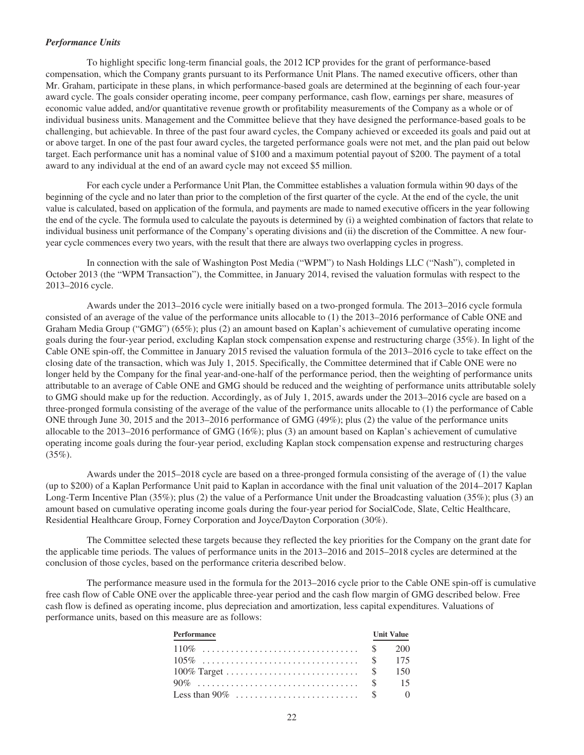#### *Performance Units*

To highlight specific long-term financial goals, the 2012 ICP provides for the grant of performance-based compensation, which the Company grants pursuant to its Performance Unit Plans. The named executive officers, other than Mr. Graham, participate in these plans, in which performance-based goals are determined at the beginning of each four-year award cycle. The goals consider operating income, peer company performance, cash flow, earnings per share, measures of economic value added, and/or quantitative revenue growth or profitability measurements of the Company as a whole or of individual business units. Management and the Committee believe that they have designed the performance-based goals to be challenging, but achievable. In three of the past four award cycles, the Company achieved or exceeded its goals and paid out at or above target. In one of the past four award cycles, the targeted performance goals were not met, and the plan paid out below target. Each performance unit has a nominal value of \$100 and a maximum potential payout of \$200. The payment of a total award to any individual at the end of an award cycle may not exceed \$5 million.

For each cycle under a Performance Unit Plan, the Committee establishes a valuation formula within 90 days of the beginning of the cycle and no later than prior to the completion of the first quarter of the cycle. At the end of the cycle, the unit value is calculated, based on application of the formula, and payments are made to named executive officers in the year following the end of the cycle. The formula used to calculate the payouts is determined by (i) a weighted combination of factors that relate to individual business unit performance of the Company's operating divisions and (ii) the discretion of the Committee. A new fouryear cycle commences every two years, with the result that there are always two overlapping cycles in progress.

In connection with the sale of Washington Post Media ("WPM") to Nash Holdings LLC ("Nash"), completed in October 2013 (the "WPM Transaction"), the Committee, in January 2014, revised the valuation formulas with respect to the 2013–2016 cycle.

Awards under the 2013–2016 cycle were initially based on a two-pronged formula. The 2013–2016 cycle formula consisted of an average of the value of the performance units allocable to (1) the 2013–2016 performance of Cable ONE and Graham Media Group ("GMG") (65%); plus (2) an amount based on Kaplan's achievement of cumulative operating income goals during the four-year period, excluding Kaplan stock compensation expense and restructuring charge (35%). In light of the Cable ONE spin-off, the Committee in January 2015 revised the valuation formula of the 2013–2016 cycle to take effect on the closing date of the transaction, which was July 1, 2015. Specifically, the Committee determined that if Cable ONE were no longer held by the Company for the final year-and-one-half of the performance period, then the weighting of performance units attributable to an average of Cable ONE and GMG should be reduced and the weighting of performance units attributable solely to GMG should make up for the reduction. Accordingly, as of July 1, 2015, awards under the 2013–2016 cycle are based on a three-pronged formula consisting of the average of the value of the performance units allocable to (1) the performance of Cable ONE through June 30, 2015 and the 2013–2016 performance of GMG (49%); plus (2) the value of the performance units allocable to the 2013–2016 performance of GMG (16%); plus (3) an amount based on Kaplan's achievement of cumulative operating income goals during the four-year period, excluding Kaplan stock compensation expense and restructuring charges  $(35\%).$ 

Awards under the 2015–2018 cycle are based on a three-pronged formula consisting of the average of (1) the value (up to \$200) of a Kaplan Performance Unit paid to Kaplan in accordance with the final unit valuation of the 2014–2017 Kaplan Long-Term Incentive Plan (35%); plus (2) the value of a Performance Unit under the Broadcasting valuation (35%); plus (3) an amount based on cumulative operating income goals during the four-year period for SocialCode, Slate, Celtic Healthcare, Residential Healthcare Group, Forney Corporation and Joyce/Dayton Corporation (30%).

The Committee selected these targets because they reflected the key priorities for the Company on the grant date for the applicable time periods. The values of performance units in the 2013–2016 and 2015–2018 cycles are determined at the conclusion of those cycles, based on the performance criteria described below.

The performance measure used in the formula for the 2013–2016 cycle prior to the Cable ONE spin-off is cumulative free cash flow of Cable ONE over the applicable three-year period and the cash flow margin of GMG described below. Free cash flow is defined as operating income, plus depreciation and amortization, less capital expenditures. Valuations of performance units, based on this measure are as follows:

| Performance    | <b>Unit Value</b> |
|----------------|-------------------|
|                |                   |
| $105\%$ \$ 175 |                   |
|                |                   |
|                |                   |
|                |                   |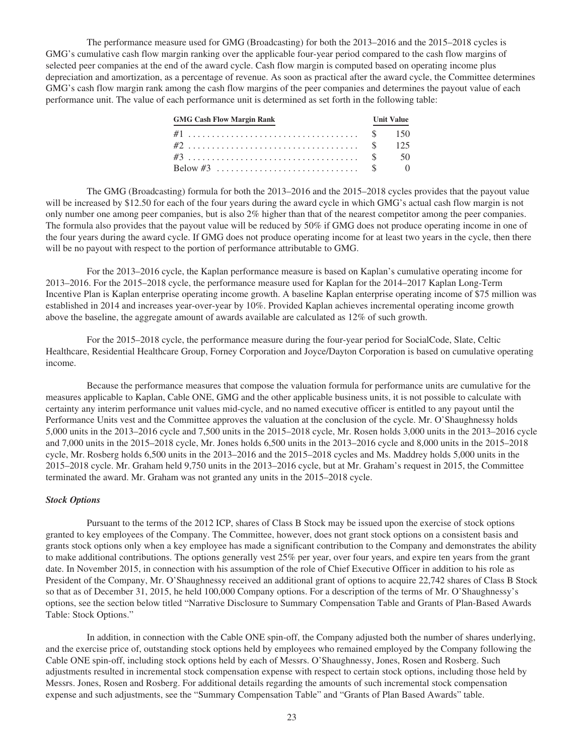The performance measure used for GMG (Broadcasting) for both the 2013–2016 and the 2015–2018 cycles is GMG's cumulative cash flow margin ranking over the applicable four-year period compared to the cash flow margins of selected peer companies at the end of the award cycle. Cash flow margin is computed based on operating income plus depreciation and amortization, as a percentage of revenue. As soon as practical after the award cycle, the Committee determines GMG's cash flow margin rank among the cash flow margins of the peer companies and determines the payout value of each performance unit. The value of each performance unit is determined as set forth in the following table:

| <b>GMG Cash Flow Margin Rank</b> | <b>Unit Value</b> |  |
|----------------------------------|-------------------|--|
|                                  |                   |  |
|                                  |                   |  |
|                                  |                   |  |
|                                  |                   |  |

The GMG (Broadcasting) formula for both the 2013–2016 and the 2015–2018 cycles provides that the payout value will be increased by \$12.50 for each of the four years during the award cycle in which GMG's actual cash flow margin is not only number one among peer companies, but is also 2% higher than that of the nearest competitor among the peer companies. The formula also provides that the payout value will be reduced by 50% if GMG does not produce operating income in one of the four years during the award cycle. If GMG does not produce operating income for at least two years in the cycle, then there will be no payout with respect to the portion of performance attributable to GMG.

For the 2013–2016 cycle, the Kaplan performance measure is based on Kaplan's cumulative operating income for 2013–2016. For the 2015–2018 cycle, the performance measure used for Kaplan for the 2014–2017 Kaplan Long-Term Incentive Plan is Kaplan enterprise operating income growth. A baseline Kaplan enterprise operating income of \$75 million was established in 2014 and increases year-over-year by 10%. Provided Kaplan achieves incremental operating income growth above the baseline, the aggregate amount of awards available are calculated as 12% of such growth.

For the 2015–2018 cycle, the performance measure during the four-year period for SocialCode, Slate, Celtic Healthcare, Residential Healthcare Group, Forney Corporation and Joyce/Dayton Corporation is based on cumulative operating income.

Because the performance measures that compose the valuation formula for performance units are cumulative for the measures applicable to Kaplan, Cable ONE, GMG and the other applicable business units, it is not possible to calculate with certainty any interim performance unit values mid-cycle, and no named executive officer is entitled to any payout until the Performance Units vest and the Committee approves the valuation at the conclusion of the cycle. Mr. O'Shaughnessy holds 5,000 units in the 2013–2016 cycle and 7,500 units in the 2015–2018 cycle, Mr. Rosen holds 3,000 units in the 2013–2016 cycle and 7,000 units in the 2015–2018 cycle, Mr. Jones holds 6,500 units in the 2013–2016 cycle and 8,000 units in the 2015–2018 cycle, Mr. Rosberg holds 6,500 units in the 2013–2016 and the 2015–2018 cycles and Ms. Maddrey holds 5,000 units in the 2015–2018 cycle. Mr. Graham held 9,750 units in the 2013–2016 cycle, but at Mr. Graham's request in 2015, the Committee terminated the award. Mr. Graham was not granted any units in the 2015–2018 cycle.

#### *Stock Options*

Pursuant to the terms of the 2012 ICP, shares of Class B Stock may be issued upon the exercise of stock options granted to key employees of the Company. The Committee, however, does not grant stock options on a consistent basis and grants stock options only when a key employee has made a significant contribution to the Company and demonstrates the ability to make additional contributions. The options generally vest 25% per year, over four years, and expire ten years from the grant date. In November 2015, in connection with his assumption of the role of Chief Executive Officer in addition to his role as President of the Company, Mr. O'Shaughnessy received an additional grant of options to acquire 22,742 shares of Class B Stock so that as of December 31, 2015, he held 100,000 Company options. For a description of the terms of Mr. O'Shaughnessy's options, see the section below titled "Narrative Disclosure to Summary Compensation Table and Grants of Plan-Based Awards Table: Stock Options."

In addition, in connection with the Cable ONE spin-off, the Company adjusted both the number of shares underlying, and the exercise price of, outstanding stock options held by employees who remained employed by the Company following the Cable ONE spin-off, including stock options held by each of Messrs. O'Shaughnessy, Jones, Rosen and Rosberg. Such adjustments resulted in incremental stock compensation expense with respect to certain stock options, including those held by Messrs. Jones, Rosen and Rosberg. For additional details regarding the amounts of such incremental stock compensation expense and such adjustments, see the "Summary Compensation Table" and "Grants of Plan Based Awards" table.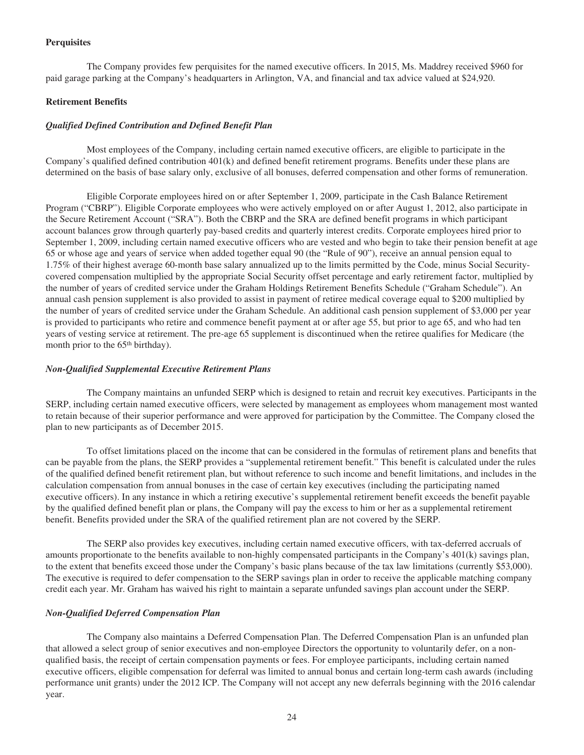## **Perquisites**

The Company provides few perquisites for the named executive officers. In 2015, Ms. Maddrey received \$960 for paid garage parking at the Company's headquarters in Arlington, VA, and financial and tax advice valued at \$24,920.

## **Retirement Benefits**

## *Qualified Defined Contribution and Defined Benefit Plan*

Most employees of the Company, including certain named executive officers, are eligible to participate in the Company's qualified defined contribution 401(k) and defined benefit retirement programs. Benefits under these plans are determined on the basis of base salary only, exclusive of all bonuses, deferred compensation and other forms of remuneration.

Eligible Corporate employees hired on or after September 1, 2009, participate in the Cash Balance Retirement Program ("CBRP"). Eligible Corporate employees who were actively employed on or after August 1, 2012, also participate in the Secure Retirement Account ("SRA"). Both the CBRP and the SRA are defined benefit programs in which participant account balances grow through quarterly pay-based credits and quarterly interest credits. Corporate employees hired prior to September 1, 2009, including certain named executive officers who are vested and who begin to take their pension benefit at age 65 or whose age and years of service when added together equal 90 (the "Rule of 90"), receive an annual pension equal to 1.75% of their highest average 60-month base salary annualized up to the limits permitted by the Code, minus Social Securitycovered compensation multiplied by the appropriate Social Security offset percentage and early retirement factor, multiplied by the number of years of credited service under the Graham Holdings Retirement Benefits Schedule ("Graham Schedule"). An annual cash pension supplement is also provided to assist in payment of retiree medical coverage equal to \$200 multiplied by the number of years of credited service under the Graham Schedule. An additional cash pension supplement of \$3,000 per year is provided to participants who retire and commence benefit payment at or after age 55, but prior to age 65, and who had ten years of vesting service at retirement. The pre-age 65 supplement is discontinued when the retiree qualifies for Medicare (the month prior to the 65<sup>th</sup> birthday).

## *Non-Qualified Supplemental Executive Retirement Plans*

The Company maintains an unfunded SERP which is designed to retain and recruit key executives. Participants in the SERP, including certain named executive officers, were selected by management as employees whom management most wanted to retain because of their superior performance and were approved for participation by the Committee. The Company closed the plan to new participants as of December 2015.

To offset limitations placed on the income that can be considered in the formulas of retirement plans and benefits that can be payable from the plans, the SERP provides a "supplemental retirement benefit." This benefit is calculated under the rules of the qualified defined benefit retirement plan, but without reference to such income and benefit limitations, and includes in the calculation compensation from annual bonuses in the case of certain key executives (including the participating named executive officers). In any instance in which a retiring executive's supplemental retirement benefit exceeds the benefit payable by the qualified defined benefit plan or plans, the Company will pay the excess to him or her as a supplemental retirement benefit. Benefits provided under the SRA of the qualified retirement plan are not covered by the SERP.

The SERP also provides key executives, including certain named executive officers, with tax-deferred accruals of amounts proportionate to the benefits available to non-highly compensated participants in the Company's 401(k) savings plan, to the extent that benefits exceed those under the Company's basic plans because of the tax law limitations (currently \$53,000). The executive is required to defer compensation to the SERP savings plan in order to receive the applicable matching company credit each year. Mr. Graham has waived his right to maintain a separate unfunded savings plan account under the SERP.

## *Non-Qualified Deferred Compensation Plan*

The Company also maintains a Deferred Compensation Plan. The Deferred Compensation Plan is an unfunded plan that allowed a select group of senior executives and non-employee Directors the opportunity to voluntarily defer, on a nonqualified basis, the receipt of certain compensation payments or fees. For employee participants, including certain named executive officers, eligible compensation for deferral was limited to annual bonus and certain long-term cash awards (including performance unit grants) under the 2012 ICP. The Company will not accept any new deferrals beginning with the 2016 calendar year.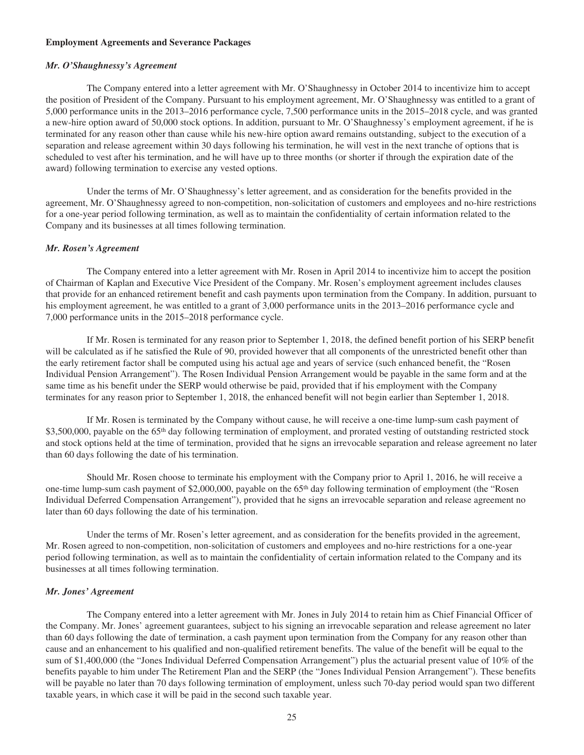#### **Employment Agreements and Severance Packages**

#### *Mr. O'Shaughnessy's Agreement*

The Company entered into a letter agreement with Mr. O'Shaughnessy in October 2014 to incentivize him to accept the position of President of the Company. Pursuant to his employment agreement, Mr. O'Shaughnessy was entitled to a grant of 5,000 performance units in the 2013–2016 performance cycle, 7,500 performance units in the 2015–2018 cycle, and was granted a new-hire option award of 50,000 stock options. In addition, pursuant to Mr. O'Shaughnessy's employment agreement, if he is terminated for any reason other than cause while his new-hire option award remains outstanding, subject to the execution of a separation and release agreement within 30 days following his termination, he will vest in the next tranche of options that is scheduled to vest after his termination, and he will have up to three months (or shorter if through the expiration date of the award) following termination to exercise any vested options.

Under the terms of Mr. O'Shaughnessy's letter agreement, and as consideration for the benefits provided in the agreement, Mr. O'Shaughnessy agreed to non-competition, non-solicitation of customers and employees and no-hire restrictions for a one-year period following termination, as well as to maintain the confidentiality of certain information related to the Company and its businesses at all times following termination.

#### *Mr. Rosen's Agreement*

The Company entered into a letter agreement with Mr. Rosen in April 2014 to incentivize him to accept the position of Chairman of Kaplan and Executive Vice President of the Company. Mr. Rosen's employment agreement includes clauses that provide for an enhanced retirement benefit and cash payments upon termination from the Company. In addition, pursuant to his employment agreement, he was entitled to a grant of 3,000 performance units in the 2013–2016 performance cycle and 7,000 performance units in the 2015–2018 performance cycle.

If Mr. Rosen is terminated for any reason prior to September 1, 2018, the defined benefit portion of his SERP benefit will be calculated as if he satisfied the Rule of 90, provided however that all components of the unrestricted benefit other than the early retirement factor shall be computed using his actual age and years of service (such enhanced benefit, the "Rosen Individual Pension Arrangement"). The Rosen Individual Pension Arrangement would be payable in the same form and at the same time as his benefit under the SERP would otherwise be paid, provided that if his employment with the Company terminates for any reason prior to September 1, 2018, the enhanced benefit will not begin earlier than September 1, 2018.

If Mr. Rosen is terminated by the Company without cause, he will receive a one-time lump-sum cash payment of  $$3,500,000$ , payable on the  $65<sup>th</sup>$  day following termination of employment, and prorated vesting of outstanding restricted stock and stock options held at the time of termination, provided that he signs an irrevocable separation and release agreement no later than 60 days following the date of his termination.

Should Mr. Rosen choose to terminate his employment with the Company prior to April 1, 2016, he will receive a one-time lump-sum cash payment of \$2,000,000, payable on the 65th day following termination of employment (the "Rosen Individual Deferred Compensation Arrangement"), provided that he signs an irrevocable separation and release agreement no later than 60 days following the date of his termination.

Under the terms of Mr. Rosen's letter agreement, and as consideration for the benefits provided in the agreement, Mr. Rosen agreed to non-competition, non-solicitation of customers and employees and no-hire restrictions for a one-year period following termination, as well as to maintain the confidentiality of certain information related to the Company and its businesses at all times following termination.

#### *Mr. Jones' Agreement*

The Company entered into a letter agreement with Mr. Jones in July 2014 to retain him as Chief Financial Officer of the Company. Mr. Jones' agreement guarantees, subject to his signing an irrevocable separation and release agreement no later than 60 days following the date of termination, a cash payment upon termination from the Company for any reason other than cause and an enhancement to his qualified and non-qualified retirement benefits. The value of the benefit will be equal to the sum of \$1,400,000 (the "Jones Individual Deferred Compensation Arrangement") plus the actuarial present value of 10% of the benefits payable to him under The Retirement Plan and the SERP (the "Jones Individual Pension Arrangement"). These benefits will be payable no later than 70 days following termination of employment, unless such 70-day period would span two different taxable years, in which case it will be paid in the second such taxable year.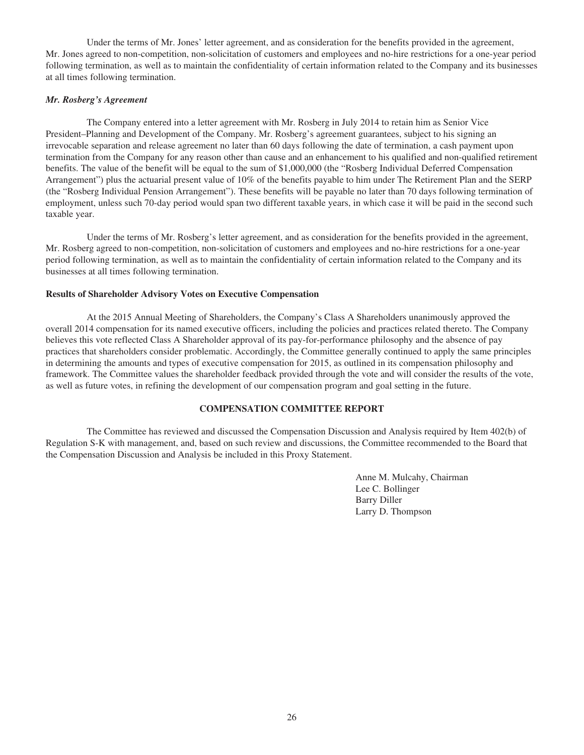Under the terms of Mr. Jones' letter agreement, and as consideration for the benefits provided in the agreement, Mr. Jones agreed to non-competition, non-solicitation of customers and employees and no-hire restrictions for a one-year period following termination, as well as to maintain the confidentiality of certain information related to the Company and its businesses at all times following termination.

#### *Mr. Rosberg's Agreement*

The Company entered into a letter agreement with Mr. Rosberg in July 2014 to retain him as Senior Vice President–Planning and Development of the Company. Mr. Rosberg's agreement guarantees, subject to his signing an irrevocable separation and release agreement no later than 60 days following the date of termination, a cash payment upon termination from the Company for any reason other than cause and an enhancement to his qualified and non-qualified retirement benefits. The value of the benefit will be equal to the sum of \$1,000,000 (the "Rosberg Individual Deferred Compensation Arrangement") plus the actuarial present value of 10% of the benefits payable to him under The Retirement Plan and the SERP (the "Rosberg Individual Pension Arrangement"). These benefits will be payable no later than 70 days following termination of employment, unless such 70-day period would span two different taxable years, in which case it will be paid in the second such taxable year.

Under the terms of Mr. Rosberg's letter agreement, and as consideration for the benefits provided in the agreement, Mr. Rosberg agreed to non-competition, non-solicitation of customers and employees and no-hire restrictions for a one-year period following termination, as well as to maintain the confidentiality of certain information related to the Company and its businesses at all times following termination.

#### **Results of Shareholder Advisory Votes on Executive Compensation**

At the 2015 Annual Meeting of Shareholders, the Company's Class A Shareholders unanimously approved the overall 2014 compensation for its named executive officers, including the policies and practices related thereto. The Company believes this vote reflected Class A Shareholder approval of its pay-for-performance philosophy and the absence of pay practices that shareholders consider problematic. Accordingly, the Committee generally continued to apply the same principles in determining the amounts and types of executive compensation for 2015, as outlined in its compensation philosophy and framework. The Committee values the shareholder feedback provided through the vote and will consider the results of the vote, as well as future votes, in refining the development of our compensation program and goal setting in the future.

## **COMPENSATION COMMITTEE REPORT**

The Committee has reviewed and discussed the Compensation Discussion and Analysis required by Item 402(b) of Regulation S-K with management, and, based on such review and discussions, the Committee recommended to the Board that the Compensation Discussion and Analysis be included in this Proxy Statement.

> Anne M. Mulcahy, Chairman Lee C. Bollinger Barry Diller Larry D. Thompson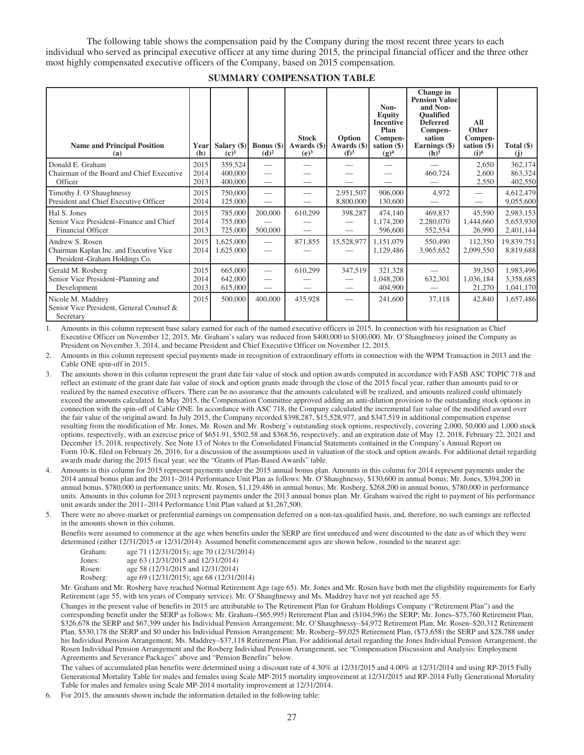The following table shows the compensation paid by the Company during the most recent three years to each individual who served as principal executive officer at any time during 2015, the principal financial officer and the three other most highly compensated executive officers of the Company, based on 2015 compensation.

| <b>Name and Principal Position</b><br>(a)                                                   | Year<br>(b)          | Salary $(\$)$<br>$(c)^1$      | Bonus $(\$)$<br>(d) <sup>2</sup> | <b>Stock</b><br>Awards $(\$)$<br>(e) <sup>3</sup> | Option<br>Awards (\$)<br>$(f)^3$ | Non-<br><b>Equity</b><br><b>Incentive</b><br>Plan<br>Compen-<br>sation $(\$)$<br>$(g)^4$ | Change in<br><b>Pension Value</b><br>and Non-<br><b>Oualified</b><br><b>Deferred</b><br>Compen-<br>sation<br>Earnings (\$)<br>(h) <sup>5</sup> | All<br>Other<br>Compen-<br>sation $(\$)$<br>$(i)$ <sup>6</sup> | Total $(\$)$<br>(i)                 |
|---------------------------------------------------------------------------------------------|----------------------|-------------------------------|----------------------------------|---------------------------------------------------|----------------------------------|------------------------------------------------------------------------------------------|------------------------------------------------------------------------------------------------------------------------------------------------|----------------------------------------------------------------|-------------------------------------|
| Donald E. Graham<br>Chairman of the Board and Chief Executive<br>Officer                    | 2015<br>2014<br>2013 | 359,524<br>400,000<br>400,000 |                                  | --                                                |                                  |                                                                                          | 460,724                                                                                                                                        | 2,650<br>2,600<br>2,550                                        | 362,174<br>863,324<br>402,550       |
| Timothy J. O'Shaughnessy<br>President and Chief Executive Officer                           | 2015<br>2014         | 750,000<br>125,000            |                                  |                                                   | 2,951,507<br>8,800,000           | 906,000<br>130,600                                                                       | 4,972                                                                                                                                          |                                                                | 4,612,479<br>9,055,600              |
| Hal S. Jones<br>Senior Vice President–Finance and Chief<br><b>Financial Officer</b>         | 2015<br>2014<br>2013 | 785,000<br>755,000<br>725,000 | 200,000<br>500,000               | 610,299                                           | 398,287                          | 474,140<br>1,174,200<br>596,600                                                          | 469,837<br>2,280,070<br>552,554                                                                                                                | 45,590<br>1,444,660<br>26,990                                  | 2,983,153<br>5,653,930<br>2,401,144 |
| Andrew S. Rosen<br>Chairman Kaplan Inc. and Executive Vice<br>President-Graham Holdings Co. | 2015<br>2014         | 1,625,000<br>1,625,000        | $\overline{\phantom{0}}$         | 871,855                                           | 15,528,977                       | 1,151,079<br>1,129,486                                                                   | 550,490<br>3,965,652                                                                                                                           | 112,350<br>2,099,550                                           | 19,839,751<br>8,819,688             |
| Gerald M. Rosberg<br>Senior Vice President-Planning and<br>Development                      | 2015<br>2014<br>2013 | 665,000<br>642,000<br>615,000 | $\overline{\phantom{0}}$         | 610,299                                           | 347,519<br>–                     | 321,328<br>1,048,200<br>404,900                                                          | 632,301                                                                                                                                        | 39,350<br>1,036,184<br>21,270                                  | 1,983,496<br>3,358,685<br>1,041,170 |
| Nicole M. Maddrey<br>Senior Vice President, General Counsel &<br>Secretary                  | 2015                 | 500,000                       | 400,000                          | 435,928                                           |                                  | 241,600                                                                                  | 37,118                                                                                                                                         | 42,840                                                         | 1,657,486                           |

1. Amounts in this column represent base salary earned for each of the named executive officers in 2015. In connection with his resignation as Chief Executive Officer on November 12, 2015, Mr. Graham's salary was reduced from \$400,000 to \$100,000. Mr. O'Shaughnessy joined the Company as President on November 3, 2014, and became President and Chief Executive Officer on November 12, 2015.

2. Amounts in this column represent special payments made in recognition of extraordinary efforts in connection with the WPM Transaction in 2013 and the Cable ONE spin-off in 2015.

3. The amounts shown in this column represent the grant date fair value of stock and option awards computed in accordance with FASB ASC TOPIC 718 and reflect an estimate of the grant date fair value of stock and option grants made through the close of the 2015 fiscal year, rather than amounts paid to or realized by the named executive officers. There can be no assurance that the amounts calculated will be realized, and amounts realized could ultimately exceed the amounts calculated. In May 2015, the Compensation Committee approved adding an anti-dilution provision to the outstanding stock options in connection with the spin-off of Cable ONE. In accordance with ASC 718, the Company calculated the incremental fair value of the modified award over the fair value of the original award. In July 2015, the Company recorded \$398,287, \$15,528,977, and \$347,519 in additional compensation expense resulting from the modification of Mr. Jones, Mr. Rosen and Mr. Rosberg's outstanding stock options, respectively, covering 2,000, 50,000 and 1,000 stock options, respectively, with an exercise price of \$651.91, \$502.58 and \$368.56, respectively, and an expiration date of May 12, 2018, February 22, 2021 and December 15, 2018, respectively. See Note 13 of Notes to the Consolidated Financial Statements contained in the Company's Annual Report on Form 10-K, filed on February 26, 2016, for a discussion of the assumptions used in valuation of the stock and option awards. For additional detail regarding awards made during the 2015 fiscal year, see the "Grants of Plan-Based Awards" table.

- 4. Amounts in this column for 2015 represent payments under the 2015 annual bonus plan. Amounts in this column for 2014 represent payments under the 2014 annual bonus plan and the 2011–2014 Performance Unit Plan as follows: Mr. O'Shaughnessy, \$130,600 in annual bonus; Mr. Jones, \$394,200 in annual bonus, \$780,000 in performance units; Mr. Rosen, \$1,129,486 in annual bonus; Mr. Rosberg, \$268,200 in annual bonus, \$780,000 in performance units. Amounts in this column for 2013 represent payments under the 2013 annual bonus plan. Mr. Graham waived the right to payment of his performance unit awards under the 2011–2014 Performance Unit Plan valued at \$1,267,500.
- 5. There were no above-market or preferential earnings on compensation deferred on a non-tax-qualified basis, and, therefore, no such earnings are reflected in the amounts shown in this column.

Benefits were assumed to commence at the age when benefits under the SERP are first unreduced and were discounted to the date as of which they were determined (either 12/31/2015 or 12/31/2014). Assumed benefit commencement ages are shown below, rounded to the nearest age:

| Graham:  | age 71 (12/31/2015); age 70 (12/31/2014) |
|----------|------------------------------------------|
| Jones:   | age 63 (12/31/2015 and 12/31/2014)       |
| Rosen:   | age 58 (12/31/2015 and 12/31/2014)       |
| Rosberg: | age 69 (12/31/2015); age 68 (12/31/2014) |
|          |                                          |

Mr. Graham and Mr. Rosberg have reached Normal Retirement Age (age 65). Mr. Jones and Mr. Rosen have both met the eligibility requirements for Early Retirement (age 55, with ten years of Company service). Mr. O'Shaughnessy and Ms. Maddrey have not yet reached age 55.

Changes in the present value of benefits in 2015 are attributable to The Retirement Plan for Graham Holdings Company ("Retirement Plan") and the corresponding benefit under the SERP as follows: Mr. Graham–(\$65,995) Retirement Plan and (\$104,596) the SERP; Mr. Jones–\$75,760 Retirement Plan, \$326,678 the SERP and \$67,399 under his Individual Pension Arrangement; Mr. O'Shaughnessy–\$4,972 Retirement Plan; Mr. Rosen–\$20,312 Retirement Plan, \$530,178 the SERP and \$0 under his Individual Pension Arrangement; Mr. Rosberg–\$9,025 Retirement Plan, (\$73,658) the SERP and \$28,788 under his Individual Pension Arrangement; Ms. Maddrey–\$37,118 Retirement Plan. For additional detail regarding the Jones Individual Pension Arrangement, the Rosen Individual Pension Arrangement and the Rosberg Individual Pension Arrangement, see "Compensation Discussion and Analysis: Employment Agreements and Severance Packages" above and "Pension Benefits" below.

The values of accumulated plan benefits were determined using a discount rate of 4.30% at 12/31/2015 and 4.00% at 12/31/2014 and using RP-2015 Fully Generational Mortality Table for males and females using Scale MP-2015 mortality improvement at 12/31/2015 and RP-2014 Fully Generational Mortality Table for males and females using Scale MP-2014 mortality improvement at 12/31/2014.

6. For 2015, the amounts shown include the information detailed in the following table: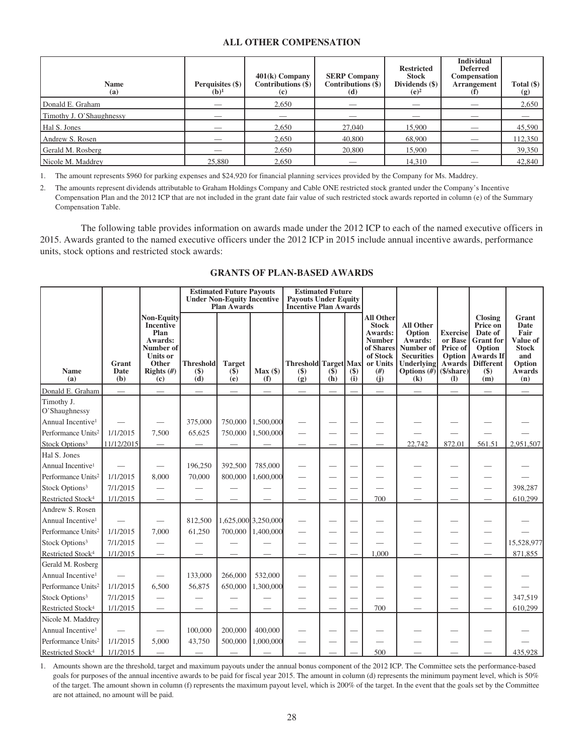## **ALL OTHER COMPENSATION**

| <b>Name</b><br>(a)       | Perquisites (\$)<br>$(b)^1$ | $401(k)$ Company<br>Contributions (\$)<br>(c) | <b>SERP Company</b><br>Contributions (\$)<br>(d) | <b>Restricted</b><br><b>Stock</b><br>Dividends (\$)<br>$(e)^2$ | <b>Individual</b><br><b>Deferred</b><br>Compensation<br><b>Arrangement</b> | Total $(\$)$<br>(g) |
|--------------------------|-----------------------------|-----------------------------------------------|--------------------------------------------------|----------------------------------------------------------------|----------------------------------------------------------------------------|---------------------|
| Donald E. Graham         | __                          | 2,650                                         |                                                  | __                                                             |                                                                            | 2,650               |
| Timothy J. O'Shaughnessy |                             |                                               |                                                  |                                                                |                                                                            |                     |
| Hal S. Jones             |                             | 2,650                                         | 27,040                                           | 15,900                                                         |                                                                            | 45,590              |
| Andrew S. Rosen          |                             | 2,650                                         | 40,800                                           | 68,900                                                         |                                                                            | 112,350             |
| Gerald M. Rosberg        |                             | 2,650                                         | 20,800                                           | 15,900                                                         |                                                                            | 39,350              |
| Nicole M. Maddrey        | 25,880                      | 2.650                                         |                                                  | 14.310                                                         |                                                                            | 42,840              |

1. The amount represents \$960 for parking expenses and \$24,920 for financial planning services provided by the Company for Ms. Maddrey.

2. The amounts represent dividends attributable to Graham Holdings Company and Cable ONE restricted stock granted under the Company's Incentive Compensation Plan and the 2012 ICP that are not included in the grant date fair value of such restricted stock awards reported in column (e) of the Summary Compensation Table.

The following table provides information on awards made under the 2012 ICP to each of the named executive officers in 2015. Awards granted to the named executive officers under the 2012 ICP in 2015 include annual incentive awards, performance units, stock options and restricted stock awards:

|                                |                          |                                                                                                                         |                                  | <b>Estimated Future Payouts</b><br><b>Under Non-Equity Incentive</b><br><b>Plan Awards</b> |                     | <b>Estimated Future</b><br><b>Payouts Under Equity</b><br><b>Incentive Plan Awards</b> |                 |                                  |                                                                                                                         |                                                                                                                      |                                                                                               |                                                                                                                               |                                                                                                   |
|--------------------------------|--------------------------|-------------------------------------------------------------------------------------------------------------------------|----------------------------------|--------------------------------------------------------------------------------------------|---------------------|----------------------------------------------------------------------------------------|-----------------|----------------------------------|-------------------------------------------------------------------------------------------------------------------------|----------------------------------------------------------------------------------------------------------------------|-----------------------------------------------------------------------------------------------|-------------------------------------------------------------------------------------------------------------------------------|---------------------------------------------------------------------------------------------------|
| <b>Name</b><br>(a)             | Grant<br>Date<br>(b)     | <b>Non-Equity</b><br><b>Incentive</b><br>Plan<br>Awards:<br>Number of<br><b>Units or</b><br>Other<br>Rights $#)$<br>(c) | <b>Threshold</b><br>$($)$<br>(d) | <b>Target</b><br>$(\$)$<br>(e)                                                             | $Max($ \$)<br>(f)   | <b>Threshold</b> Target Max<br>$($)$<br>(g)                                            | $(\$)$<br>(h)   | $\left( \text{\$}\right)$<br>(i) | <b>All Other</b><br><b>Stock</b><br><b>Awards:</b><br><b>Number</b><br>of Shares<br>of Stock<br>or Units<br>(f#)<br>(j) | <b>All Other</b><br>Option<br>Awards:<br>Number of<br><b>Securities</b><br><b>Underlying</b><br>Options $(H)$<br>(k) | <b>Exercise</b><br>or Base<br>Price of<br>Option<br><b>Awards</b><br>(\$/share)<br><b>(I)</b> | <b>Closing</b><br>Price on<br>Date of<br><b>Grant</b> for<br>Option<br><b>Awards If</b><br><b>Different</b><br>$($ \$)<br>(m) | Grant<br><b>Date</b><br>Fair<br>Value of<br><b>Stock</b><br>and<br>Option<br><b>Awards</b><br>(n) |
| Donald E. Graham               | $\overline{\phantom{0}}$ |                                                                                                                         |                                  |                                                                                            |                     |                                                                                        | $\qquad \qquad$ |                                  | $\overline{\phantom{0}}$                                                                                                |                                                                                                                      |                                                                                               |                                                                                                                               | $\qquad \qquad$                                                                                   |
| Timothy J.<br>O'Shaughnessy    |                          |                                                                                                                         |                                  |                                                                                            |                     |                                                                                        |                 |                                  |                                                                                                                         |                                                                                                                      |                                                                                               |                                                                                                                               |                                                                                                   |
| Annual Incentive <sup>1</sup>  |                          |                                                                                                                         | 375,000                          | 750,000                                                                                    | 1,500,000           |                                                                                        |                 |                                  |                                                                                                                         |                                                                                                                      |                                                                                               |                                                                                                                               |                                                                                                   |
| Performance Units <sup>2</sup> | 1/1/2015                 | 7,500                                                                                                                   | 65.625                           | 750,000                                                                                    | 1,500,000           |                                                                                        |                 |                                  |                                                                                                                         |                                                                                                                      |                                                                                               |                                                                                                                               |                                                                                                   |
| Stock Options <sup>3</sup>     | 11/12/2015               | $\overline{\phantom{0}}$                                                                                                |                                  |                                                                                            |                     |                                                                                        |                 |                                  |                                                                                                                         | 22,742                                                                                                               | 872.01                                                                                        | 561.51                                                                                                                        | 2,951,507                                                                                         |
| Hal S. Jones                   |                          |                                                                                                                         |                                  |                                                                                            |                     |                                                                                        |                 |                                  |                                                                                                                         |                                                                                                                      |                                                                                               |                                                                                                                               |                                                                                                   |
| Annual Incentive <sup>1</sup>  |                          | $\hspace{0.05cm}$                                                                                                       | 196,250                          | 392,500                                                                                    | 785,000             |                                                                                        |                 |                                  |                                                                                                                         |                                                                                                                      |                                                                                               |                                                                                                                               |                                                                                                   |
| Performance Units <sup>2</sup> | 1/1/2015                 | 8,000                                                                                                                   | 70,000                           | 800,000                                                                                    | 1,600,000           |                                                                                        |                 |                                  |                                                                                                                         |                                                                                                                      |                                                                                               |                                                                                                                               |                                                                                                   |
| Stock Options <sup>3</sup>     | 7/1/2015                 |                                                                                                                         |                                  |                                                                                            |                     |                                                                                        |                 |                                  |                                                                                                                         |                                                                                                                      |                                                                                               |                                                                                                                               | 398,287                                                                                           |
| Restricted Stock <sup>4</sup>  | 1/1/2015                 |                                                                                                                         |                                  |                                                                                            |                     |                                                                                        |                 |                                  | 700                                                                                                                     |                                                                                                                      |                                                                                               |                                                                                                                               | 610,299                                                                                           |
| Andrew S. Rosen                |                          |                                                                                                                         |                                  |                                                                                            |                     |                                                                                        |                 |                                  |                                                                                                                         |                                                                                                                      |                                                                                               |                                                                                                                               |                                                                                                   |
| Annual Incentive <sup>1</sup>  |                          |                                                                                                                         | 812,500                          |                                                                                            | 1,625,000 3,250,000 |                                                                                        |                 |                                  |                                                                                                                         |                                                                                                                      |                                                                                               |                                                                                                                               |                                                                                                   |
| Performance Units <sup>2</sup> | 1/1/2015                 | 7,000                                                                                                                   | 61,250                           | 700,000                                                                                    | 1,400,000           |                                                                                        |                 |                                  |                                                                                                                         |                                                                                                                      |                                                                                               |                                                                                                                               |                                                                                                   |
| Stock Options <sup>3</sup>     | 7/1/2015                 |                                                                                                                         |                                  |                                                                                            |                     |                                                                                        |                 |                                  |                                                                                                                         |                                                                                                                      |                                                                                               |                                                                                                                               | 15,528,977                                                                                        |
| Restricted Stock <sup>4</sup>  | 1/1/2015                 |                                                                                                                         |                                  |                                                                                            |                     |                                                                                        |                 |                                  | 1.000                                                                                                                   |                                                                                                                      |                                                                                               |                                                                                                                               | 871,855                                                                                           |
| Gerald M. Rosberg              |                          |                                                                                                                         |                                  |                                                                                            |                     |                                                                                        |                 |                                  |                                                                                                                         |                                                                                                                      |                                                                                               |                                                                                                                               |                                                                                                   |
| Annual Incentive <sup>1</sup>  |                          |                                                                                                                         | 133,000                          | 266,000                                                                                    | 532,000             |                                                                                        |                 |                                  |                                                                                                                         |                                                                                                                      | $\overline{\phantom{0}}$                                                                      |                                                                                                                               |                                                                                                   |
| Performance Units <sup>2</sup> | 1/1/2015                 | 6.500                                                                                                                   | 56,875                           | 650,000                                                                                    | 1.300,000           |                                                                                        |                 |                                  |                                                                                                                         |                                                                                                                      |                                                                                               |                                                                                                                               |                                                                                                   |
| Stock Options <sup>3</sup>     | 7/1/2015                 |                                                                                                                         |                                  |                                                                                            |                     |                                                                                        |                 |                                  |                                                                                                                         |                                                                                                                      |                                                                                               |                                                                                                                               | 347,519                                                                                           |
| Restricted Stock <sup>4</sup>  | 1/1/2015                 |                                                                                                                         |                                  |                                                                                            |                     |                                                                                        |                 |                                  | 700                                                                                                                     |                                                                                                                      |                                                                                               |                                                                                                                               | 610,299                                                                                           |
| Nicole M. Maddrey              |                          |                                                                                                                         |                                  |                                                                                            |                     |                                                                                        |                 |                                  |                                                                                                                         |                                                                                                                      |                                                                                               |                                                                                                                               |                                                                                                   |
| Annual Incentive <sup>1</sup>  |                          |                                                                                                                         | 100,000                          | 200,000                                                                                    | 400,000             |                                                                                        |                 |                                  |                                                                                                                         |                                                                                                                      |                                                                                               |                                                                                                                               |                                                                                                   |
| Performance Units <sup>2</sup> | 1/1/2015                 | 5,000                                                                                                                   | 43,750                           | 500,000                                                                                    | 1,000,000           |                                                                                        |                 |                                  |                                                                                                                         |                                                                                                                      |                                                                                               |                                                                                                                               |                                                                                                   |
| Restricted Stock <sup>4</sup>  | 1/1/2015                 |                                                                                                                         |                                  |                                                                                            |                     |                                                                                        |                 |                                  | 500                                                                                                                     |                                                                                                                      |                                                                                               |                                                                                                                               | 435.928                                                                                           |

## **GRANTS OF PLAN-BASED AWARDS**

1. Amounts shown are the threshold, target and maximum payouts under the annual bonus component of the 2012 ICP. The Committee sets the performance-based goals for purposes of the annual incentive awards to be paid for fiscal year 2015. The amount in column (d) represents the minimum payment level, which is 50% of the target. The amount shown in column (f) represents the maximum payout level, which is 200% of the target. In the event that the goals set by the Committee are not attained, no amount will be paid.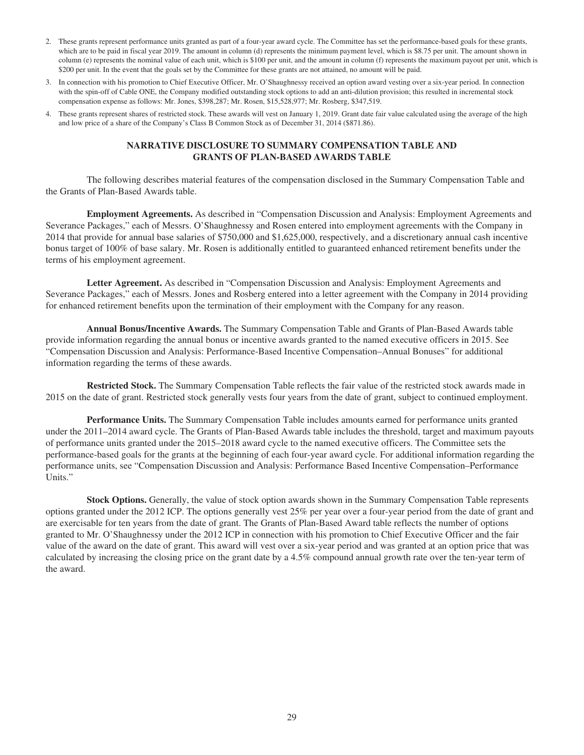- 2. These grants represent performance units granted as part of a four-year award cycle. The Committee has set the performance-based goals for these grants, which are to be paid in fiscal year 2019. The amount in column (d) represents the minimum payment level, which is \$8.75 per unit. The amount shown in column (e) represents the nominal value of each unit, which is \$100 per unit, and the amount in column (f) represents the maximum payout per unit, which is \$200 per unit. In the event that the goals set by the Committee for these grants are not attained, no amount will be paid.
- 3. In connection with his promotion to Chief Executive Officer, Mr. O'Shaughnessy received an option award vesting over a six-year period. In connection with the spin-off of Cable ONE, the Company modified outstanding stock options to add an anti-dilution provision; this resulted in incremental stock compensation expense as follows: Mr. Jones, \$398,287; Mr. Rosen, \$15,528,977; Mr. Rosberg, \$347,519.
- 4. These grants represent shares of restricted stock. These awards will vest on January 1, 2019. Grant date fair value calculated using the average of the high and low price of a share of the Company's Class B Common Stock as of December 31, 2014 (\$871.86).

#### **NARRATIVE DISCLOSURE TO SUMMARY COMPENSATION TABLE AND GRANTS OF PLAN-BASED AWARDS TABLE**

The following describes material features of the compensation disclosed in the Summary Compensation Table and the Grants of Plan-Based Awards table.

**Employment Agreements.** As described in "Compensation Discussion and Analysis: Employment Agreements and Severance Packages," each of Messrs. O'Shaughnessy and Rosen entered into employment agreements with the Company in 2014 that provide for annual base salaries of \$750,000 and \$1,625,000, respectively, and a discretionary annual cash incentive bonus target of 100% of base salary. Mr. Rosen is additionally entitled to guaranteed enhanced retirement benefits under the terms of his employment agreement.

**Letter Agreement.** As described in "Compensation Discussion and Analysis: Employment Agreements and Severance Packages," each of Messrs. Jones and Rosberg entered into a letter agreement with the Company in 2014 providing for enhanced retirement benefits upon the termination of their employment with the Company for any reason.

**Annual Bonus/Incentive Awards.** The Summary Compensation Table and Grants of Plan-Based Awards table provide information regarding the annual bonus or incentive awards granted to the named executive officers in 2015. See "Compensation Discussion and Analysis: Performance-Based Incentive Compensation–Annual Bonuses" for additional information regarding the terms of these awards.

**Restricted Stock.** The Summary Compensation Table reflects the fair value of the restricted stock awards made in 2015 on the date of grant. Restricted stock generally vests four years from the date of grant, subject to continued employment.

**Performance Units.** The Summary Compensation Table includes amounts earned for performance units granted under the 2011–2014 award cycle. The Grants of Plan-Based Awards table includes the threshold, target and maximum payouts of performance units granted under the 2015–2018 award cycle to the named executive officers. The Committee sets the performance-based goals for the grants at the beginning of each four-year award cycle. For additional information regarding the performance units, see "Compensation Discussion and Analysis: Performance Based Incentive Compensation–Performance Units."

**Stock Options.** Generally, the value of stock option awards shown in the Summary Compensation Table represents options granted under the 2012 ICP. The options generally vest 25% per year over a four-year period from the date of grant and are exercisable for ten years from the date of grant. The Grants of Plan-Based Award table reflects the number of options granted to Mr. O'Shaughnessy under the 2012 ICP in connection with his promotion to Chief Executive Officer and the fair value of the award on the date of grant. This award will vest over a six-year period and was granted at an option price that was calculated by increasing the closing price on the grant date by a 4.5% compound annual growth rate over the ten-year term of the award.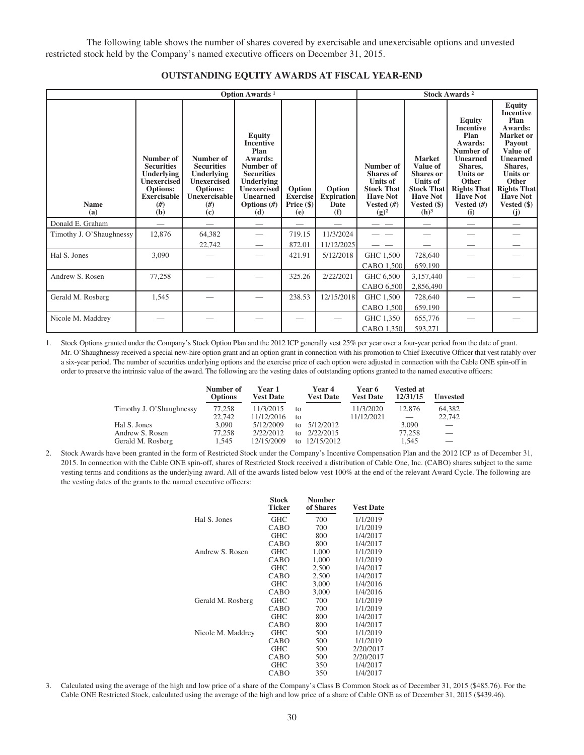The following table shows the number of shares covered by exercisable and unexercisable options and unvested restricted stock held by the Company's named executive officers on December 31, 2015.

| <b>Option Awards</b> <sup>1</sup> |                                                                                                                          |                                                                                                                    |                                                                                                                                                                              |                                                  | <b>Stock Awards 2</b>                      |                                                                                                                     |                                                                                                                                             |                                                                                                                                                                                                    |                                                                                                                                                                                                                           |
|-----------------------------------|--------------------------------------------------------------------------------------------------------------------------|--------------------------------------------------------------------------------------------------------------------|------------------------------------------------------------------------------------------------------------------------------------------------------------------------------|--------------------------------------------------|--------------------------------------------|---------------------------------------------------------------------------------------------------------------------|---------------------------------------------------------------------------------------------------------------------------------------------|----------------------------------------------------------------------------------------------------------------------------------------------------------------------------------------------------|---------------------------------------------------------------------------------------------------------------------------------------------------------------------------------------------------------------------------|
| <b>Name</b><br>(a)                | Number of<br><b>Securities</b><br><b>Underlying</b><br>Unexercised<br><b>Options:</b><br><b>Exercisable</b><br>#)<br>(b) | Number of<br><b>Securities</b><br>Underlying<br><b>Unexercised</b><br>Options:<br><b>Unexercisable</b><br>#<br>(c) | <b>Equity</b><br><b>Incentive</b><br>Plan<br>Awards:<br>Number of<br><b>Securities</b><br><b>Underlying</b><br><b>Unexercised</b><br><b>Unearned</b><br>Options $(H)$<br>(d) | Option<br><b>Exercise</b><br>Price $(\$)$<br>(e) | Option<br><b>Expiration</b><br>Date<br>(f) | Number of<br><b>Shares</b> of<br><b>Units of</b><br><b>Stock That</b><br><b>Have Not</b><br>Vested $(H)$<br>$(g)^2$ | <b>Market</b><br>Value of<br><b>Shares</b> or<br><b>Units of</b><br><b>Stock That</b><br><b>Have Not</b><br>Vested (\$)<br>(h) <sup>3</sup> | <b>Equity</b><br><b>Incentive</b><br>Plan<br>Awards:<br>Number of<br><b>Unearned</b><br>Shares.<br><b>Units or</b><br><b>Other</b><br><b>Rights That</b><br><b>Have Not</b><br>Vested $(H)$<br>(i) | <b>Equity</b><br><b>Incentive</b><br>Plan<br>Awards:<br>Market or<br>Payout<br>Value of<br><b>Unearned</b><br>Shares,<br><b>Units or</b><br><b>Other</b><br><b>Rights That</b><br><b>Have Not</b><br>Vested $(\$)$<br>(i) |
| Donald E. Graham                  |                                                                                                                          |                                                                                                                    |                                                                                                                                                                              |                                                  |                                            |                                                                                                                     |                                                                                                                                             |                                                                                                                                                                                                    |                                                                                                                                                                                                                           |
| Timothy J. O'Shaughnessy          | 12,876                                                                                                                   | 64,382<br>22,742                                                                                                   |                                                                                                                                                                              | 719.15<br>872.01                                 | 11/3/2024<br>11/12/2025                    |                                                                                                                     |                                                                                                                                             |                                                                                                                                                                                                    |                                                                                                                                                                                                                           |
| Hal S. Jones                      | 3,090                                                                                                                    |                                                                                                                    |                                                                                                                                                                              | 421.91                                           | 5/12/2018                                  | GHC 1,500<br>CABO 1,500                                                                                             | 728,640<br>659,190                                                                                                                          |                                                                                                                                                                                                    |                                                                                                                                                                                                                           |
| Andrew S. Rosen                   | 77,258                                                                                                                   |                                                                                                                    |                                                                                                                                                                              | 325.26                                           | 2/22/2021                                  | GHC 6,500<br>CABO 6,500                                                                                             | 3,157,440<br>2,856,490                                                                                                                      |                                                                                                                                                                                                    |                                                                                                                                                                                                                           |
| Gerald M. Rosberg                 | 1,545                                                                                                                    |                                                                                                                    |                                                                                                                                                                              | 238.53                                           | 12/15/2018                                 | GHC 1,500<br>CABO 1,500                                                                                             | 728,640<br>659,190                                                                                                                          |                                                                                                                                                                                                    |                                                                                                                                                                                                                           |
| Nicole M. Maddrey                 |                                                                                                                          |                                                                                                                    |                                                                                                                                                                              |                                                  |                                            | GHC 1,350<br>CABO 1,350                                                                                             | 655,776<br>593,271                                                                                                                          |                                                                                                                                                                                                    |                                                                                                                                                                                                                           |

#### **OUTSTANDING EQUITY AWARDS AT FISCAL YEAR-END**

1. Stock Options granted under the Company's Stock Option Plan and the 2012 ICP generally vest 25% per year over a four-year period from the date of grant. Mr. O'Shaughnessy received a special new-hire option grant and an option grant in connection with his promotion to Chief Executive Officer that vest ratably over a six-year period. The number of securities underlying options and the exercise price of each option were adjusted in connection with the Cable ONE spin-off in order to preserve the intrinsic value of the award. The following are the vesting dates of outstanding options granted to the named executive officers:

|                          | Number of<br><b>Options</b> | Year 1<br><b>Vest Date</b> |              | Year 4<br><b>Vest Date</b> | <b>Year 6</b><br><b>Vest Date</b> | Vested at<br>12/31/15 | <b>Unvested</b> |
|--------------------------|-----------------------------|----------------------------|--------------|----------------------------|-----------------------------------|-----------------------|-----------------|
| Timothy J. O'Shaughnessy | 77.258                      | 11/3/2015                  | to           |                            | 11/3/2020                         | 12,876                | 64,382          |
|                          | 22,742                      | 11/12/2016                 | tΩ           |                            | 11/12/2021                        |                       | 22,742          |
| Hal S. Jones             | 3.090                       | 5/12/2009                  | $f_{\Omega}$ | 5/12/2012                  |                                   | 3.090                 |                 |
| Andrew S. Rosen          | 77.258                      | 2/22/2012                  | tΩ           | 2/22/2015                  |                                   | 77.258                |                 |
| Gerald M. Rosberg        | 1.545                       | 12/15/2009                 |              | to 12/15/2012              |                                   | 1.545                 |                 |

2. Stock Awards have been granted in the form of Restricted Stock under the Company's Incentive Compensation Plan and the 2012 ICP as of December 31, 2015. In connection with the Cable ONE spin-off, shares of Restricted Stock received a distribution of Cable One, Inc. (CABO) shares subject to the same vesting terms and conditions as the underlying award. All of the awards listed below vest 100% at the end of the relevant Award Cycle. The following are the vesting dates of the grants to the named executive officers:

|                   | <b>Stock</b><br><b>Ticker</b> | <b>Number</b><br>of Shares | <b>Vest Date</b> |
|-------------------|-------------------------------|----------------------------|------------------|
| Hal S. Jones      | <b>GHC</b>                    | 700                        | 1/1/2019         |
|                   | CABO                          | 700                        | 1/1/2019         |
|                   | <b>GHC</b>                    | 800                        | 1/4/2017         |
|                   | CABO                          | 800                        | 1/4/2017         |
| Andrew S. Rosen   | <b>GHC</b>                    | 1,000                      | 1/1/2019         |
|                   | CABO                          | 1.000                      | 1/1/2019         |
|                   | <b>GHC</b>                    | 2,500                      | 1/4/2017         |
|                   | CABO                          | 2,500                      | 1/4/2017         |
|                   | <b>GHC</b>                    | 3,000                      | 1/4/2016         |
|                   | CABO                          | 3,000                      | 1/4/2016         |
| Gerald M. Rosberg | <b>GHC</b>                    | 700                        | 1/1/2019         |
|                   | CABO                          | 700                        | 1/1/2019         |
|                   | <b>GHC</b>                    | 800                        | 1/4/2017         |
|                   | CABO                          | 800                        | 1/4/2017         |
| Nicole M. Maddrey | <b>GHC</b>                    | 500                        | 1/1/2019         |
|                   | CABO                          | 500                        | 1/1/2019         |
|                   | <b>GHC</b>                    | 500                        | 2/20/2017        |
|                   | CABO                          | 500                        | 2/20/2017        |
|                   | <b>GHC</b>                    | 350                        | 1/4/2017         |
|                   | CABO                          | 350                        | 1/4/2017         |

3. Calculated using the average of the high and low price of a share of the Company's Class B Common Stock as of December 31, 2015 (\$485.76). For the Cable ONE Restricted Stock, calculated using the average of the high and low price of a share of Cable ONE as of December 31, 2015 (\$439.46).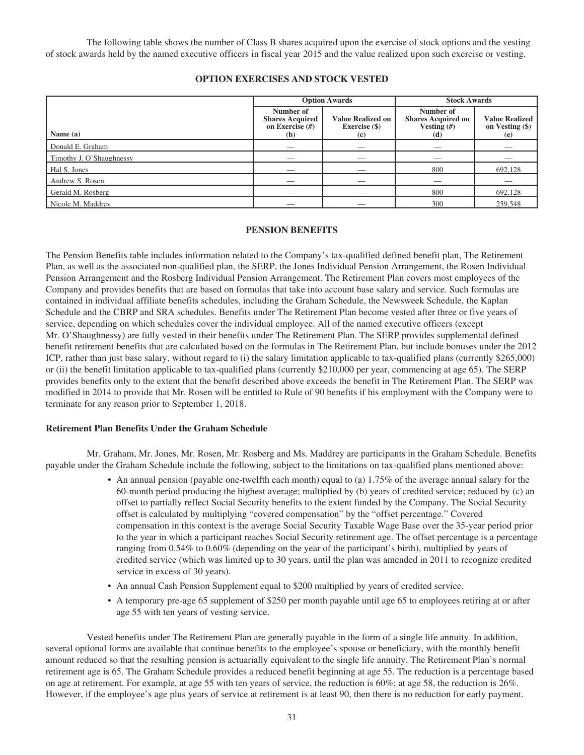The following table shows the number of Class B shares acquired upon the exercise of stock options and the vesting of stock awards held by the named executive officers in fiscal year 2015 and the value realized upon such exercise or vesting.

## **OPTION EXERCISES AND STOCK VESTED**

|                          | <b>Option Awards</b>                                            |                                                  | <b>Stock Awards</b>                                            |                                                 |
|--------------------------|-----------------------------------------------------------------|--------------------------------------------------|----------------------------------------------------------------|-------------------------------------------------|
| Name $(a)$               | Number of<br><b>Shares Acquired</b><br>on Exercise $(H)$<br>(b) | <b>Value Realized on</b><br>Exercise (\$)<br>(c) | Number of<br><b>Shares Acquired on</b><br>Vesting $(H)$<br>(d) | <b>Value Realized</b><br>on Vesting (\$)<br>(e) |
| Donald E. Graham         |                                                                 |                                                  |                                                                |                                                 |
| Timothy J. O'Shaughnessy |                                                                 |                                                  |                                                                |                                                 |
| Hal S. Jones             |                                                                 |                                                  | 800                                                            | 692,128                                         |
| Andrew S. Rosen          |                                                                 | $\overline{\phantom{a}}$                         | __                                                             |                                                 |
| Gerald M. Rosberg        |                                                                 |                                                  | 800                                                            | 692,128                                         |
| Nicole M. Maddrey        |                                                                 |                                                  | 300                                                            | 259,548                                         |

#### **PENSION BENEFITS**

The Pension Benefits table includes information related to the Company's tax-qualified defined benefit plan, The Retirement Plan, as well as the associated non-qualified plan, the SERP, the Jones Individual Pension Arrangement, the Rosen Individual Pension Arrangement and the Rosberg Individual Pension Arrangement. The Retirement Plan covers most employees of the Company and provides benefits that are based on formulas that take into account base salary and service. Such formulas are contained in individual affiliate benefits schedules, including the Graham Schedule, the Newsweek Schedule, the Kaplan Schedule and the CBRP and SRA schedules. Benefits under The Retirement Plan become vested after three or five years of service, depending on which schedules cover the individual employee. All of the named executive officers (except Mr. O'Shaughnessy) are fully vested in their benefits under The Retirement Plan. The SERP provides supplemental defined benefit retirement benefits that are calculated based on the formulas in The Retirement Plan, but include bonuses under the 2012 ICP, rather than just base salary, without regard to (i) the salary limitation applicable to tax-qualified plans (currently \$265,000) or (ii) the benefit limitation applicable to tax-qualified plans (currently \$210,000 per year, commencing at age 65). The SERP provides benefits only to the extent that the benefit described above exceeds the benefit in The Retirement Plan. The SERP was modified in 2014 to provide that Mr. Rosen will be entitled to Rule of 90 benefits if his employment with the Company were to terminate for any reason prior to September 1, 2018.

#### **Retirement Plan Benefits Under the Graham Schedule**

Mr. Graham, Mr. Jones, Mr. Rosen, Mr. Rosberg and Ms. Maddrey are participants in the Graham Schedule. Benefits payable under the Graham Schedule include the following, subject to the limitations on tax-qualified plans mentioned above:

- An annual pension (payable one-twelfth each month) equal to (a) 1.75% of the average annual salary for the 60-month period producing the highest average; multiplied by (b) years of credited service; reduced by (c) an offset to partially reflect Social Security benefits to the extent funded by the Company. The Social Security offset is calculated by multiplying "covered compensation" by the "offset percentage." Covered compensation in this context is the average Social Security Taxable Wage Base over the 35-year period prior to the year in which a participant reaches Social Security retirement age. The offset percentage is a percentage ranging from 0.54% to 0.60% (depending on the year of the participant's birth), multiplied by years of credited service (which was limited up to 30 years, until the plan was amended in 2011 to recognize credited service in excess of 30 years).
- An annual Cash Pension Supplement equal to \$200 multiplied by years of credited service.
- A temporary pre-age 65 supplement of \$250 per month payable until age 65 to employees retiring at or after age 55 with ten years of vesting service.

Vested benefits under The Retirement Plan are generally payable in the form of a single life annuity. In addition, several optional forms are available that continue benefits to the employee's spouse or beneficiary, with the monthly benefit amount reduced so that the resulting pension is actuarially equivalent to the single life annuity. The Retirement Plan's normal retirement age is 65. The Graham Schedule provides a reduced benefit beginning at age 55. The reduction is a percentage based on age at retirement. For example, at age 55 with ten years of service, the reduction is 60%; at age 58, the reduction is 26%. However, if the employee's age plus years of service at retirement is at least 90, then there is no reduction for early payment.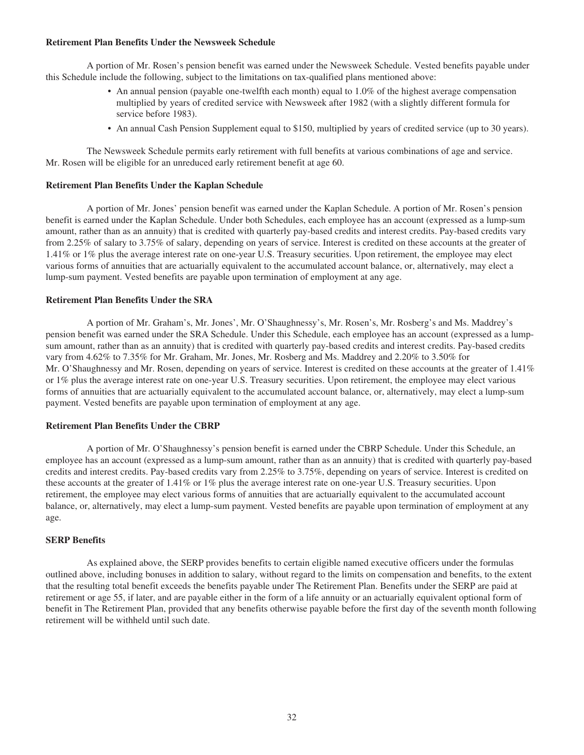#### **Retirement Plan Benefits Under the Newsweek Schedule**

A portion of Mr. Rosen's pension benefit was earned under the Newsweek Schedule. Vested benefits payable under this Schedule include the following, subject to the limitations on tax-qualified plans mentioned above:

- An annual pension (payable one-twelfth each month) equal to 1.0% of the highest average compensation multiplied by years of credited service with Newsweek after 1982 (with a slightly different formula for service before 1983).
- An annual Cash Pension Supplement equal to \$150, multiplied by years of credited service (up to 30 years).

The Newsweek Schedule permits early retirement with full benefits at various combinations of age and service. Mr. Rosen will be eligible for an unreduced early retirement benefit at age 60.

#### **Retirement Plan Benefits Under the Kaplan Schedule**

A portion of Mr. Jones' pension benefit was earned under the Kaplan Schedule. A portion of Mr. Rosen's pension benefit is earned under the Kaplan Schedule. Under both Schedules, each employee has an account (expressed as a lump-sum amount, rather than as an annuity) that is credited with quarterly pay-based credits and interest credits. Pay-based credits vary from 2.25% of salary to 3.75% of salary, depending on years of service. Interest is credited on these accounts at the greater of 1.41% or 1% plus the average interest rate on one-year U.S. Treasury securities. Upon retirement, the employee may elect various forms of annuities that are actuarially equivalent to the accumulated account balance, or, alternatively, may elect a lump-sum payment. Vested benefits are payable upon termination of employment at any age.

## **Retirement Plan Benefits Under the SRA**

A portion of Mr. Graham's, Mr. Jones', Mr. O'Shaughnessy's, Mr. Rosen's, Mr. Rosberg's and Ms. Maddrey's pension benefit was earned under the SRA Schedule. Under this Schedule, each employee has an account (expressed as a lumpsum amount, rather than as an annuity) that is credited with quarterly pay-based credits and interest credits. Pay-based credits vary from 4.62% to 7.35% for Mr. Graham, Mr. Jones, Mr. Rosberg and Ms. Maddrey and 2.20% to 3.50% for Mr. O'Shaughnessy and Mr. Rosen, depending on years of service. Interest is credited on these accounts at the greater of 1.41% or 1% plus the average interest rate on one-year U.S. Treasury securities. Upon retirement, the employee may elect various forms of annuities that are actuarially equivalent to the accumulated account balance, or, alternatively, may elect a lump-sum payment. Vested benefits are payable upon termination of employment at any age.

#### **Retirement Plan Benefits Under the CBRP**

A portion of Mr. O'Shaughnessy's pension benefit is earned under the CBRP Schedule. Under this Schedule, an employee has an account (expressed as a lump-sum amount, rather than as an annuity) that is credited with quarterly pay-based credits and interest credits. Pay-based credits vary from 2.25% to 3.75%, depending on years of service. Interest is credited on these accounts at the greater of 1.41% or 1% plus the average interest rate on one-year U.S. Treasury securities. Upon retirement, the employee may elect various forms of annuities that are actuarially equivalent to the accumulated account balance, or, alternatively, may elect a lump-sum payment. Vested benefits are payable upon termination of employment at any age.

#### **SERP Benefits**

As explained above, the SERP provides benefits to certain eligible named executive officers under the formulas outlined above, including bonuses in addition to salary, without regard to the limits on compensation and benefits, to the extent that the resulting total benefit exceeds the benefits payable under The Retirement Plan. Benefits under the SERP are paid at retirement or age 55, if later, and are payable either in the form of a life annuity or an actuarially equivalent optional form of benefit in The Retirement Plan, provided that any benefits otherwise payable before the first day of the seventh month following retirement will be withheld until such date.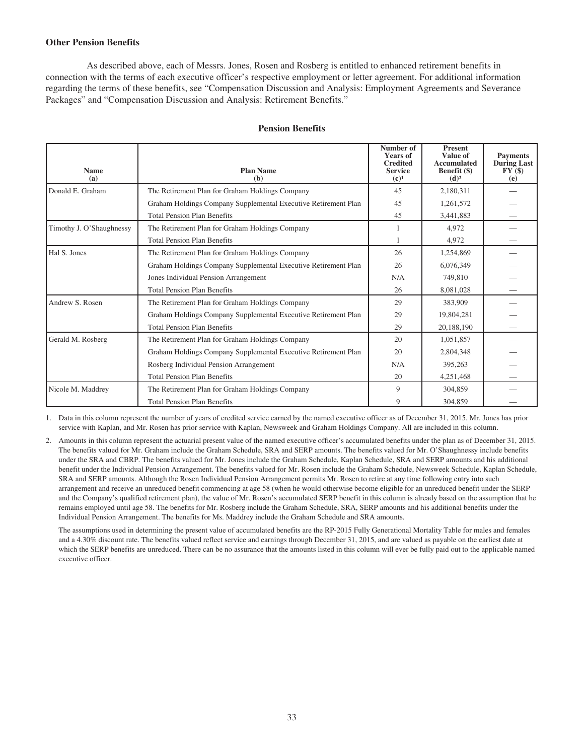## **Other Pension Benefits**

As described above, each of Messrs. Jones, Rosen and Rosberg is entitled to enhanced retirement benefits in connection with the terms of each executive officer's respective employment or letter agreement. For additional information regarding the terms of these benefits, see "Compensation Discussion and Analysis: Employment Agreements and Severance Packages" and "Compensation Discussion and Analysis: Retirement Benefits."

| <b>Name</b>              | <b>Plan Name</b>                                               | Number of<br><b>Years of</b><br><b>Credited</b><br><b>Service</b> | <b>Present</b><br>Value of<br>Accumulated<br>Benefit (\$) | <b>Payments</b><br><b>During Last</b><br>FY(\$) |
|--------------------------|----------------------------------------------------------------|-------------------------------------------------------------------|-----------------------------------------------------------|-------------------------------------------------|
| (a)                      | (b)                                                            | $(c)^1$                                                           | (d) <sup>2</sup>                                          | (e)                                             |
| Donald E. Graham         | The Retirement Plan for Graham Holdings Company                | 45                                                                | 2,180,311                                                 |                                                 |
|                          | Graham Holdings Company Supplemental Executive Retirement Plan | 45                                                                | 1,261,572                                                 |                                                 |
|                          | <b>Total Pension Plan Benefits</b>                             | 45                                                                | 3,441,883                                                 |                                                 |
| Timothy J. O'Shaughnessy | The Retirement Plan for Graham Holdings Company                |                                                                   | 4.972                                                     |                                                 |
|                          | <b>Total Pension Plan Benefits</b>                             |                                                                   | 4,972                                                     |                                                 |
| Hal S. Jones             | The Retirement Plan for Graham Holdings Company                | 26                                                                | 1,254,869                                                 |                                                 |
|                          | Graham Holdings Company Supplemental Executive Retirement Plan | 26                                                                | 6,076,349                                                 |                                                 |
|                          | Jones Individual Pension Arrangement                           | N/A                                                               | 749,810                                                   |                                                 |
|                          | <b>Total Pension Plan Benefits</b>                             | 26                                                                | 8,081,028                                                 |                                                 |
| Andrew S. Rosen          | The Retirement Plan for Graham Holdings Company                | 29                                                                | 383,909                                                   |                                                 |
|                          | Graham Holdings Company Supplemental Executive Retirement Plan | 29                                                                | 19,804,281                                                |                                                 |
|                          | <b>Total Pension Plan Benefits</b>                             | 29                                                                | 20,188,190                                                |                                                 |
| Gerald M. Rosberg        | The Retirement Plan for Graham Holdings Company                | 20                                                                | 1,051,857                                                 |                                                 |
|                          | Graham Holdings Company Supplemental Executive Retirement Plan | 20                                                                | 2,804,348                                                 |                                                 |
|                          | Rosberg Individual Pension Arrangement                         | N/A                                                               | 395,263                                                   |                                                 |
|                          | <b>Total Pension Plan Benefits</b>                             | 20                                                                | 4,251,468                                                 |                                                 |
| Nicole M. Maddrey        | The Retirement Plan for Graham Holdings Company                | 9                                                                 | 304,859                                                   |                                                 |
|                          | <b>Total Pension Plan Benefits</b>                             | 9                                                                 | 304,859                                                   |                                                 |

#### **Pension Benefits**

1. Data in this column represent the number of years of credited service earned by the named executive officer as of December 31, 2015. Mr. Jones has prior service with Kaplan, and Mr. Rosen has prior service with Kaplan, Newsweek and Graham Holdings Company. All are included in this column.

2. Amounts in this column represent the actuarial present value of the named executive officer's accumulated benefits under the plan as of December 31, 2015. The benefits valued for Mr. Graham include the Graham Schedule, SRA and SERP amounts. The benefits valued for Mr. O'Shaughnessy include benefits under the SRA and CBRP. The benefits valued for Mr. Jones include the Graham Schedule, Kaplan Schedule, SRA and SERP amounts and his additional benefit under the Individual Pension Arrangement. The benefits valued for Mr. Rosen include the Graham Schedule, Newsweek Schedule, Kaplan Schedule, SRA and SERP amounts. Although the Rosen Individual Pension Arrangement permits Mr. Rosen to retire at any time following entry into such arrangement and receive an unreduced benefit commencing at age 58 (when he would otherwise become eligible for an unreduced benefit under the SERP and the Company's qualified retirement plan), the value of Mr. Rosen's accumulated SERP benefit in this column is already based on the assumption that he remains employed until age 58. The benefits for Mr. Rosberg include the Graham Schedule, SRA, SERP amounts and his additional benefits under the Individual Pension Arrangement. The benefits for Ms. Maddrey include the Graham Schedule and SRA amounts.

The assumptions used in determining the present value of accumulated benefits are the RP-2015 Fully Generational Mortality Table for males and females and a 4.30% discount rate. The benefits valued reflect service and earnings through December 31, 2015, and are valued as payable on the earliest date at which the SERP benefits are unreduced. There can be no assurance that the amounts listed in this column will ever be fully paid out to the applicable named executive officer.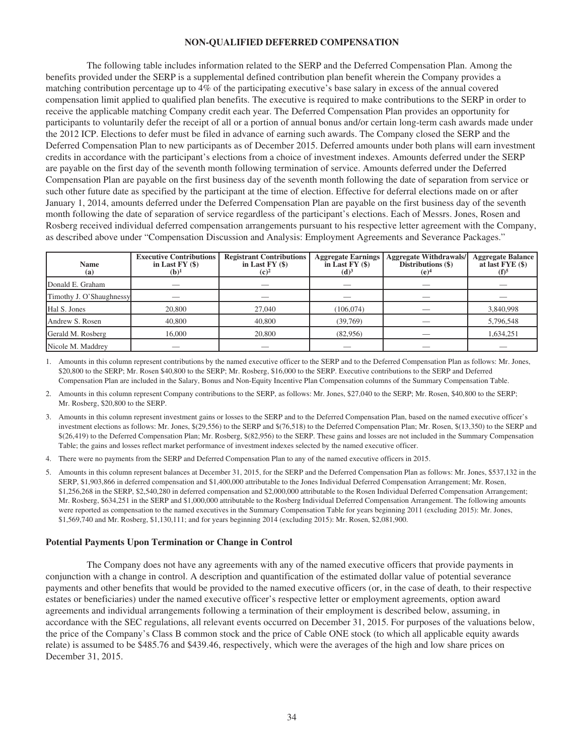#### **NON-QUALIFIED DEFERRED COMPENSATION**

The following table includes information related to the SERP and the Deferred Compensation Plan. Among the benefits provided under the SERP is a supplemental defined contribution plan benefit wherein the Company provides a matching contribution percentage up to 4% of the participating executive's base salary in excess of the annual covered compensation limit applied to qualified plan benefits. The executive is required to make contributions to the SERP in order to receive the applicable matching Company credit each year. The Deferred Compensation Plan provides an opportunity for participants to voluntarily defer the receipt of all or a portion of annual bonus and/or certain long-term cash awards made under the 2012 ICP. Elections to defer must be filed in advance of earning such awards. The Company closed the SERP and the Deferred Compensation Plan to new participants as of December 2015. Deferred amounts under both plans will earn investment credits in accordance with the participant's elections from a choice of investment indexes. Amounts deferred under the SERP are payable on the first day of the seventh month following termination of service. Amounts deferred under the Deferred Compensation Plan are payable on the first business day of the seventh month following the date of separation from service or such other future date as specified by the participant at the time of election. Effective for deferral elections made on or after January 1, 2014, amounts deferred under the Deferred Compensation Plan are payable on the first business day of the seventh month following the date of separation of service regardless of the participant's elections. Each of Messrs. Jones, Rosen and Rosberg received individual deferred compensation arrangements pursuant to his respective letter agreement with the Company, as described above under "Compensation Discussion and Analysis: Employment Agreements and Severance Packages."

| <b>Name</b><br>(a)       | <b>Executive Contributions</b><br>in Last $FY($ \$)<br>$(b)^1$ | <b>Registrant Contributions</b><br>in Last $FY(\$)$<br>$(c)^2$ | <b>Aggregate Earnings</b><br>in Last $FY($ \$ $)$<br>(d) <sup>3</sup> | <b>Aggregate Withdrawals/</b><br>Distributions (\$)<br>(e) <sup>4</sup> | <b>Aggregate Balance</b><br>at last FYE (\$)<br>$(f)^5$ |
|--------------------------|----------------------------------------------------------------|----------------------------------------------------------------|-----------------------------------------------------------------------|-------------------------------------------------------------------------|---------------------------------------------------------|
| Donald E. Graham         |                                                                |                                                                |                                                                       |                                                                         |                                                         |
| Timothy J. O'Shaughnessy |                                                                |                                                                |                                                                       |                                                                         |                                                         |
| Hal S. Jones             | 20,800                                                         | 27,040                                                         | (106, 074)                                                            |                                                                         | 3,840,998                                               |
| Andrew S. Rosen          | 40,800                                                         | 40,800                                                         | (39,769)                                                              |                                                                         | 5,796,548                                               |
| Gerald M. Rosberg        | 16,000                                                         | 20,800                                                         | (82,956)                                                              |                                                                         | 1,634,251                                               |
| Nicole M. Maddrey        | __                                                             |                                                                |                                                                       |                                                                         |                                                         |

1. Amounts in this column represent contributions by the named executive officer to the SERP and to the Deferred Compensation Plan as follows: Mr. Jones, \$20,800 to the SERP; Mr. Rosen \$40,800 to the SERP; Mr. Rosberg, \$16,000 to the SERP. Executive contributions to the SERP and Deferred Compensation Plan are included in the Salary, Bonus and Non-Equity Incentive Plan Compensation columns of the Summary Compensation Table.

2. Amounts in this column represent Company contributions to the SERP, as follows: Mr. Jones, \$27,040 to the SERP; Mr. Rosen, \$40,800 to the SERP; Mr. Rosberg, \$20,800 to the SERP.

- 3. Amounts in this column represent investment gains or losses to the SERP and to the Deferred Compensation Plan, based on the named executive officer's investment elections as follows: Mr. Jones, \$(29,556) to the SERP and \$(76,518) to the Deferred Compensation Plan; Mr. Rosen, \$(13,350) to the SERP and \$(26,419) to the Deferred Compensation Plan; Mr. Rosberg, \$(82,956) to the SERP. These gains and losses are not included in the Summary Compensation Table; the gains and losses reflect market performance of investment indexes selected by the named executive officer.
- 4. There were no payments from the SERP and Deferred Compensation Plan to any of the named executive officers in 2015.
- 5. Amounts in this column represent balances at December 31, 2015, for the SERP and the Deferred Compensation Plan as follows: Mr. Jones, \$537,132 in the SERP, \$1,903,866 in deferred compensation and \$1,400,000 attributable to the Jones Individual Deferred Compensation Arrangement; Mr. Rosen, \$1,256,268 in the SERP, \$2,540,280 in deferred compensation and \$2,000,000 attributable to the Rosen Individual Deferred Compensation Arrangement; Mr. Rosberg, \$634,251 in the SERP and \$1,000,000 attributable to the Rosberg Individual Deferred Compensation Arrangement. The following amounts were reported as compensation to the named executives in the Summary Compensation Table for years beginning 2011 (excluding 2015): Mr. Jones, \$1,569,740 and Mr. Rosberg, \$1,130,111; and for years beginning 2014 (excluding 2015): Mr. Rosen, \$2,081,900.

#### **Potential Payments Upon Termination or Change in Control**

The Company does not have any agreements with any of the named executive officers that provide payments in conjunction with a change in control. A description and quantification of the estimated dollar value of potential severance payments and other benefits that would be provided to the named executive officers (or, in the case of death, to their respective estates or beneficiaries) under the named executive officer's respective letter or employment agreements, option award agreements and individual arrangements following a termination of their employment is described below, assuming, in accordance with the SEC regulations, all relevant events occurred on December 31, 2015. For purposes of the valuations below, the price of the Company's Class B common stock and the price of Cable ONE stock (to which all applicable equity awards relate) is assumed to be \$485.76 and \$439.46, respectively, which were the averages of the high and low share prices on December 31, 2015.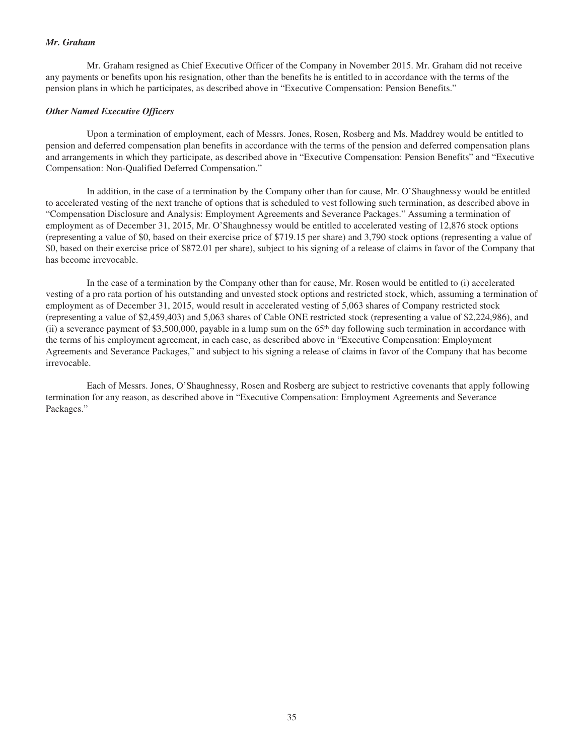#### *Mr. Graham*

Mr. Graham resigned as Chief Executive Officer of the Company in November 2015. Mr. Graham did not receive any payments or benefits upon his resignation, other than the benefits he is entitled to in accordance with the terms of the pension plans in which he participates, as described above in "Executive Compensation: Pension Benefits."

#### *Other Named Executive Officers*

Upon a termination of employment, each of Messrs. Jones, Rosen, Rosberg and Ms. Maddrey would be entitled to pension and deferred compensation plan benefits in accordance with the terms of the pension and deferred compensation plans and arrangements in which they participate, as described above in "Executive Compensation: Pension Benefits" and "Executive Compensation: Non-Qualified Deferred Compensation."

In addition, in the case of a termination by the Company other than for cause, Mr. O'Shaughnessy would be entitled to accelerated vesting of the next tranche of options that is scheduled to vest following such termination, as described above in "Compensation Disclosure and Analysis: Employment Agreements and Severance Packages." Assuming a termination of employment as of December 31, 2015, Mr. O'Shaughnessy would be entitled to accelerated vesting of 12,876 stock options (representing a value of \$0, based on their exercise price of \$719.15 per share) and 3,790 stock options (representing a value of \$0, based on their exercise price of \$872.01 per share), subject to his signing of a release of claims in favor of the Company that has become irrevocable.

In the case of a termination by the Company other than for cause, Mr. Rosen would be entitled to (i) accelerated vesting of a pro rata portion of his outstanding and unvested stock options and restricted stock, which, assuming a termination of employment as of December 31, 2015, would result in accelerated vesting of 5,063 shares of Company restricted stock (representing a value of \$2,459,403) and 5,063 shares of Cable ONE restricted stock (representing a value of \$2,224,986), and (ii) a severance payment of \$3,500,000, payable in a lump sum on the  $65<sup>th</sup>$  day following such termination in accordance with the terms of his employment agreement, in each case, as described above in "Executive Compensation: Employment Agreements and Severance Packages," and subject to his signing a release of claims in favor of the Company that has become irrevocable.

Each of Messrs. Jones, O'Shaughnessy, Rosen and Rosberg are subject to restrictive covenants that apply following termination for any reason, as described above in "Executive Compensation: Employment Agreements and Severance Packages."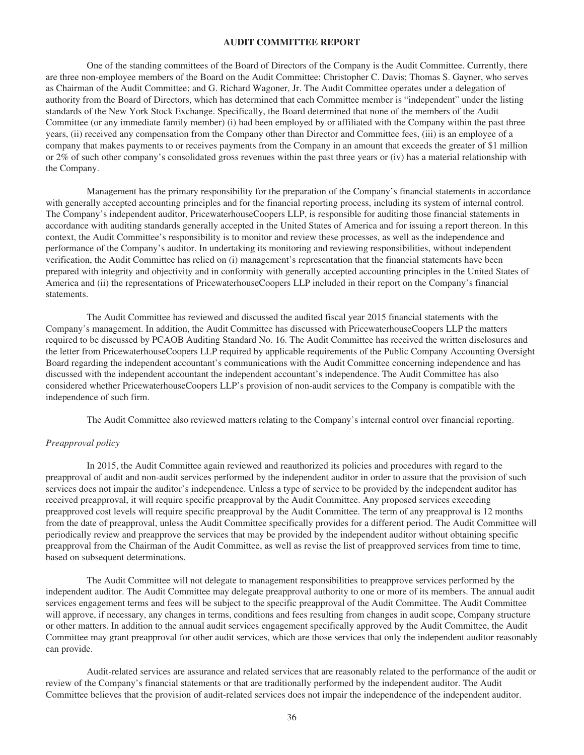## **AUDIT COMMITTEE REPORT**

One of the standing committees of the Board of Directors of the Company is the Audit Committee. Currently, there are three non-employee members of the Board on the Audit Committee: Christopher C. Davis; Thomas S. Gayner, who serves as Chairman of the Audit Committee; and G. Richard Wagoner, Jr. The Audit Committee operates under a delegation of authority from the Board of Directors, which has determined that each Committee member is "independent" under the listing standards of the New York Stock Exchange. Specifically, the Board determined that none of the members of the Audit Committee (or any immediate family member) (i) had been employed by or affiliated with the Company within the past three years, (ii) received any compensation from the Company other than Director and Committee fees, (iii) is an employee of a company that makes payments to or receives payments from the Company in an amount that exceeds the greater of \$1 million or 2% of such other company's consolidated gross revenues within the past three years or (iv) has a material relationship with the Company.

Management has the primary responsibility for the preparation of the Company's financial statements in accordance with generally accepted accounting principles and for the financial reporting process, including its system of internal control. The Company's independent auditor, PricewaterhouseCoopers LLP, is responsible for auditing those financial statements in accordance with auditing standards generally accepted in the United States of America and for issuing a report thereon. In this context, the Audit Committee's responsibility is to monitor and review these processes, as well as the independence and performance of the Company's auditor. In undertaking its monitoring and reviewing responsibilities, without independent verification, the Audit Committee has relied on (i) management's representation that the financial statements have been prepared with integrity and objectivity and in conformity with generally accepted accounting principles in the United States of America and (ii) the representations of PricewaterhouseCoopers LLP included in their report on the Company's financial statements.

The Audit Committee has reviewed and discussed the audited fiscal year 2015 financial statements with the Company's management. In addition, the Audit Committee has discussed with PricewaterhouseCoopers LLP the matters required to be discussed by PCAOB Auditing Standard No. 16. The Audit Committee has received the written disclosures and the letter from PricewaterhouseCoopers LLP required by applicable requirements of the Public Company Accounting Oversight Board regarding the independent accountant's communications with the Audit Committee concerning independence and has discussed with the independent accountant the independent accountant's independence. The Audit Committee has also considered whether PricewaterhouseCoopers LLP's provision of non-audit services to the Company is compatible with the independence of such firm.

The Audit Committee also reviewed matters relating to the Company's internal control over financial reporting.

#### *Preapproval policy*

In 2015, the Audit Committee again reviewed and reauthorized its policies and procedures with regard to the preapproval of audit and non-audit services performed by the independent auditor in order to assure that the provision of such services does not impair the auditor's independence. Unless a type of service to be provided by the independent auditor has received preapproval, it will require specific preapproval by the Audit Committee. Any proposed services exceeding preapproved cost levels will require specific preapproval by the Audit Committee. The term of any preapproval is 12 months from the date of preapproval, unless the Audit Committee specifically provides for a different period. The Audit Committee will periodically review and preapprove the services that may be provided by the independent auditor without obtaining specific preapproval from the Chairman of the Audit Committee, as well as revise the list of preapproved services from time to time, based on subsequent determinations.

The Audit Committee will not delegate to management responsibilities to preapprove services performed by the independent auditor. The Audit Committee may delegate preapproval authority to one or more of its members. The annual audit services engagement terms and fees will be subject to the specific preapproval of the Audit Committee. The Audit Committee will approve, if necessary, any changes in terms, conditions and fees resulting from changes in audit scope, Company structure or other matters. In addition to the annual audit services engagement specifically approved by the Audit Committee, the Audit Committee may grant preapproval for other audit services, which are those services that only the independent auditor reasonably can provide.

Audit-related services are assurance and related services that are reasonably related to the performance of the audit or review of the Company's financial statements or that are traditionally performed by the independent auditor. The Audit Committee believes that the provision of audit-related services does not impair the independence of the independent auditor.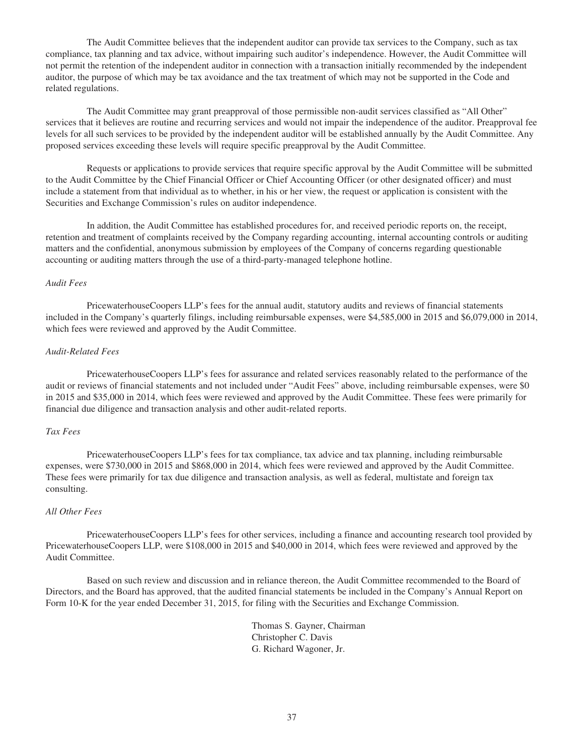The Audit Committee believes that the independent auditor can provide tax services to the Company, such as tax compliance, tax planning and tax advice, without impairing such auditor's independence. However, the Audit Committee will not permit the retention of the independent auditor in connection with a transaction initially recommended by the independent auditor, the purpose of which may be tax avoidance and the tax treatment of which may not be supported in the Code and related regulations.

The Audit Committee may grant preapproval of those permissible non-audit services classified as "All Other" services that it believes are routine and recurring services and would not impair the independence of the auditor. Preapproval fee levels for all such services to be provided by the independent auditor will be established annually by the Audit Committee. Any proposed services exceeding these levels will require specific preapproval by the Audit Committee.

Requests or applications to provide services that require specific approval by the Audit Committee will be submitted to the Audit Committee by the Chief Financial Officer or Chief Accounting Officer (or other designated officer) and must include a statement from that individual as to whether, in his or her view, the request or application is consistent with the Securities and Exchange Commission's rules on auditor independence.

In addition, the Audit Committee has established procedures for, and received periodic reports on, the receipt, retention and treatment of complaints received by the Company regarding accounting, internal accounting controls or auditing matters and the confidential, anonymous submission by employees of the Company of concerns regarding questionable accounting or auditing matters through the use of a third-party-managed telephone hotline.

#### *Audit Fees*

PricewaterhouseCoopers LLP's fees for the annual audit, statutory audits and reviews of financial statements included in the Company's quarterly filings, including reimbursable expenses, were \$4,585,000 in 2015 and \$6,079,000 in 2014, which fees were reviewed and approved by the Audit Committee.

#### *Audit-Related Fees*

PricewaterhouseCoopers LLP's fees for assurance and related services reasonably related to the performance of the audit or reviews of financial statements and not included under "Audit Fees" above, including reimbursable expenses, were \$0 in 2015 and \$35,000 in 2014, which fees were reviewed and approved by the Audit Committee. These fees were primarily for financial due diligence and transaction analysis and other audit-related reports.

#### *Tax Fees*

PricewaterhouseCoopers LLP's fees for tax compliance, tax advice and tax planning, including reimbursable expenses, were \$730,000 in 2015 and \$868,000 in 2014, which fees were reviewed and approved by the Audit Committee. These fees were primarily for tax due diligence and transaction analysis, as well as federal, multistate and foreign tax consulting.

#### *All Other Fees*

PricewaterhouseCoopers LLP's fees for other services, including a finance and accounting research tool provided by PricewaterhouseCoopers LLP, were \$108,000 in 2015 and \$40,000 in 2014, which fees were reviewed and approved by the Audit Committee.

Based on such review and discussion and in reliance thereon, the Audit Committee recommended to the Board of Directors, and the Board has approved, that the audited financial statements be included in the Company's Annual Report on Form 10-K for the year ended December 31, 2015, for filing with the Securities and Exchange Commission.

> Thomas S. Gayner, Chairman Christopher C. Davis G. Richard Wagoner, Jr.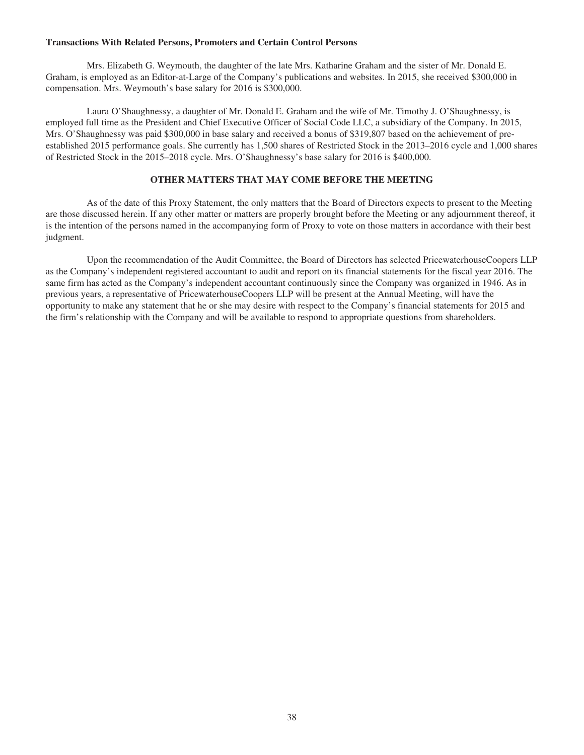## **Transactions With Related Persons, Promoters and Certain Control Persons**

Mrs. Elizabeth G. Weymouth, the daughter of the late Mrs. Katharine Graham and the sister of Mr. Donald E. Graham, is employed as an Editor-at-Large of the Company's publications and websites. In 2015, she received \$300,000 in compensation. Mrs. Weymouth's base salary for 2016 is \$300,000.

Laura O'Shaughnessy, a daughter of Mr. Donald E. Graham and the wife of Mr. Timothy J. O'Shaughnessy, is employed full time as the President and Chief Executive Officer of Social Code LLC, a subsidiary of the Company. In 2015, Mrs. O'Shaughnessy was paid \$300,000 in base salary and received a bonus of \$319,807 based on the achievement of preestablished 2015 performance goals. She currently has 1,500 shares of Restricted Stock in the 2013–2016 cycle and 1,000 shares of Restricted Stock in the 2015–2018 cycle. Mrs. O'Shaughnessy's base salary for 2016 is \$400,000.

## **OTHER MATTERS THAT MAY COME BEFORE THE MEETING**

As of the date of this Proxy Statement, the only matters that the Board of Directors expects to present to the Meeting are those discussed herein. If any other matter or matters are properly brought before the Meeting or any adjournment thereof, it is the intention of the persons named in the accompanying form of Proxy to vote on those matters in accordance with their best judgment.

Upon the recommendation of the Audit Committee, the Board of Directors has selected PricewaterhouseCoopers LLP as the Company's independent registered accountant to audit and report on its financial statements for the fiscal year 2016. The same firm has acted as the Company's independent accountant continuously since the Company was organized in 1946. As in previous years, a representative of PricewaterhouseCoopers LLP will be present at the Annual Meeting, will have the opportunity to make any statement that he or she may desire with respect to the Company's financial statements for 2015 and the firm's relationship with the Company and will be available to respond to appropriate questions from shareholders.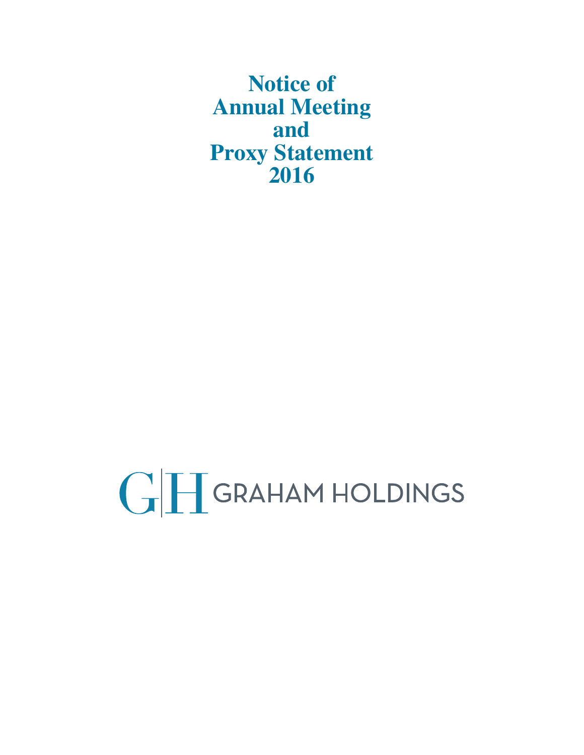**Notice of Annual Meeting and Proxy Statement 2016**

GH GRAHAM HOLDINGS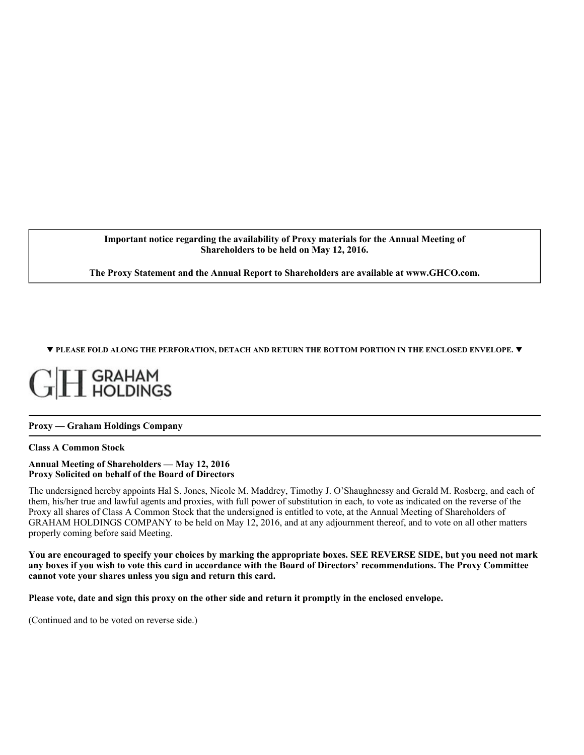**Important notice regarding the availability of Proxy materials for the Annual Meeting of Shareholders to be held on May 12, 2016.**

**The Proxy Statement and the Annual Report to Shareholders are available at www.GHCO.com.**

T **PLEASE FOLD ALONG THE PERFORATION, DETACH AND RETURN THE BOTTOM PORTION IN THE ENCLOSED ENVELOPE.** T

## GRAHAM<br>LHOLDINGS

## **Proxy — Graham Holdings Company**

## **Class A Common Stock**

#### **Annual Meeting of Shareholders — May 12, 2016 Proxy Solicited on behalf of the Board of Directors**

The undersigned hereby appoints Hal S. Jones, Nicole M. Maddrey, Timothy J. O'Shaughnessy and Gerald M. Rosberg, and each of them, his/her true and lawful agents and proxies, with full power of substitution in each, to vote as indicated on the reverse of the Proxy all shares of Class A Common Stock that the undersigned is entitled to vote, at the Annual Meeting of Shareholders of GRAHAM HOLDINGS COMPANY to be held on May 12, 2016, and at any adjournment thereof, and to vote on all other matters properly coming before said Meeting.

**You are encouraged to specify your choices by marking the appropriate boxes. SEE REVERSE SIDE, but you need not mark any boxes if you wish to vote this card in accordance with the Board of Directors' recommendations. The Proxy Committee cannot vote your shares unless you sign and return this card.** 

**Please vote, date and sign this proxy on the other side and return it promptly in the enclosed envelope.** 

(Continued and to be voted on reverse side.)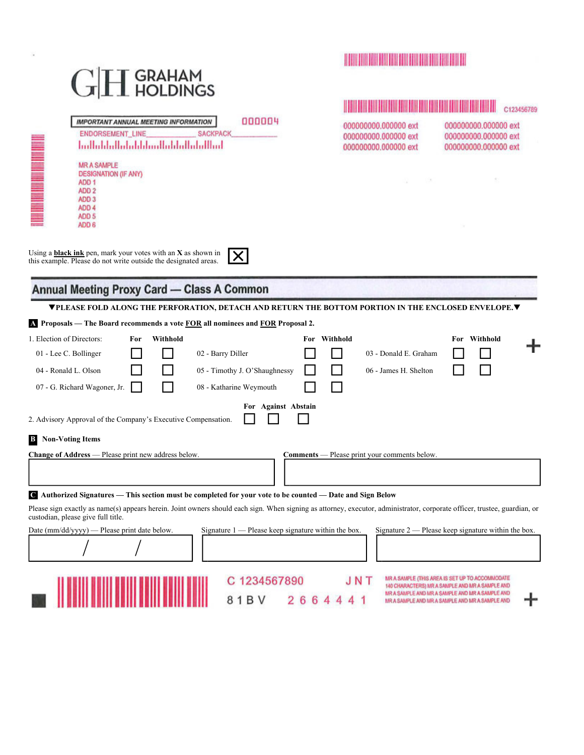| T GRAHAM<br>I HOLDINGS                                                                                                                                                                                                                                                                                                        | <u> I de la provincia de la provincia de la provincia de la provincia de la provincia de la provincia de la provi</u> |                                                                                                                                                                                                          |
|-------------------------------------------------------------------------------------------------------------------------------------------------------------------------------------------------------------------------------------------------------------------------------------------------------------------------------|-----------------------------------------------------------------------------------------------------------------------|----------------------------------------------------------------------------------------------------------------------------------------------------------------------------------------------------------|
| 000004<br><b>IMPORTANT ANNUAL MEETING INFORMATION</b><br><b>SACKPACK</b><br><b>ENDORSEMENT_LINE</b>                                                                                                                                                                                                                           | 000000000.000000 ext<br>000000000.000000 ext                                                                          | C123456789<br>000000000.000000 ext<br>000000000.000000 ext                                                                                                                                               |
| اساالتيانيالينا بلبيانا بشابا ببابيا البياباتينا                                                                                                                                                                                                                                                                              | 000000000.000000 ext                                                                                                  | 000000000.000000 ext                                                                                                                                                                                     |
| <b>MR A SAMPLE</b><br><b>DESIGNATION (IF ANY)</b><br>ADD <sub>1</sub><br>ADD <sub>2</sub><br>ADD <sub>3</sub><br>ADD <sub>4</sub><br>ADD <sub>5</sub><br>ADD <sub>6</sub>                                                                                                                                                     |                                                                                                                       |                                                                                                                                                                                                          |
| Using a <b>black ink</b> pen, mark your votes with an $X$ as shown in<br>X<br>this example. Please do not write outside the designated areas.<br>Annual Meeting Proxy Card - Class A Common                                                                                                                                   |                                                                                                                       |                                                                                                                                                                                                          |
| ▼PLEASE FOLD ALONG THE PERFORATION, DETACH AND RETURN THE BOTTOM PORTION IN THE ENCLOSED ENVELOPE.▼                                                                                                                                                                                                                           |                                                                                                                       |                                                                                                                                                                                                          |
| 4 Proposals – The Board recommends a vote FOR all nominees and FOR Proposal 2.                                                                                                                                                                                                                                                |                                                                                                                       |                                                                                                                                                                                                          |
| 1. Election of Directors:<br>Withhold<br>For<br>For<br>02 - Barry Diller<br>01 - Lee C. Bollinger<br>04 - Ronald L. Olson<br>05 - Timothy J. O'Shaughnessy<br>07 - G. Richard Wagoner, Jr.<br>08 - Katharine Weymouth                                                                                                         | Withhold<br>03 - Donald E. Graham<br>06 - James H. Shelton                                                            | For Withhold                                                                                                                                                                                             |
| For Against Abstain<br>2. Advisory Approval of the Company's Executive Compensation.                                                                                                                                                                                                                                          |                                                                                                                       |                                                                                                                                                                                                          |
| <b>Non-Voting Items</b><br>$\bf{B}$                                                                                                                                                                                                                                                                                           |                                                                                                                       |                                                                                                                                                                                                          |
| Change of Address — Please print new address below.                                                                                                                                                                                                                                                                           | <b>Comments</b> — Please print your comments below                                                                    |                                                                                                                                                                                                          |
| C Authorized Signatures — This section must be completed for your vote to be counted — Date and Sign Below<br>Please sign exactly as name(s) appears herein. Joint owners should each sign. When signing as attorney, executor, administrator, corporate officer, trustee, guardian, or<br>custodian, please give full title. |                                                                                                                       |                                                                                                                                                                                                          |
| Signature 1 — Please keep signature within the box.<br>Date $\text{(mm/dd/yyyy)}$ — Please print date below.                                                                                                                                                                                                                  |                                                                                                                       | Signature 2 — Please keep signature within the box.                                                                                                                                                      |
| 1234567890<br>1 B V<br>26644                                                                                                                                                                                                                                                                                                  |                                                                                                                       | MR A SAMPLE (THIS AREA IS SET UP TO ACCOMMODATE<br>140 CHARACTERS) MR A SAMPLE AND MR A SAMPLE AND<br>MR A SAMPLE AND MR A SAMPLE AND MR A SAMPLE AND<br>MR A SAMPLE AND MR A SAMPLE AND MR A SAMPLE AND |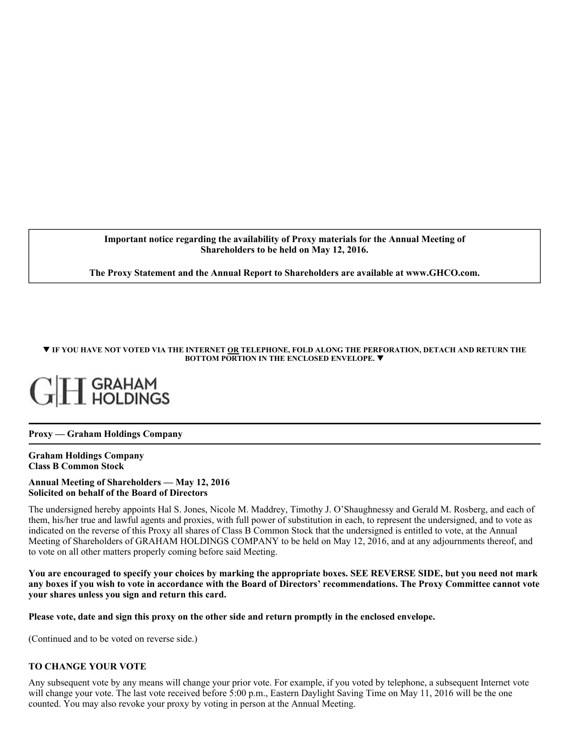**Important notice regarding the availability of Proxy materials for the Annual Meeting of Shareholders to be held on May 12, 2016.**

**The Proxy Statement and the Annual Report to Shareholders are available at www.GHCO.com.**

#### T **IF YOU HAVE NOT VOTED VIA THE INTERNET OR TELEPHONE, FOLD ALONG THE PERFORATION, DETACH AND RETURN THE BOTTOM PORTION IN THE ENCLOSED ENVELOPE.** T

## [ GRAHAM<br>[ HOLDINGS

## **Proxy — Graham Holdings Company**

#### **Graham Holdings Company Class B Common Stock**

#### **Annual Meeting of Shareholders — May 12, 2016 Solicited on behalf of the Board of Directors**

The undersigned hereby appoints Hal S. Jones, Nicole M. Maddrey, Timothy J. O'Shaughnessy and Gerald M. Rosberg, and each of them, his/her true and lawful agents and proxies, with full power of substitution in each, to represent the undersigned, and to vote as indicated on the reverse of this Proxy all shares of Class B Common Stock that the undersigned is entitled to vote, at the Annual Meeting of Shareholders of GRAHAM HOLDINGS COMPANY to be held on May 12, 2016, and at any adjournments thereof, and to vote on all other matters properly coming before said Meeting.

**You are encouraged to specify your choices by marking the appropriate boxes. SEE REVERSE SIDE, but you need not mark any boxes if you wish to vote in accordance with the Board of Directors' recommendations. The Proxy Committee cannot vote your shares unless you sign and return this card.** 

**Please vote, date and sign this proxy on the other side and return promptly in the enclosed envelope.** 

(Continued and to be voted on reverse side.)

## **TO CHANGE YOUR VOTE**

Any subsequent vote by any means will change your prior vote. For example, if you voted by telephone, a subsequent Internet vote will change your vote. The last vote received before 5:00 p.m., Eastern Daylight Saving Time on May 11, 2016 will be the one counted. You may also revoke your proxy by voting in person at the Annual Meeting.